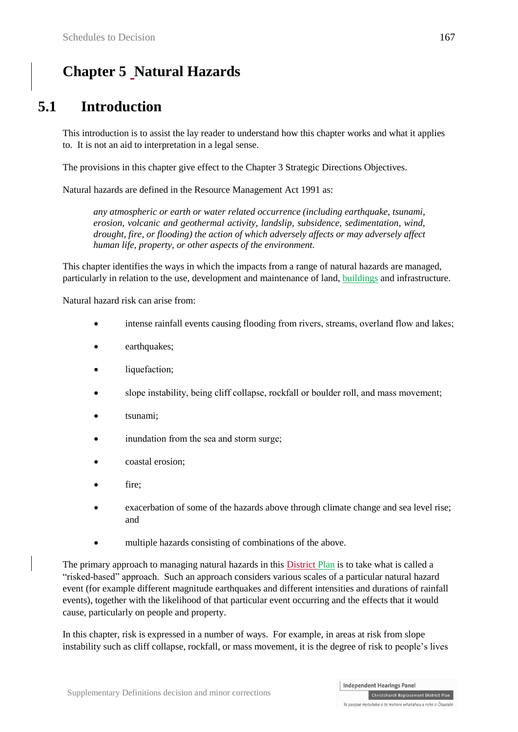# **Chapter 5 Natural Hazards**

# **5.1 Introduction**

This introduction is to assist the lay reader to understand how this chapter works and what it applies to. It is not an aid to interpretation in a legal sense.

The provisions in this chapter give effect to the Chapter 3 Strategic Directions Objectives.

Natural hazards are defined in the Resource Management Act 1991 as:

*any atmospheric or earth or water related occurrence (including earthquake, tsunami, erosion, volcanic and geothermal activity, landslip, subsidence, sedimentation, wind, drought, fire, or flooding) the action of which adversely affects or may adversely affect human life, property, or other aspects of the environment.*

This chapter identifies the ways in which the impacts from a range of natural hazards are managed, particularly in relation to the use, development and maintenance of land, buildings and infrastructure.

Natural hazard risk can arise from:

- intense rainfall events causing flooding from rivers, streams, overland flow and lakes;
- earthquakes;
- liquefaction;
- slope instability, being cliff collapse, rockfall or boulder roll, and mass movement;
- tsunami;
- inundation from the sea and storm surge;
- coastal erosion;
- fire;
- exacerbation of some of the hazards above through climate change and sea level rise; and
- multiple hazards consisting of combinations of the above.

The primary approach to managing natural hazards in this District Plan is to take what is called a "risked-based" approach. Such an approach considers various scales of a particular natural hazard event (for example different magnitude earthquakes and different intensities and durations of rainfall events), together with the likelihood of that particular event occurring and the effects that it would cause, particularly on people and property.

In this chapter, risk is expressed in a number of ways. For example, in areas at risk from slope instability such as cliff collapse, rockfall, or mass movement, it is the degree of risk to people's lives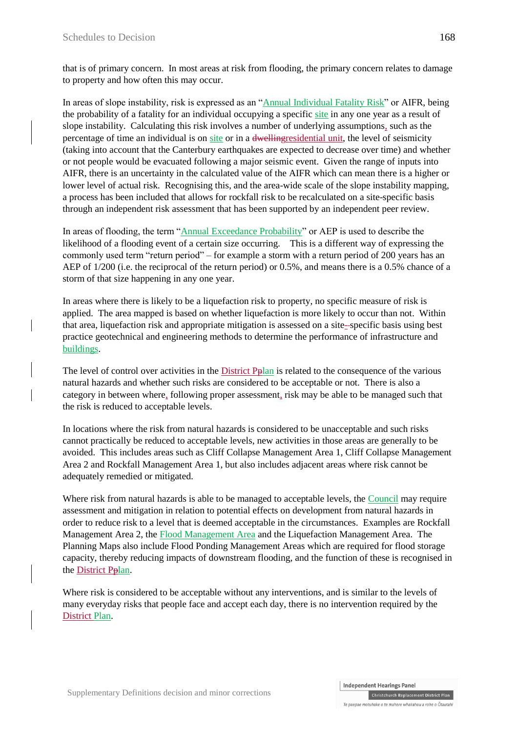that is of primary concern. In most areas at risk from flooding, the primary concern relates to damage to property and how often this may occur.

In areas of slope instability, risk is expressed as an "Annual Individual Fatality Risk" or AIFR, being the probability of a fatality for an individual occupying a specific site in any one year as a result of slope instability. Calculating this risk involves a number of underlying assumptions, such as the percentage of time an individual is on site or in a dwellingresidential unit, the level of seismicity (taking into account that the Canterbury earthquakes are expected to decrease over time) and whether or not people would be evacuated following a major seismic event. Given the range of inputs into AIFR, there is an uncertainty in the calculated value of the AIFR which can mean there is a higher or lower level of actual risk. Recognising this, and the area-wide scale of the slope instability mapping, a process has been included that allows for rockfall risk to be recalculated on a site-specific basis through an independent risk assessment that has been supported by an independent peer review.

In areas of flooding, the term "Annual Exceedance Probability" or AEP is used to describe the likelihood of a flooding event of a certain size occurring. This is a different way of expressing the commonly used term "return period" – for example a storm with a return period of 200 years has an AEP of  $1/200$  (i.e. the reciprocal of the return period) or 0.5%, and means there is a 0.5% chance of a storm of that size happening in any one year.

In areas where there is likely to be a liquefaction risk to property, no specific measure of risk is applied. The area mapped is based on whether liquefaction is more likely to occur than not. Within that area, liquefaction risk and appropriate mitigation is assessed on a site- specific basis using best practice geotechnical and engineering methods to determine the performance of infrastructure and buildings.

The level of control over activities in the District Pplan is related to the consequence of the various natural hazards and whether such risks are considered to be acceptable or not. There is also a category in between where, following proper assessment, risk may be able to be managed such that the risk is reduced to acceptable levels.

In locations where the risk from natural hazards is considered to be unacceptable and such risks cannot practically be reduced to acceptable levels, new activities in those areas are generally to be avoided. This includes areas such as Cliff Collapse Management Area 1, Cliff Collapse Management Area 2 and Rockfall Management Area 1, but also includes adjacent areas where risk cannot be adequately remedied or mitigated.

Where risk from natural hazards is able to be managed to acceptable levels, the Council may require assessment and mitigation in relation to potential effects on development from natural hazards in order to reduce risk to a level that is deemed acceptable in the circumstances. Examples are Rockfall Management Area 2, the Flood Management Area and the Liquefaction Management Area. The Planning Maps also include Flood Ponding Management Areas which are required for flood storage capacity, thereby reducing impacts of downstream flooding, and the function of these is recognised in the District Pplan.

Where risk is considered to be acceptable without any interventions, and is similar to the levels of many everyday risks that people face and accept each day, there is no intervention required by the District Plan.

**Independent Hearings Panel** 

Christchurch Replacement District Plan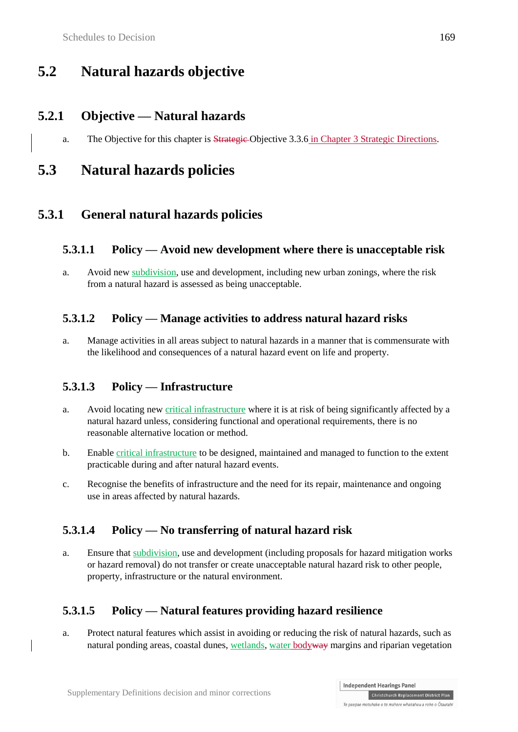# **5.2 Natural hazards objective**

## **5.2.1 Objective — Natural hazards**

a. The Objective for this chapter is Strategic Objective 3.3.6 in Chapter 3 Strategic Directions.

# **5.3 Natural hazards policies**

## **5.3.1 General natural hazards policies**

### **5.3.1.1 Policy — Avoid new development where there is unacceptable risk**

a. Avoid new subdivision, use and development, including new urban zonings, where the risk from a natural hazard is assessed as being unacceptable.

## **5.3.1.2 Policy — Manage activities to address natural hazard risks**

a. Manage activities in all areas subject to natural hazards in a manner that is commensurate with the likelihood and consequences of a natural hazard event on life and property.

## **5.3.1.3 Policy — Infrastructure**

- a. Avoid locating new critical infrastructure where it is at risk of being significantly affected by a natural hazard unless, considering functional and operational requirements, there is no reasonable alternative location or method.
- b. Enable critical infrastructure to be designed, maintained and managed to function to the extent practicable during and after natural hazard events.
- c. Recognise the benefits of infrastructure and the need for its repair, maintenance and ongoing use in areas affected by natural hazards.

## **5.3.1.4 Policy — No transferring of natural hazard risk**

a. Ensure that subdivision, use and development (including proposals for hazard mitigation works or hazard removal) do not transfer or create unacceptable natural hazard risk to other people, property, infrastructure or the natural environment.

## **5.3.1.5 Policy — Natural features providing hazard resilience**

a. Protect natural features which assist in avoiding or reducing the risk of natural hazards, such as natural ponding areas, coastal dunes, wetlands, water bodyway margins and riparian vegetation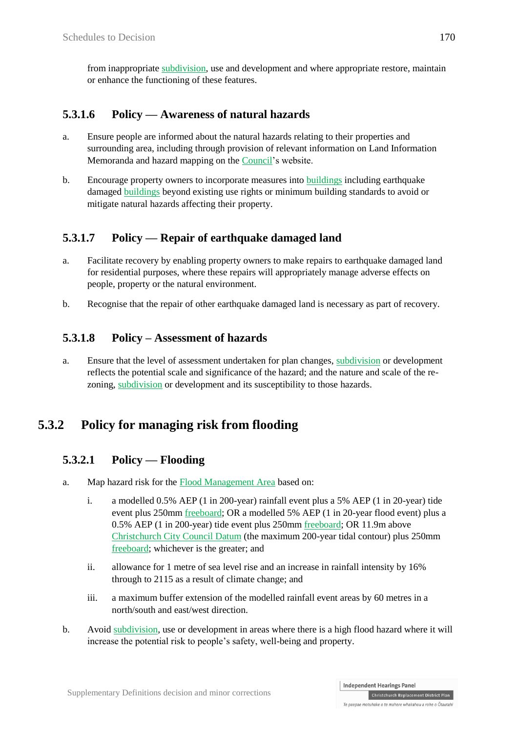from inappropriate subdivision, use and development and where appropriate restore, maintain or enhance the functioning of these features.

## **5.3.1.6 Policy — Awareness of natural hazards**

- a. Ensure people are informed about the natural hazards relating to their properties and surrounding area, including through provision of relevant information on Land Information Memoranda and hazard mapping on the Council's website.
- b. Encourage property owners to incorporate measures into buildings including earthquake damaged buildings beyond existing use rights or minimum building standards to avoid or mitigate natural hazards affecting their property.

## **5.3.1.7 Policy — Repair of earthquake damaged land**

- a. Facilitate recovery by enabling property owners to make repairs to earthquake damaged land for residential purposes, where these repairs will appropriately manage adverse effects on people, property or the natural environment.
- b. Recognise that the repair of other earthquake damaged land is necessary as part of recovery.

### **5.3.1.8 Policy – Assessment of hazards**

a. Ensure that the level of assessment undertaken for plan changes, subdivision or development reflects the potential scale and significance of the hazard; and the nature and scale of the rezoning, subdivision or development and its susceptibility to those hazards.

## **5.3.2 Policy for managing risk from flooding**

### **5.3.2.1 Policy — Flooding**

- a. Map hazard risk for the Flood Management Area based on:
	- i. a modelled 0.5% AEP (1 in 200-year) rainfall event plus a 5% AEP (1 in 20-year) tide event plus 250mm freeboard; OR a modelled 5% AEP (1 in 20-year flood event) plus a 0.5% AEP (1 in 200-year) tide event plus 250mm freeboard; OR 11.9m above Christchurch City Council Datum (the maximum 200-year tidal contour) plus 250mm freeboard; whichever is the greater; and
	- ii. allowance for 1 metre of sea level rise and an increase in rainfall intensity by 16% through to 2115 as a result of climate change; and
	- iii. a maximum buffer extension of the modelled rainfall event areas by 60 metres in a north/south and east/west direction.
- b. Avoid subdivision, use or development in areas where there is a high flood hazard where it will increase the potential risk to people's safety, well-being and property.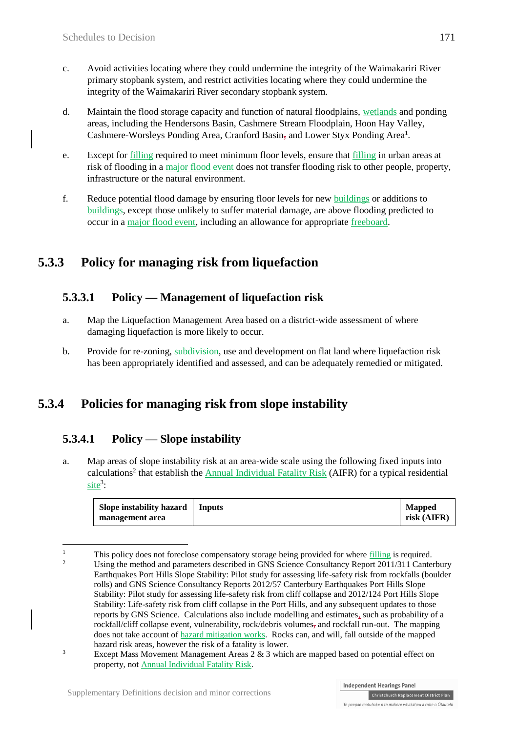- c. Avoid activities locating where they could undermine the integrity of the Waimakariri River primary stopbank system, and restrict activities locating where they could undermine the integrity of the Waimakariri River secondary stopbank system.
- d. Maintain the flood storage capacity and function of natural floodplains, wetlands and ponding areas, including the Hendersons Basin, Cashmere Stream Floodplain, Hoon Hay Valley, Cashmere-Worsleys Ponding Area, Cranford Basin, and Lower Styx Ponding Area<sup>1</sup>.
- e. Except for filling required to meet minimum floor levels, ensure that filling in urban areas at risk of flooding in a major flood event does not transfer flooding risk to other people, property, infrastructure or the natural environment.
- f. Reduce potential flood damage by ensuring floor levels for new buildings or additions to buildings, except those unlikely to suffer material damage, are above flooding predicted to occur in a major flood event, including an allowance for appropriate freeboard.

## **5.3.3 Policy for managing risk from liquefaction**

## **5.3.3.1 Policy — Management of liquefaction risk**

- a. Map the Liquefaction Management Area based on a district-wide assessment of where damaging liquefaction is more likely to occur.
- b. Provide for re-zoning, subdivision, use and development on flat land where liquefaction risk has been appropriately identified and assessed, and can be adequately remedied or mitigated.

## **5.3.4 Policies for managing risk from slope instability**

### **5.3.4.1 Policy — Slope instability**

a. Map areas of slope instability risk at an area-wide scale using the following fixed inputs into calculations<sup>2</sup> that establish the **Annual Individual Fatality Risk** (AIFR) for a typical residential  $\text{site}^3$ :

| Slope instability hazard | Inputs | <b>Mapped</b> |
|--------------------------|--------|---------------|
| management area          |        | risk (AIFR)   |

 $\overline{1}$ <sup>1</sup> This policy does not foreclose compensatory storage being provided for where <u>filling</u> is required. <sup>2</sup> Using the method and parameters described in GNS Science Consultancy Report 2011/311 Canterbury Earthquakes Port Hills Slope Stability: Pilot study for assessing life-safety risk from rockfalls (boulder rolls) and GNS Science Consultancy Reports 2012/57 Canterbury Earthquakes Port Hills Slope Stability: Pilot study for assessing life-safety risk from cliff collapse and 2012/124 Port Hills Slope Stability: Life-safety risk from cliff collapse in the Port Hills, and any subsequent updates to those reports by GNS Science. Calculations also include modelling and estimates, such as probability of a rockfall/cliff collapse event, vulnerability, rock/debris volumes, and rockfall run-out. The mapping does not take account of hazard mitigation works. Rocks can, and will, fall outside of the mapped hazard risk areas, however the risk of a fatality is lower.

<sup>&</sup>lt;sup>3</sup> Except Mass Movement Management Areas 2  $\&$  3 which are mapped based on potential effect on property, not Annual Individual Fatality Risk.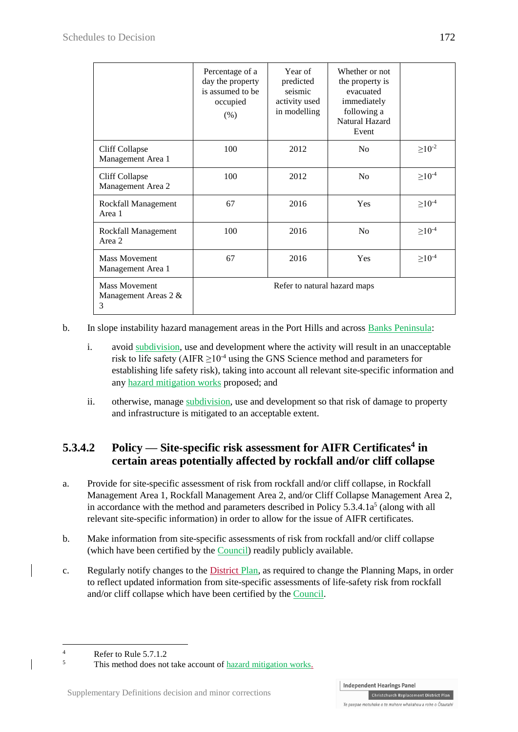|                                                   | Percentage of a<br>day the property<br>is assumed to be<br>occupied<br>(% ) | Year of<br>predicted<br>seismic<br>activity used<br>in modelling | Whether or not<br>the property is<br>evacuated<br>immediately<br>following a<br>Natural Hazard<br>Event |                |
|---------------------------------------------------|-----------------------------------------------------------------------------|------------------------------------------------------------------|---------------------------------------------------------------------------------------------------------|----------------|
| Cliff Collapse<br>Management Area 1               | 100                                                                         | 2012                                                             | N <sub>o</sub>                                                                                          | $\geq 10^{-2}$ |
| Cliff Collapse<br>Management Area 2               | 100                                                                         | 2012                                                             | N <sub>o</sub>                                                                                          | $\geq 10^{-4}$ |
| Rockfall Management<br>Area 1                     | 67                                                                          | 2016                                                             | Yes                                                                                                     | $\geq 10^{-4}$ |
| Rockfall Management<br>Area 2                     | 100                                                                         | 2016                                                             | N <sub>0</sub>                                                                                          | $\geq 10^{-4}$ |
| <b>Mass Movement</b><br>Management Area 1         | 67                                                                          | 2016                                                             | Yes                                                                                                     | $\geq 10^{-4}$ |
| <b>Mass Movement</b><br>Management Areas 2 &<br>3 |                                                                             | Refer to natural hazard maps                                     |                                                                                                         |                |

b. In slope instability hazard management areas in the Port Hills and across Banks Peninsula:

- i. avoid subdivision, use and development where the activity will result in an unacceptable risk to life safety (AIFR  $>10^{-4}$  using the GNS Science method and parameters for establishing life safety risk), taking into account all relevant site-specific information and any hazard mitigation works proposed; and
- ii. otherwise, manage subdivision, use and development so that risk of damage to property and infrastructure is mitigated to an acceptable extent.

## **5.3.4.2 Policy — Site-specific risk assessment for AIFR Certificates<sup>4</sup> in certain areas potentially affected by rockfall and/or cliff collapse**

- a. Provide for site-specific assessment of risk from rockfall and/or cliff collapse, in Rockfall Management Area 1, Rockfall Management Area 2, and/or Cliff Collapse Management Area 2, in accordance with the method and parameters described in Policy  $5.3.4.1a<sup>5</sup>$  (along with all relevant site-specific information) in order to allow for the issue of AIFR certificates.
- b. Make information from site-specific assessments of risk from rockfall and/or cliff collapse (which have been certified by the Council) readily publicly available.
- c. Regularly notify changes to the District Plan, as required to change the Planning Maps, in order to reflect updated information from site-specific assessments of life-safety risk from rockfall and/or cliff collapse which have been certified by the Council.

<sup>1</sup>  $\frac{4}{5}$  Refer to Rule 5.7.1.2

This method does not take account of hazard mitigation works.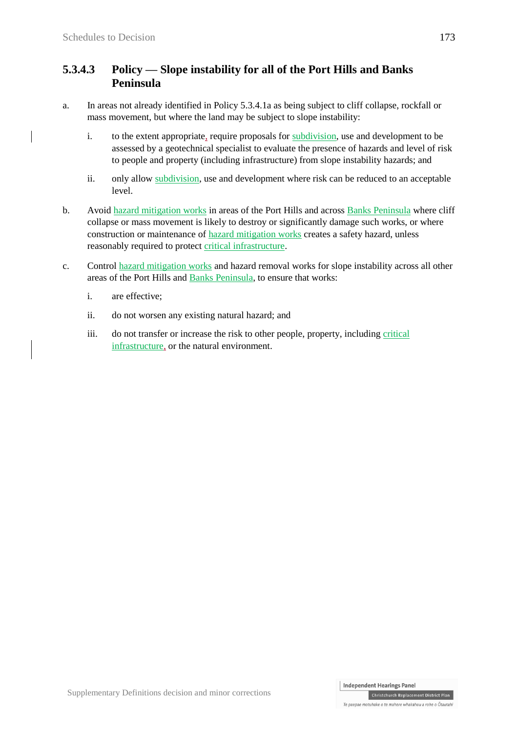### **5.3.4.3 Policy — Slope instability for all of the Port Hills and Banks Peninsula**

- a. In areas not already identified in Policy 5.3.4.1a as being subject to cliff collapse, rockfall or mass movement, but where the land may be subject to slope instability:
	- i. to the extent appropriate, require proposals for subdivision, use and development to be assessed by a geotechnical specialist to evaluate the presence of hazards and level of risk to people and property (including infrastructure) from slope instability hazards; and
	- ii. only allow subdivision, use and development where risk can be reduced to an acceptable level.
- b. Avoid hazard mitigation works in areas of the Port Hills and across Banks Peninsula where cliff collapse or mass movement is likely to destroy or significantly damage such works, or where construction or maintenance of hazard mitigation works creates a safety hazard, unless reasonably required to protect critical infrastructure.
- c. Control hazard mitigation works and hazard removal works for slope instability across all other areas of the Port Hills and Banks Peninsula, to ensure that works:
	- i. are effective;
	- ii. do not worsen any existing natural hazard; and
	- iii. do not transfer or increase the risk to other people, property, including critical infrastructure, or the natural environment.

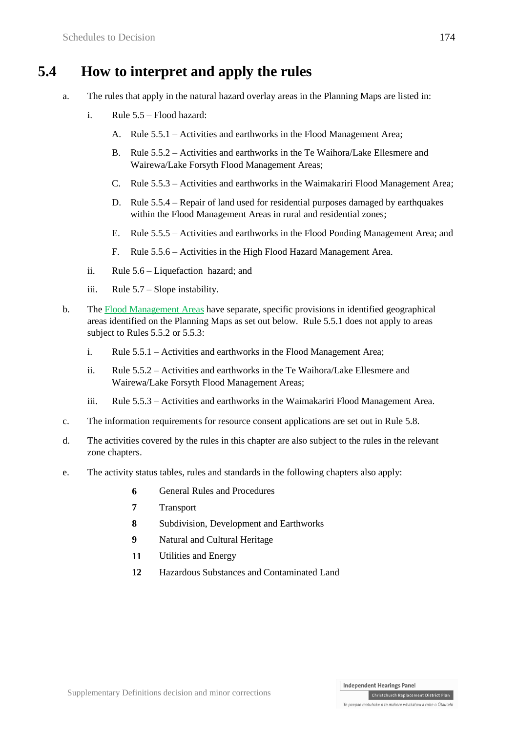## **5.4 How to interpret and apply the rules**

- a. The rules that apply in the natural hazard overlay areas in the Planning Maps are listed in:
	- i. Rule 5.5 Flood hazard:
		- A. Rule 5.5.1 Activities and earthworks in the Flood Management Area;
		- B. Rule 5.5.2 Activities and earthworks in the Te Waihora/Lake Ellesmere and Wairewa/Lake Forsyth Flood Management Areas;
		- C. Rule 5.5.3 Activities and earthworks in the Waimakariri Flood Management Area;
		- D. Rule  $5.5.4$  Repair of land used for residential purposes damaged by earthquakes within the Flood Management Areas in rural and residential zones;
		- E. Rule 5.5.5 Activities and earthworks in the Flood Ponding Management Area; and
		- F. Rule 5.5.6 Activities in the High Flood Hazard Management Area.
	- ii. Rule 5.6 Liquefaction hazard; and
	- iii. Rule 5.7 Slope instability.
- b. The Flood Management Areas have separate, specific provisions in identified geographical areas identified on the Planning Maps as set out below. Rule 5.5.1 does not apply to areas subject to Rules 5.5.2 or 5.5.3:
	- i. Rule 5.5.1 Activities and earthworks in the Flood Management Area;
	- ii. Rule 5.5.2 Activities and earthworks in the Te Waihora/Lake Ellesmere and Wairewa/Lake Forsyth Flood Management Areas;
	- iii. Rule 5.5.3 Activities and earthworks in the Waimakariri Flood Management Area.
- c. The information requirements for resource consent applications are set out in Rule 5.8.
- d. The activities covered by the rules in this chapter are also subject to the rules in the relevant zone chapters.
- e. The activity status tables, rules and standards in the following chapters also apply:
	- **6** General Rules and Procedures
	- **7** Transport
	- **8** Subdivision, Development and Earthworks
	- **9** Natural and Cultural Heritage
	- **11** Utilities and Energy
	- **12** Hazardous Substances and Contaminated Land

Christchurch Replacement District Plan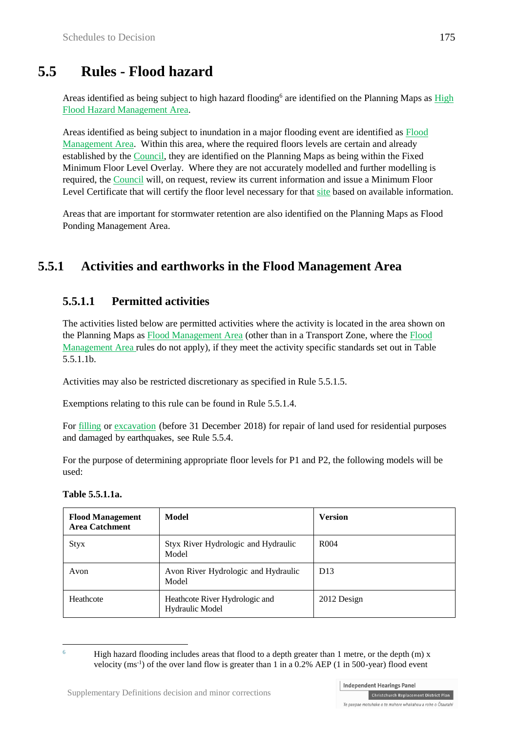# **5.5 Rules - Flood hazard**

Areas identified as being subject to high hazard flooding<sup>6</sup> are identified on the Planning Maps as High Flood Hazard Management Area.

Areas identified as being subject to inundation in a major flooding event are identified as Flood Management Area. Within this area, where the required floors levels are certain and already established by the Council, they are identified on the Planning Maps as being within the Fixed Minimum Floor Level Overlay. Where they are not accurately modelled and further modelling is required, the Council will, on request, review its current information and issue a Minimum Floor Level Certificate that will certify the floor level necessary for that site based on available information.

Areas that are important for stormwater retention are also identified on the Planning Maps as Flood Ponding Management Area.

## **5.5.1 Activities and earthworks in the Flood Management Area**

### **5.5.1.1 Permitted activities**

The activities listed below are permitted activities where the activity is located in the area shown on the Planning Maps as Flood Management Area (other than in a Transport Zone, where the Flood Management Area rules do not apply), if they meet the activity specific standards set out in Table 5.5.1.1b.

Activities may also be restricted discretionary as specified in Rule 5.5.1.5.

Exemptions relating to this rule can be found in Rule 5.5.1.4.

For filling or excavation (before 31 December 2018) for repair of land used for residential purposes and damaged by earthquakes, see [Rule](http://proposed.districtplanint.ccc.govt.nz/Common/Output/HTMLtoPDF.aspx?HID=25751) 5.5.4.

For the purpose of determining appropriate floor levels for P1 and P2, the following models will be used:

#### **Table 5.5.1.1a.**

| <b>Flood Management</b><br><b>Area Catchment</b> | Model<br><b>Version</b>                           |                  |
|--------------------------------------------------|---------------------------------------------------|------------------|
| <b>Styx</b>                                      | Styx River Hydrologic and Hydraulic<br>Model      | R <sub>004</sub> |
| Avon                                             | Avon River Hydrologic and Hydraulic<br>Model      | D <sub>13</sub>  |
| Heathcote                                        | Heathcote River Hydrologic and<br>Hydraulic Model | 2012 Design      |

<sup>1</sup> <sup>6</sup> High hazard flooding includes areas that flood to a depth greater than 1 metre, or the depth (m) x velocity ( $ms^{-1}$ ) of the over land flow is greater than 1 in a 0.2% AEP (1 in 500-year) flood event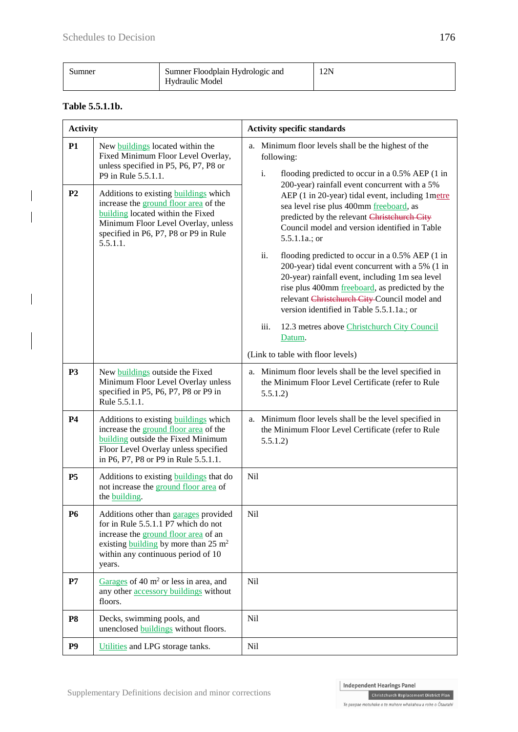| ,umner | Sumner Floodplain Hydrologic and<br>Hydraulic Model | 12N |
|--------|-----------------------------------------------------|-----|
|        |                                                     |     |

#### **Table 5.5.1.1b.**

| <b>Activity</b>             |                                                                                                                                                                                                                                                                                                                                                                  | <b>Activity specific standards</b>                                                                                                                                                                                                                                                                                                                                                                                                                                                                                                                                                                                                                                                                                                                                                                                    |
|-----------------------------|------------------------------------------------------------------------------------------------------------------------------------------------------------------------------------------------------------------------------------------------------------------------------------------------------------------------------------------------------------------|-----------------------------------------------------------------------------------------------------------------------------------------------------------------------------------------------------------------------------------------------------------------------------------------------------------------------------------------------------------------------------------------------------------------------------------------------------------------------------------------------------------------------------------------------------------------------------------------------------------------------------------------------------------------------------------------------------------------------------------------------------------------------------------------------------------------------|
| <b>P1</b><br>P <sub>2</sub> | New buildings located within the<br>Fixed Minimum Floor Level Overlay,<br>unless specified in P5, P6, P7, P8 or<br>P9 in Rule 5.5.1.1.<br>Additions to existing <b>buildings</b> which<br>increase the ground floor area of the<br>building located within the Fixed<br>Minimum Floor Level Overlay, unless<br>specified in P6, P7, P8 or P9 in Rule<br>5.5.1.1. | a. Minimum floor levels shall be the highest of the<br>following:<br>i.<br>flooding predicted to occur in a 0.5% AEP (1 in<br>200-year) rainfall event concurrent with a 5%<br>AEP (1 in 20-year) tidal event, including 1 metre<br>sea level rise plus 400mm freeboard, as<br>predicted by the relevant Christehurch City<br>Council model and version identified in Table<br>$5.5.1.1a$ .; or<br>ii.<br>flooding predicted to occur in a 0.5% AEP (1 in<br>200-year) tidal event concurrent with a 5% (1 in<br>20-year) rainfall event, including 1m sea level<br>rise plus 400mm freeboard, as predicted by the<br>relevant Christehurch City-Council model and<br>version identified in Table 5.5.1.1a.; or<br>iii.<br>12.3 metres above Christchurch City Council<br>Datum.<br>(Link to table with floor levels) |
| <b>P3</b>                   | New buildings outside the Fixed<br>Minimum Floor Level Overlay unless<br>specified in P5, P6, P7, P8 or P9 in<br>Rule 5.5.1.1.                                                                                                                                                                                                                                   | a. Minimum floor levels shall be the level specified in<br>the Minimum Floor Level Certificate (refer to Rule<br>5.5.1.2)                                                                                                                                                                                                                                                                                                                                                                                                                                                                                                                                                                                                                                                                                             |
| <b>P4</b>                   | Additions to existing <b>buildings</b> which<br>increase the ground floor area of the<br>building outside the Fixed Minimum<br>Floor Level Overlay unless specified<br>in P6, P7, P8 or P9 in Rule 5.5.1.1.                                                                                                                                                      | a. Minimum floor levels shall be the level specified in<br>the Minimum Floor Level Certificate (refer to Rule<br>5.5.1.2)                                                                                                                                                                                                                                                                                                                                                                                                                                                                                                                                                                                                                                                                                             |
| <b>P5</b>                   | Additions to existing <b>buildings</b> that do<br>not increase the ground floor area of<br>the building.                                                                                                                                                                                                                                                         | Nil                                                                                                                                                                                                                                                                                                                                                                                                                                                                                                                                                                                                                                                                                                                                                                                                                   |
| <b>P6</b>                   | Additions other than garages provided<br>for in Rule 5.5.1.1 P7 which do not<br>increase the ground floor area of an<br>existing building by more than $25 \text{ m}^2$<br>within any continuous period of 10<br>years.                                                                                                                                          | <b>Nil</b>                                                                                                                                                                                                                                                                                                                                                                                                                                                                                                                                                                                                                                                                                                                                                                                                            |
| P7                          | Garages of 40 $m2$ or less in area, and<br>any other accessory buildings without<br>floors.                                                                                                                                                                                                                                                                      | <b>Nil</b>                                                                                                                                                                                                                                                                                                                                                                                                                                                                                                                                                                                                                                                                                                                                                                                                            |
| P <sub>8</sub>              | Decks, swimming pools, and<br>unenclosed buildings without floors.                                                                                                                                                                                                                                                                                               | N <sub>il</sub>                                                                                                                                                                                                                                                                                                                                                                                                                                                                                                                                                                                                                                                                                                                                                                                                       |
| P <sub>9</sub>              | Utilities and LPG storage tanks.                                                                                                                                                                                                                                                                                                                                 | <b>Nil</b>                                                                                                                                                                                                                                                                                                                                                                                                                                                                                                                                                                                                                                                                                                                                                                                                            |

 $\label{thm:chh}$  Christchurch Replacement District Plan Te paepae motuhake o te mahere whakahou a rohe o Ōtautahi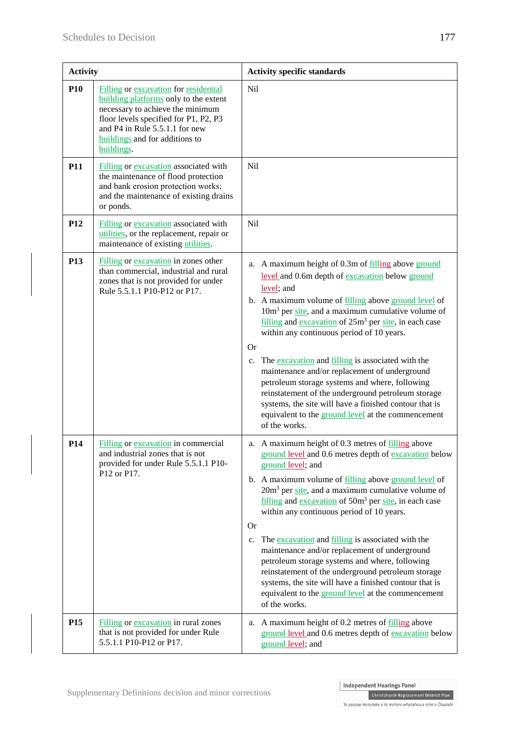| <b>Activity</b> |                                                                                                                                                                                                                                               | <b>Activity specific standards</b>                                                                                                                                                                                                                                                                                                                                                                                                                                                                                                                                                                                                                                                                                           |
|-----------------|-----------------------------------------------------------------------------------------------------------------------------------------------------------------------------------------------------------------------------------------------|------------------------------------------------------------------------------------------------------------------------------------------------------------------------------------------------------------------------------------------------------------------------------------------------------------------------------------------------------------------------------------------------------------------------------------------------------------------------------------------------------------------------------------------------------------------------------------------------------------------------------------------------------------------------------------------------------------------------------|
| <b>P10</b>      | Filling or excavation for residential<br>building platforms only to the extent<br>necessary to achieve the minimum<br>floor levels specified for P1, P2, P3<br>and P4 in Rule 5.5.1.1 for new<br>buildings and for additions to<br>buildings. | <b>Nil</b>                                                                                                                                                                                                                                                                                                                                                                                                                                                                                                                                                                                                                                                                                                                   |
| <b>P11</b>      | Filling or excavation associated with<br>the maintenance of flood protection<br>and bank erosion protection works;<br>and the maintenance of existing drains<br>or ponds.                                                                     | Nil                                                                                                                                                                                                                                                                                                                                                                                                                                                                                                                                                                                                                                                                                                                          |
| P <sub>12</sub> | Filling or excavation associated with<br>utilities, or the replacement, repair or<br>maintenance of existing utilities.                                                                                                                       | Nil                                                                                                                                                                                                                                                                                                                                                                                                                                                                                                                                                                                                                                                                                                                          |
| P13             | Filling or excavation in zones other<br>than commercial, industrial and rural<br>zones that is not provided for under<br>Rule 5.5.1.1 P10-P12 or P17.                                                                                         | a. A maximum height of 0.3m of filling above ground<br>level and 0.6m depth of excavation below ground<br>level; and<br>b. A maximum volume of filling above ground level of<br>$10m3$ per site, and a maximum cumulative volume of<br>$filling$ and excavation of $25m3$ per site, in each case<br>within any continuous period of 10 years.<br><b>Or</b><br>The excavation and filling is associated with the<br>c.<br>maintenance and/or replacement of underground<br>petroleum storage systems and where, following<br>reinstatement of the underground petroleum storage<br>systems, the site will have a finished contour that is<br>equivalent to the ground level at the commencement<br>of the works.              |
| P <sub>14</sub> | Filling or excavation in commercial<br>and industrial zones that is not<br>provided for under Rule 5.5.1.1 P10-<br>P12 or P17.                                                                                                                | a. A maximum height of 0.3 metres of filling above<br>ground level and 0.6 metres depth of excavation below<br>ground level; and<br>b. A maximum volume of filling above ground level of<br>$20m3$ per site, and a maximum cumulative volume of<br>$filling$ and excavation of 50 $m3$ per site, in each case<br>within any continuous period of 10 years.<br><b>Or</b><br>The excavation and filling is associated with the<br>c.<br>maintenance and/or replacement of underground<br>petroleum storage systems and where, following<br>reinstatement of the underground petroleum storage<br>systems, the site will have a finished contour that is<br>equivalent to the ground level at the commencement<br>of the works. |
| P <sub>15</sub> | Filling or excavation in rural zones<br>that is not provided for under Rule<br>5.5.1.1 P10-P12 or P17.                                                                                                                                        | A maximum height of 0.2 metres of filling above<br>a.<br>ground level and 0.6 metres depth of excavation below<br>ground level; and                                                                                                                                                                                                                                                                                                                                                                                                                                                                                                                                                                                          |

 $\label{thm:chh}$  Christchurch Replacement District Plan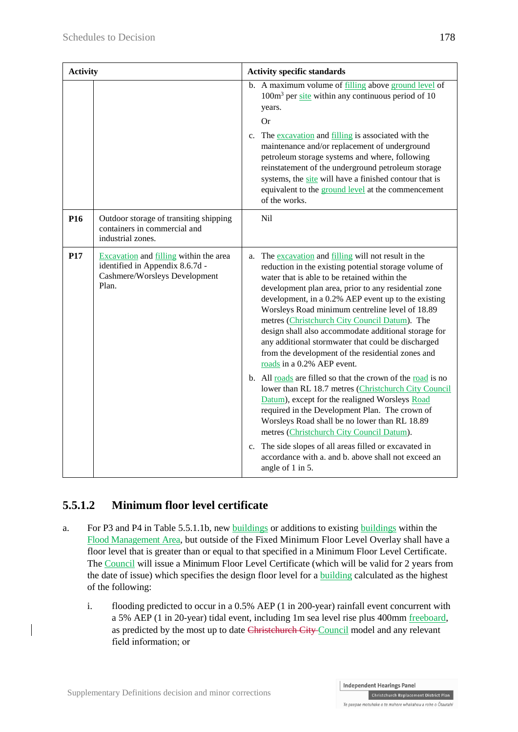| <b>Activity</b> |                                                                                                                     | <b>Activity specific standards</b>                                                                                                                                                                                                                                                                                                                                                                                                                                                                                                                                                                                                                                                                                                                                                                                                                                                                                                                                                                                                              |  |
|-----------------|---------------------------------------------------------------------------------------------------------------------|-------------------------------------------------------------------------------------------------------------------------------------------------------------------------------------------------------------------------------------------------------------------------------------------------------------------------------------------------------------------------------------------------------------------------------------------------------------------------------------------------------------------------------------------------------------------------------------------------------------------------------------------------------------------------------------------------------------------------------------------------------------------------------------------------------------------------------------------------------------------------------------------------------------------------------------------------------------------------------------------------------------------------------------------------|--|
|                 |                                                                                                                     | b. A maximum volume of filling above ground level of<br>100m <sup>3</sup> per site within any continuous period of 10<br>years.<br><b>Or</b><br>The excavation and filling is associated with the<br>$c_{\cdot}$<br>maintenance and/or replacement of underground<br>petroleum storage systems and where, following<br>reinstatement of the underground petroleum storage<br>systems, the site will have a finished contour that is<br>equivalent to the ground level at the commencement<br>of the works.                                                                                                                                                                                                                                                                                                                                                                                                                                                                                                                                      |  |
| P <sub>16</sub> | Outdoor storage of transiting shipping<br>containers in commercial and<br>industrial zones.                         | Nil                                                                                                                                                                                                                                                                                                                                                                                                                                                                                                                                                                                                                                                                                                                                                                                                                                                                                                                                                                                                                                             |  |
| P17             | Excavation and filling within the area<br>identified in Appendix 8.6.7d -<br>Cashmere/Worsleys Development<br>Plan. | a. The excavation and filling will not result in the<br>reduction in the existing potential storage volume of<br>water that is able to be retained within the<br>development plan area, prior to any residential zone<br>development, in a 0.2% AEP event up to the existing<br>Worsleys Road minimum centreline level of 18.89<br>metres (Christchurch City Council Datum). The<br>design shall also accommodate additional storage for<br>any additional stormwater that could be discharged<br>from the development of the residential zones and<br>roads in a 0.2% AEP event.<br>b. All roads are filled so that the crown of the road is no<br>lower than RL 18.7 metres (Christchurch City Council<br>Datum), except for the realigned Worsleys Road<br>required in the Development Plan. The crown of<br>Worsleys Road shall be no lower than RL 18.89<br>metres (Christchurch City Council Datum).<br>c. The side slopes of all areas filled or excavated in<br>accordance with a. and b. above shall not exceed an<br>angle of 1 in 5. |  |

## **5.5.1.2 Minimum floor level certificate**

- a. For P3 and P4 in Table 5.5.1.1b, new buildings or additions to existing buildings within the Flood Management Area, but outside of the Fixed Minimum Floor Level Overlay shall have a floor level that is greater than or equal to that specified in a Minimum Floor Level Certificate. The Council will issue a Minimum Floor Level Certificate (which will be valid for 2 years from the date of issue) which specifies the design floor level for a building calculated as the highest of the following:
	- i. flooding predicted to occur in a 0.5% AEP (1 in 200-year) rainfall event concurrent with a 5% AEP (1 in 20-year) tidal event, including 1m sea level rise plus 400mm freeboard, as predicted by the most up to date Christchurch City Council model and any relevant field information; or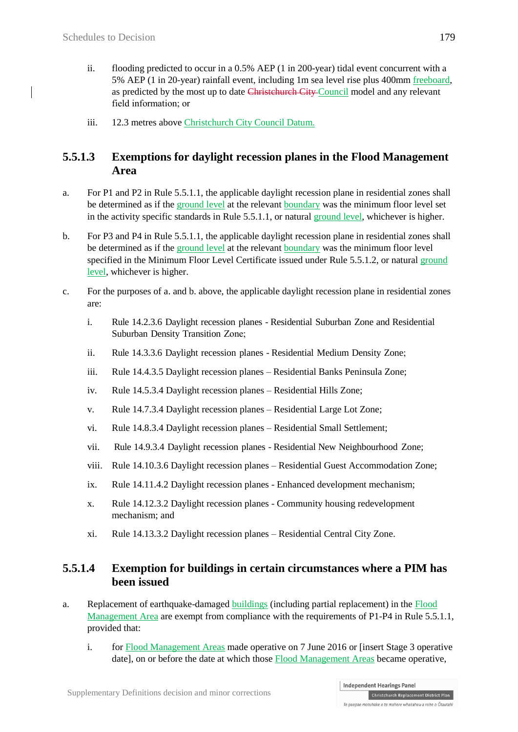- ii. flooding predicted to occur in a 0.5% AEP (1 in 200-year) tidal event concurrent with a 5% AEP (1 in 20-year) rainfall event, including 1m sea level rise plus 400mm freeboard, as predicted by the most up to date Christchurch City Council model and any relevant field information; or
- iii. 12.3 metres above Christchurch City Council [Datum.](http://proposed.districtplanint.ccc.govt.nz/common/user/contentlink.aspx?sid=43540)

### **5.5.1.3 Exemptions for daylight recession planes in the Flood Management Area**

- a. For P1 and P2 in Rule 5.5.1.1, the applicable daylight recession plane in residential zones shall be determined as if the ground level at the relevant boundary was the minimum floor level set in the activity specific standards in Rule 5.5.1.1, or natural ground level, whichever is higher.
- b. For P3 and P4 in Rule 5.5.1.1, the applicable daylight recession plane in residential zones shall be determined as if the ground level at the relevant boundary was the minimum floor level specified in the Minimum Floor Level Certificate issued under Rule 5.5.1.2, or natural ground level, whichever is higher.
- c. For the purposes of a. and b. above, the applicable daylight recession plane in residential zones are:
	- i. Rule [14.2.3.6](http://proposed.districtplanint.ccc.govt.nz/Common/Output/HTMLtoPDF.aspx?HID=24951) Daylight recession planes Residential Suburban Zone and Residential Suburban Density Transition Zone;
	- ii. Rule [14.3.3.6](http://proposed.districtplanint.ccc.govt.nz/Common/Output/HTMLtoPDF.aspx?HID=24972) Daylight recession planes Residential Medium Density Zone;
	- iii. Rule 14.4.3.5 Daylight recession planes Residential Banks Peninsula Zone;
	- iv. Rule 14.5.3.4 Daylight recession planes Residential Hills Zone;
	- v. Rule 14.7.3.4 Daylight recession planes Residential Large Lot Zone;
	- vi. Rule 14.8.3.4 Daylight recession planes Residential Small Settlement;
	- vii. Rule [14.9.3.4](http://proposed.districtplanint.ccc.govt.nz/Common/Output/HTMLtoPDF.aspx?HID=26638) Daylight recession planes Residential New Neighbourhood Zone;
	- viii. Rule 14.10.3.6 Daylight recession planes Residential Guest Accommodation Zone;
	- ix. Rule 14.11.4.2 Daylight recession planes Enhanced development mechanism;
	- x. Rule 14.12.3.2 Daylight recession planes Community housing redevelopment mechanism; and
	- xi. Rule 14.13.3.2 Daylight recession planes Residential Central City Zone.

### **5.5.1.4 Exemption for buildings in certain circumstances where a PIM has been issued**

- a. Replacement of earthquake-damaged buildings (including partial replacement) in the Flood Management Area are exempt from compliance with the requirements of P1-P4 in Rule 5.5.1.1, provided that:
	- i. for Flood Management Areas made operative on 7 June 2016 or [insert Stage 3 operative date], on or before the date at which those Flood Management Areas became operative,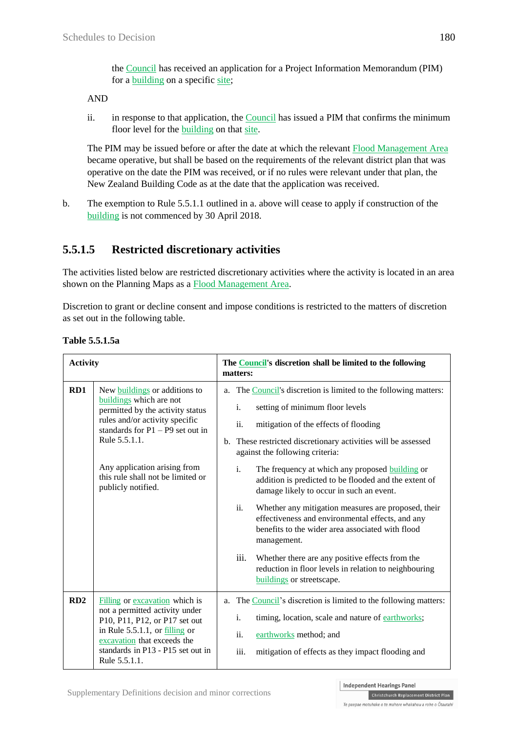the Council has received an application for a Project Information Memorandum (PIM) for a **building** on a specific site;

#### AND

ii. in response to that application, the Council has issued a PIM that confirms the minimum floor level for the building on that site.

The PIM may be issued before or after the date at which the relevant Flood Management Area became operative, but shall be based on the requirements of the relevant district plan that was operative on the date the PIM was received, or if no rules were relevant under that plan, the New Zealand Building Code as at the date that the application was received.

b. The exemption to Rule 5.5.1.1 outlined in a. above will cease to apply if construction of the building is not commenced by 30 April 2018.

## **5.5.1.5 Restricted discretionary activities**

The activities listed below are restricted discretionary activities where the activity is located in an area shown on the Planning Maps as a Flood Management Area.

Discretion to grant or decline consent and impose conditions is restricted to the matters of discretion as set out in the following table.

| <b>Activity</b> |                                                                                                                                                                                                                                                                                  | The <b>Council's</b> discretion shall be limited to the following<br>matters:                                                                                                                                                                                                                                                                                                                                                                                                                                                                                                                                                                                                                                                                                                    |  |  |
|-----------------|----------------------------------------------------------------------------------------------------------------------------------------------------------------------------------------------------------------------------------------------------------------------------------|----------------------------------------------------------------------------------------------------------------------------------------------------------------------------------------------------------------------------------------------------------------------------------------------------------------------------------------------------------------------------------------------------------------------------------------------------------------------------------------------------------------------------------------------------------------------------------------------------------------------------------------------------------------------------------------------------------------------------------------------------------------------------------|--|--|
| RD1             | New buildings or additions to<br>buildings which are not<br>permitted by the activity status<br>rules and/or activity specific<br>standards for $P1 - P9$ set out in<br>Rule 5.5.1.1.<br>Any application arising from<br>this rule shall not be limited or<br>publicly notified. | The Council's discretion is limited to the following matters:<br>a.<br>setting of minimum floor levels<br>i.<br>ii.<br>mitigation of the effects of flooding<br>b. These restricted discretionary activities will be assessed<br>against the following criteria:<br>$\mathbf{i}$ .<br>The frequency at which any proposed building or<br>addition is predicted to be flooded and the extent of<br>damage likely to occur in such an event.<br>ii.<br>Whether any mitigation measures are proposed, their<br>effectiveness and environmental effects, and any<br>benefits to the wider area associated with flood<br>management.<br>iii.<br>Whether there are any positive effects from the<br>reduction in floor levels in relation to neighbouring<br>buildings or streetscape. |  |  |
| RD2             | Filling or excavation which is<br>not a permitted activity under<br>P10, P11, P12, or P17 set out<br>in Rule $5.5.1.1$ , or $\frac{\text{filling}}{\text{alling}}$ or<br>excavation that exceeds the<br>standards in P13 - P15 set out in<br>Rule 5.5.1.1.                       | a. The Council's discretion is limited to the following matters:<br>i.<br>timing, location, scale and nature of earthworks;<br>ii.<br>earthworks method; and<br>iii.<br>mitigation of effects as they impact flooding and                                                                                                                                                                                                                                                                                                                                                                                                                                                                                                                                                        |  |  |

**Table 5.5.1.5a**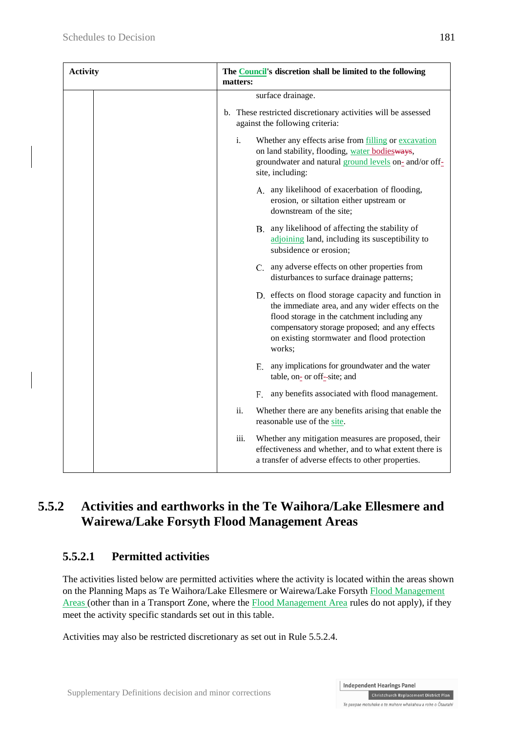| <b>Activity</b> | The <b>Council</b> 's discretion shall be limited to the following<br>matters:                                                                                                                                                                                      |  |
|-----------------|---------------------------------------------------------------------------------------------------------------------------------------------------------------------------------------------------------------------------------------------------------------------|--|
|                 | surface drainage.                                                                                                                                                                                                                                                   |  |
|                 | b. These restricted discretionary activities will be assessed<br>against the following criteria:                                                                                                                                                                    |  |
|                 | Whether any effects arise from filling or excavation<br>i.<br>on land stability, flooding, water bodiesways,<br>groundwater and natural ground levels on- and/or off-<br>site, including:                                                                           |  |
|                 | A. any likelihood of exacerbation of flooding,<br>erosion, or siltation either upstream or<br>downstream of the site;                                                                                                                                               |  |
|                 | B. any likelihood of affecting the stability of<br>adjoining land, including its susceptibility to<br>subsidence or erosion;                                                                                                                                        |  |
|                 | C. any adverse effects on other properties from<br>disturbances to surface drainage patterns;                                                                                                                                                                       |  |
|                 | D. effects on flood storage capacity and function in<br>the immediate area, and any wider effects on the<br>flood storage in the catchment including any<br>compensatory storage proposed; and any effects<br>on existing stormwater and flood protection<br>works; |  |
|                 | E. any implications for groundwater and the water<br>table, on- or off-site; and                                                                                                                                                                                    |  |
|                 | any benefits associated with flood management.<br>F.                                                                                                                                                                                                                |  |
|                 | ii.<br>Whether there are any benefits arising that enable the<br>reasonable use of the site.                                                                                                                                                                        |  |
|                 | iii.<br>Whether any mitigation measures are proposed, their<br>effectiveness and whether, and to what extent there is<br>a transfer of adverse effects to other properties.                                                                                         |  |

## **5.5.2 Activities and earthworks in the Te Waihora/Lake Ellesmere and Wairewa/Lake Forsyth Flood Management Areas**

## **5.5.2.1 Permitted activities**

The activities listed below are permitted activities where the activity is located within the areas shown on the Planning Maps as Te Waihora/Lake Ellesmere or Wairewa/Lake Forsyth Flood Management Areas (other than in a Transport Zone, where the **Flood Management Area** rules do not apply), if they meet the activity specific standards set out in this table.

Activities may also be restricted discretionary as set out in Rule 5.5.2.4.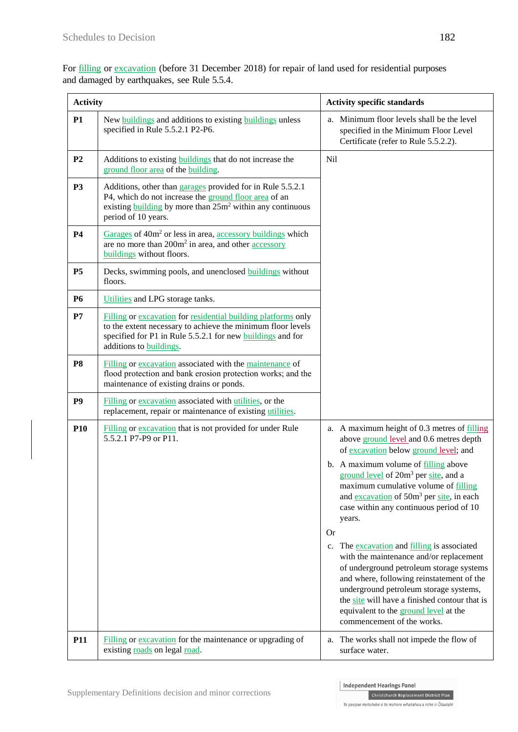For filling or excavation (before 31 December 2018) for repair of land used for residential purposes and damaged by earthquakes, see [Rule](http://proposed.districtplanint.ccc.govt.nz/Common/Output/HTMLtoPDF.aspx?HID=25751) 5.5.4.

| <b>Activity</b> |                                                                                                                                                                                                                               | <b>Activity specific standards</b>                                                                                                                                                                                                                                                                                                                                                                                                                                                                                                                                                                                                                                                                                                              |
|-----------------|-------------------------------------------------------------------------------------------------------------------------------------------------------------------------------------------------------------------------------|-------------------------------------------------------------------------------------------------------------------------------------------------------------------------------------------------------------------------------------------------------------------------------------------------------------------------------------------------------------------------------------------------------------------------------------------------------------------------------------------------------------------------------------------------------------------------------------------------------------------------------------------------------------------------------------------------------------------------------------------------|
| <b>P1</b>       | New <b>buildings</b> and additions to existing <b>buildings</b> unless<br>specified in Rule 5.5.2.1 P2-P6.                                                                                                                    | Minimum floor levels shall be the level<br>a.<br>specified in the Minimum Floor Level<br>Certificate (refer to Rule 5.5.2.2).                                                                                                                                                                                                                                                                                                                                                                                                                                                                                                                                                                                                                   |
| P <sub>2</sub>  | Additions to existing <b>buildings</b> that do not increase the<br>ground floor area of the building.                                                                                                                         | Nil                                                                                                                                                                                                                                                                                                                                                                                                                                                                                                                                                                                                                                                                                                                                             |
| <b>P3</b>       | Additions, other than garages provided for in Rule 5.5.2.1<br>P4, which do not increase the ground floor area of an<br>existing building by more than $25m^2$ within any continuous<br>period of 10 years.                    |                                                                                                                                                                                                                                                                                                                                                                                                                                                                                                                                                                                                                                                                                                                                                 |
| <b>P4</b>       | Garages of 40m <sup>2</sup> or less in area, accessory buildings which<br>are no more than 200m <sup>2</sup> in area, and other <b>accessory</b><br>buildings without floors.                                                 |                                                                                                                                                                                                                                                                                                                                                                                                                                                                                                                                                                                                                                                                                                                                                 |
| <b>P5</b>       | Decks, swimming pools, and unenclosed buildings without<br>floors.                                                                                                                                                            |                                                                                                                                                                                                                                                                                                                                                                                                                                                                                                                                                                                                                                                                                                                                                 |
| <b>P6</b>       | Utilities and LPG storage tanks.                                                                                                                                                                                              |                                                                                                                                                                                                                                                                                                                                                                                                                                                                                                                                                                                                                                                                                                                                                 |
| P7              | Filling or excavation for residential building platforms only<br>to the extent necessary to achieve the minimum floor levels<br>specified for P1 in Rule 5.5.2.1 for new buildings and for<br>additions to <b>buildings</b> . |                                                                                                                                                                                                                                                                                                                                                                                                                                                                                                                                                                                                                                                                                                                                                 |
| P <sub>8</sub>  | Filling or excavation associated with the maintenance of<br>flood protection and bank erosion protection works; and the<br>maintenance of existing drains or ponds.                                                           |                                                                                                                                                                                                                                                                                                                                                                                                                                                                                                                                                                                                                                                                                                                                                 |
| P <sub>9</sub>  | Filling or excavation associated with utilities, or the<br>replacement, repair or maintenance of existing utilities.                                                                                                          |                                                                                                                                                                                                                                                                                                                                                                                                                                                                                                                                                                                                                                                                                                                                                 |
| <b>P10</b>      | Filling or excavation that is not provided for under Rule<br>5.5.2.1 P7-P9 or P11.                                                                                                                                            | a. A maximum height of 0.3 metres of filling<br>above ground level and 0.6 metres depth<br>of excavation below ground level; and<br>b. A maximum volume of filling above<br>ground level of 20m <sup>3</sup> per site, and a<br>maximum cumulative volume of filling<br>and excavation of 50m <sup>3</sup> per site, in each<br>case within any continuous period of 10<br>years.<br>Or<br>The excavation and filling is associated<br>c.<br>with the maintenance and/or replacement<br>of underground petroleum storage systems<br>and where, following reinstatement of the<br>underground petroleum storage systems,<br>the site will have a finished contour that is<br>equivalent to the ground level at the<br>commencement of the works. |
| P <sub>11</sub> | Filling or excavation for the maintenance or upgrading of<br>existing roads on legal road.                                                                                                                                    | The works shall not impede the flow of<br>a.<br>surface water.                                                                                                                                                                                                                                                                                                                                                                                                                                                                                                                                                                                                                                                                                  |

Christchurch Replacement District Plan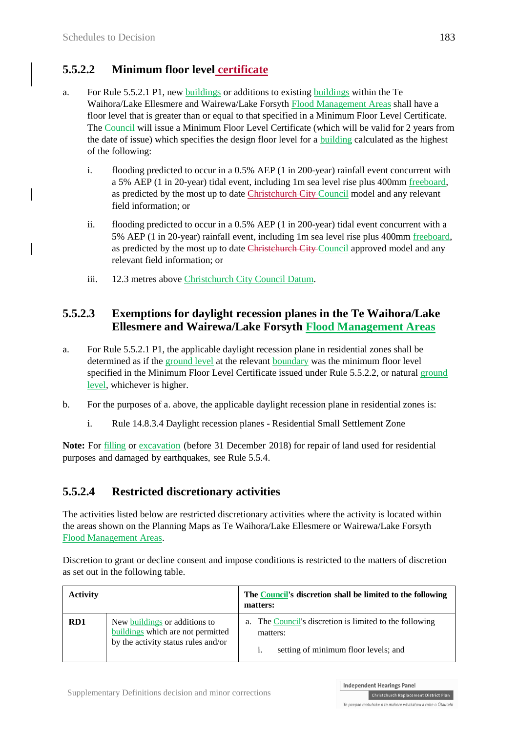## **5.5.2.2 Minimum floor level certificate**

- a. For Rule 5.5.2.1 P1, new buildings or additions to existing buildings within the Te Waihora/Lake Ellesmere and Wairewa/Lake Forsyth Flood Management Areas shall have a floor level that is greater than or equal to that specified in a Minimum Floor Level Certificate. The Council will issue a Minimum Floor Level Certificate (which will be valid for 2 years from the date of issue) which specifies the design floor level for a building calculated as the highest of the following:
	- i. flooding predicted to occur in a 0.5% AEP (1 in 200-year) rainfall event concurrent with a 5% AEP (1 in 20-year) tidal event, including 1m sea level rise plus 400mm freeboard, as predicted by the most up to date Christchurch City Council model and any relevant field information; or
	- ii. flooding predicted to occur in a 0.5% AEP (1 in 200-year) tidal event concurrent with a 5% AEP (1 in 20-year) rainfall event, including 1m sea level rise plus 400mm freeboard, as predicted by the most up to date Christehurch City Council approved model and any relevant field information; or
	- iii. 12.3 metres above Christchurch City Council Datum.

### **5.5.2.3 Exemptions for daylight recession planes in the Te Waihora/Lake Ellesmere and Wairewa/Lake Forsyth Flood Management Areas**

- a. For Rule 5.5.2.1 P1, the applicable daylight recession plane in residential zones shall be determined as if the ground level at the relevant boundary was the minimum floor level specified in the Minimum Floor Level Certificate issued under Rule 5.5.2.2, or natural ground level, whichever is higher.
- b. For the purposes of a. above, the applicable daylight recession plane in residential zones is:
	- i. Rule 14.8.3.4 Daylight recession planes Residential Small Settlement Zone

**Note:** For filling or excavation (before 31 December 2018) for repair of land used for residential purposes and damaged by earthquakes, see Rule 5.5.4.

## **5.5.2.4 Restricted discretionary activities**

The activities listed below are restricted discretionary activities where the activity is located within the areas shown on the Planning Maps as Te Waihora/Lake Ellesmere or Wairewa/Lake Forsyth Flood Management Areas.

Discretion to grant or decline consent and impose conditions is restricted to the matters of discretion as set out in the following table.

| <b>Activity</b> |                                                                                                           | The Council's discretion shall be limited to the following<br>matters:                                      |
|-----------------|-----------------------------------------------------------------------------------------------------------|-------------------------------------------------------------------------------------------------------------|
| RD1             | New buildings or additions to<br>buildings which are not permitted<br>by the activity status rules and/or | a. The Council's discretion is limited to the following<br>matters:<br>setting of minimum floor levels; and |

Christchurch Replacement District Plan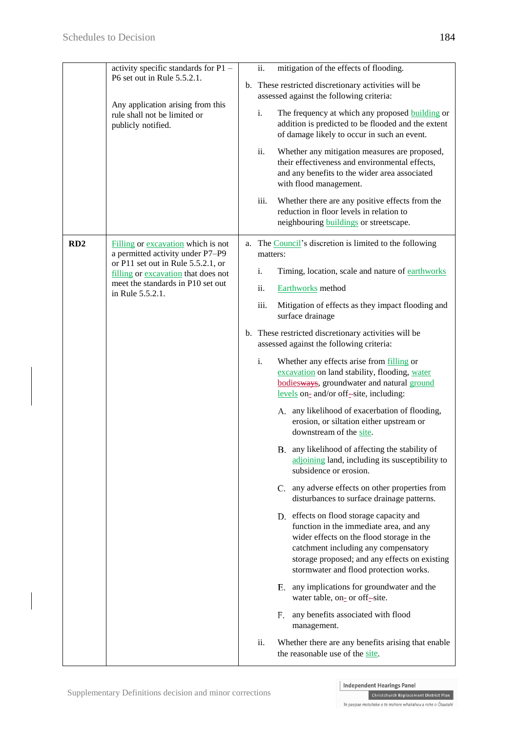|     | activity specific standards for P1 -<br>P6 set out in Rule 5.5.2.1.                     | mitigation of the effects of flooding.<br>ii.                                                                                                                                                                                                                       |
|-----|-----------------------------------------------------------------------------------------|---------------------------------------------------------------------------------------------------------------------------------------------------------------------------------------------------------------------------------------------------------------------|
|     |                                                                                         | b. These restricted discretionary activities will be<br>assessed against the following criteria:                                                                                                                                                                    |
|     | Any application arising from this<br>rule shall not be limited or<br>publicly notified. | i.<br>The frequency at which any proposed building or<br>addition is predicted to be flooded and the extent<br>of damage likely to occur in such an event.                                                                                                          |
|     |                                                                                         | ii.<br>Whether any mitigation measures are proposed,<br>their effectiveness and environmental effects,<br>and any benefits to the wider area associated<br>with flood management.                                                                                   |
|     |                                                                                         | iii.<br>Whether there are any positive effects from the<br>reduction in floor levels in relation to<br>neighbouring <b>buildings</b> or streetscape.                                                                                                                |
| RD2 | Filling or excavation which is not<br>a permitted activity under P7-P9                  | a. The Council's discretion is limited to the following<br>matters:                                                                                                                                                                                                 |
|     | or P11 set out in Rule 5.5.2.1, or<br>filling or excavation that does not               | i.<br>Timing, location, scale and nature of earthworks                                                                                                                                                                                                              |
|     | meet the standards in P10 set out<br>in Rule 5.5.2.1.                                   | ii.<br><b>Earthworks</b> method                                                                                                                                                                                                                                     |
|     |                                                                                         | iii.<br>Mitigation of effects as they impact flooding and<br>surface drainage                                                                                                                                                                                       |
|     |                                                                                         | b. These restricted discretionary activities will be<br>assessed against the following criteria:                                                                                                                                                                    |
|     |                                                                                         | i.<br>Whether any effects arise from filling or<br>excavation on land stability, flooding, water<br>bodiesways, groundwater and natural ground<br>levels on- and/or off-site, including:                                                                            |
|     |                                                                                         | A. any likelihood of exacerbation of flooding,<br>erosion, or siltation either upstream or<br>downstream of the site.                                                                                                                                               |
|     |                                                                                         | B. any likelihood of affecting the stability of<br>adjoining land, including its susceptibility to<br>subsidence or erosion.                                                                                                                                        |
|     |                                                                                         | C. any adverse effects on other properties from<br>disturbances to surface drainage patterns.                                                                                                                                                                       |
|     |                                                                                         | D. effects on flood storage capacity and<br>function in the immediate area, and any<br>wider effects on the flood storage in the<br>catchment including any compensatory<br>storage proposed; and any effects on existing<br>stormwater and flood protection works. |
|     |                                                                                         | any implications for groundwater and the<br>Е.<br>water table, on- or off-site.                                                                                                                                                                                     |
|     |                                                                                         | any benefits associated with flood<br>F.<br>management.                                                                                                                                                                                                             |
|     |                                                                                         | ii.<br>Whether there are any benefits arising that enable<br>the reasonable use of the site.                                                                                                                                                                        |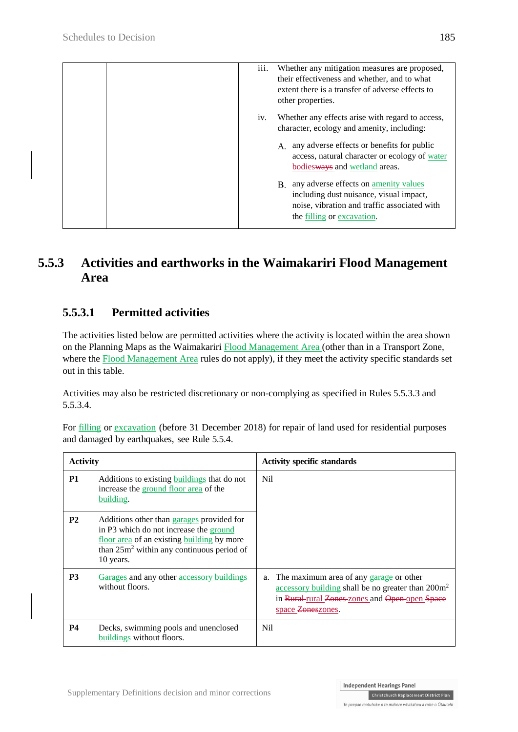| iii.<br>Whether any mitigation measures are proposed,<br>their effectiveness and whether, and to what<br>extent there is a transfer of adverse effects to<br>other properties. |
|--------------------------------------------------------------------------------------------------------------------------------------------------------------------------------|
| Whether any effects arise with regard to access,<br>1V <sub>1</sub><br>character, ecology and amenity, including:                                                              |
| any adverse effects or benefits for public<br>А.<br>access, natural character or ecology of water<br>bodiesways and wetland areas.                                             |
| any adverse effects on amenity values<br>B.<br>including dust nuisance, visual impact,<br>noise, vibration and traffic associated with<br>the filling or excavation.           |

## **5.5.3 Activities and earthworks in the Waimakariri Flood Management Area**

## **5.5.3.1 Permitted activities**

The activities listed below are permitted activities where the activity is located within the area shown on the Planning Maps as the Waimakariri Flood Management Area (other than in a Transport Zone, where the Flood Management Area rules do not apply), if they meet the activity specific standards set out in this table.

Activities may also be restricted discretionary or non-complying as specified in Rules 5.5.3.3 and 5.5.3.4.

| <b>Activity</b> |                                                                                                                                                                                                         | <b>Activity specific standards</b>                                                                                                                                                    |
|-----------------|---------------------------------------------------------------------------------------------------------------------------------------------------------------------------------------------------------|---------------------------------------------------------------------------------------------------------------------------------------------------------------------------------------|
| <b>P1</b>       | Additions to existing buildings that do not<br>increase the ground floor area of the<br>building.                                                                                                       | Nil.                                                                                                                                                                                  |
| <b>P2</b>       | Additions other than garages provided for<br>in P3 which do not increase the ground<br>floor area of an existing building by more<br>than 25m <sup>2</sup> within any continuous period of<br>10 years. |                                                                                                                                                                                       |
| <b>P3</b>       | Garages and any other accessory buildings<br>without floors.                                                                                                                                            | The maximum area of any garage or other<br>a.<br>accessory building shall be no greater than 200m <sup>2</sup><br>in Rural-rural Zones-zones and Open-open Space<br>space Zoneszones. |
| <b>P4</b>       | Decks, swimming pools and unenclosed<br>buildings without floors.                                                                                                                                       | Nil                                                                                                                                                                                   |

For filling or excavation (before 31 December 2018) for repair of land used for residential purposes and damaged by earthquakes, see [Rule](http://proposed.districtplanint.ccc.govt.nz/Common/Output/HTMLtoPDF.aspx?HID=25751) 5.5.4.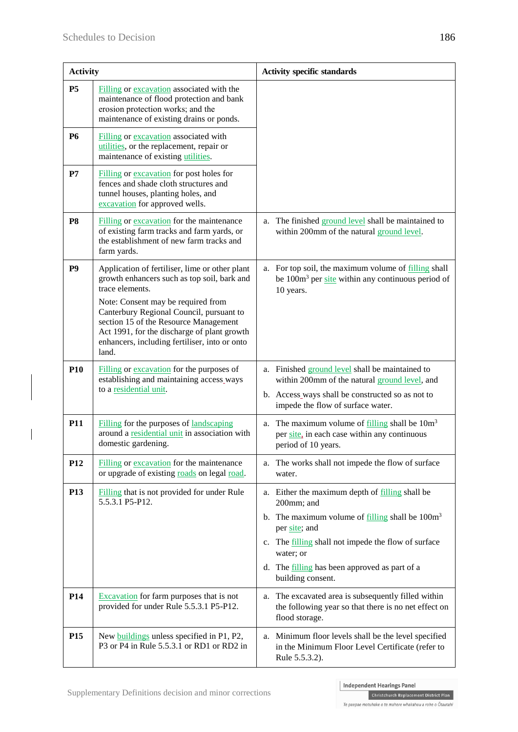$\overline{\phantom{a}}$ 

| <b>Activity</b> |                                                                                                                                                                                                                                                                                                                                                      | <b>Activity specific standards</b>                                                                                                                                                                                                                                                                                                     |  |  |
|-----------------|------------------------------------------------------------------------------------------------------------------------------------------------------------------------------------------------------------------------------------------------------------------------------------------------------------------------------------------------------|----------------------------------------------------------------------------------------------------------------------------------------------------------------------------------------------------------------------------------------------------------------------------------------------------------------------------------------|--|--|
| <b>P5</b>       | Filling or excavation associated with the<br>maintenance of flood protection and bank<br>erosion protection works; and the<br>maintenance of existing drains or ponds.                                                                                                                                                                               |                                                                                                                                                                                                                                                                                                                                        |  |  |
| <b>P6</b>       | Filling or excavation associated with<br>utilities, or the replacement, repair or<br>maintenance of existing utilities.                                                                                                                                                                                                                              |                                                                                                                                                                                                                                                                                                                                        |  |  |
| P7              | Filling or excavation for post holes for<br>fences and shade cloth structures and<br>tunnel houses, planting holes, and<br>excavation for approved wells.                                                                                                                                                                                            |                                                                                                                                                                                                                                                                                                                                        |  |  |
| P <sub>8</sub>  | Filling or excavation for the maintenance<br>of existing farm tracks and farm yards, or<br>the establishment of new farm tracks and<br>farm yards.                                                                                                                                                                                                   | The finished ground level shall be maintained to<br>a.<br>within 200mm of the natural ground level.                                                                                                                                                                                                                                    |  |  |
| P <sub>9</sub>  | Application of fertiliser, lime or other plant<br>growth enhancers such as top soil, bark and<br>trace elements.<br>Note: Consent may be required from<br>Canterbury Regional Council, pursuant to<br>section 15 of the Resource Management<br>Act 1991, for the discharge of plant growth<br>enhancers, including fertiliser, into or onto<br>land. | a. For top soil, the maximum volume of filling shall<br>be $100m3$ per site within any continuous period of<br>10 years.                                                                                                                                                                                                               |  |  |
| <b>P10</b>      | Filling or excavation for the purposes of<br>establishing and maintaining access_ways<br>to a residential unit.                                                                                                                                                                                                                                      | a. Finished ground level shall be maintained to<br>within 200mm of the natural ground level, and<br>b. Access_ways shall be constructed so as not to<br>impede the flow of surface water.                                                                                                                                              |  |  |
| <b>P11</b>      | Filling for the purposes of landscaping<br>around a residential unit in association with<br>domestic gardening.                                                                                                                                                                                                                                      | The maximum volume of $\frac{filling}{falling}$ shall be $10m3$<br>a.<br>per site, in each case within any continuous<br>period of 10 years.                                                                                                                                                                                           |  |  |
| P <sub>12</sub> | Filling or excavation for the maintenance<br>or upgrade of existing roads on legal road.                                                                                                                                                                                                                                                             | The works shall not impede the flow of surface<br>a.<br>water.                                                                                                                                                                                                                                                                         |  |  |
| P <sub>13</sub> | Filling that is not provided for under Rule<br>5.5.3.1 P5-P12.                                                                                                                                                                                                                                                                                       | a. Either the maximum depth of filling shall be<br>200mm; and<br>b. The maximum volume of $\frac{f_{\text{illing}}}{f_{\text{illing}}}$ shall be $100 \text{m}^3$<br>per site; and<br>The <u>filling</u> shall not impede the flow of surface<br>c.<br>water; or<br>d. The filling has been approved as part of a<br>building consent. |  |  |
| P <sub>14</sub> | <b>Excavation</b> for farm purposes that is not<br>provided for under Rule 5.5.3.1 P5-P12.                                                                                                                                                                                                                                                           | The excavated area is subsequently filled within<br>a.<br>the following year so that there is no net effect on<br>flood storage.                                                                                                                                                                                                       |  |  |
| <b>P15</b>      | New buildings unless specified in P1, P2,<br>P3 or P4 in Rule 5.5.3.1 or RD1 or RD2 in                                                                                                                                                                                                                                                               | Minimum floor levels shall be the level specified<br>a.<br>in the Minimum Floor Level Certificate (refer to<br>Rule 5.5.3.2).                                                                                                                                                                                                          |  |  |

Christchurch Replacement District Plan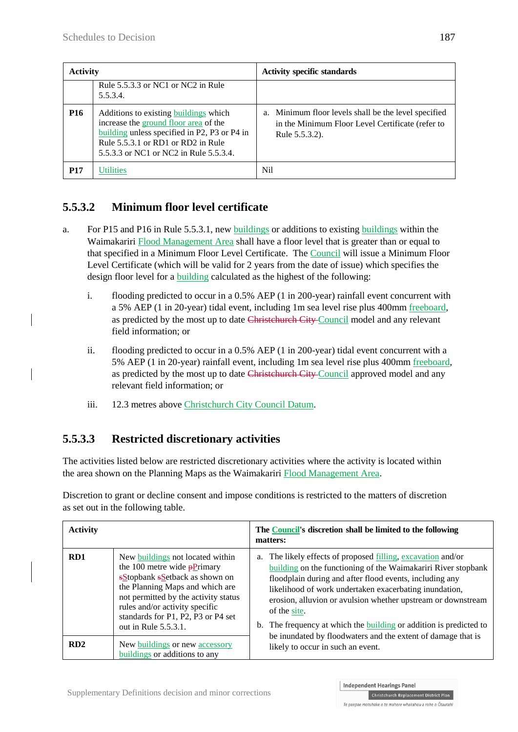| <b>Activity</b> |                                                                                                                                                                                                                | <b>Activity specific standards</b>                                                                                         |  |
|-----------------|----------------------------------------------------------------------------------------------------------------------------------------------------------------------------------------------------------------|----------------------------------------------------------------------------------------------------------------------------|--|
|                 | Rule 5.5.3.3 or NC1 or NC2 in Rule<br>5.5.3.4.                                                                                                                                                                 |                                                                                                                            |  |
| <b>P16</b>      | Additions to existing buildings which<br>increase the ground floor area of the<br>building unless specified in P2, P3 or P4 in<br>Rule 5.5.3.1 or RD1 or RD2 in Rule<br>5.5.3.3 or NC1 or NC2 in Rule 5.5.3.4. | a. Minimum floor levels shall be the level specified<br>in the Minimum Floor Level Certificate (refer to<br>Rule 5.5.3.2). |  |
| <b>P17</b>      | Utilities                                                                                                                                                                                                      | Nil                                                                                                                        |  |

## **5.5.3.2 Minimum floor level certificate**

- a. For P15 and P16 in Rule 5.5.3.1, new buildings or additions to existing buildings within the Waimakariri Flood Management Area shall have a floor level that is greater than or equal to that specified in a Minimum Floor Level Certificate. The Council will issue a Minimum Floor Level Certificate (which will be valid for 2 years from the date of issue) which specifies the design floor level for a building calculated as the highest of the following:
	- i. flooding predicted to occur in a 0.5% AEP (1 in 200-year) rainfall event concurrent with a 5% AEP (1 in 20-year) tidal event, including 1m sea level rise plus 400mm freeboard, as predicted by the most up to date Christehurch City Council model and any relevant field information; or
	- ii. flooding predicted to occur in a 0.5% AEP (1 in 200-year) tidal event concurrent with a 5% AEP (1 in 20-year) rainfall event, including 1m sea level rise plus 400mm freeboard, as predicted by the most up to date Christehurch City Council approved model and any relevant field information; or
	- iii. 12.3 metres above Christchurch City Council Datum.

### **5.5.3.3 Restricted discretionary activities**

The activities listed below are restricted discretionary activities where the activity is located within the area shown on the Planning Maps as the Waimakariri Flood Management Area.

Discretion to grant or decline consent and impose conditions is restricted to the matters of discretion as set out in the following table.

| <b>Activity</b> |                                                                                                                                                                                                                                                                                           | The Council's discretion shall be limited to the following<br>matters:                                                                                                                                                                                                                                                                                                                                                 |  |  |
|-----------------|-------------------------------------------------------------------------------------------------------------------------------------------------------------------------------------------------------------------------------------------------------------------------------------------|------------------------------------------------------------------------------------------------------------------------------------------------------------------------------------------------------------------------------------------------------------------------------------------------------------------------------------------------------------------------------------------------------------------------|--|--|
| RD <sub>1</sub> | New buildings not located within<br>the 100 metre wide $\frac{100}{9}$ metre<br>sStopbank sSetback as shown on<br>the Planning Maps and which are<br>not permitted by the activity status<br>rules and/or activity specific<br>standards for P1, P2, P3 or P4 set<br>out in Rule 5.5.3.1. | a. The likely effects of proposed filling, excavation and/or<br><b>building</b> on the functioning of the Waimakariri River stopbank<br>floodplain during and after flood events, including any<br>likelihood of work undertaken exacerbating inundation,<br>erosion, alluvion or avulsion whether upstream or downstream<br>of the site.<br>b. The frequency at which the <b>building</b> or addition is predicted to |  |  |
| RD2             | New buildings or new accessory<br>buildings or additions to any                                                                                                                                                                                                                           | be inundated by floodwaters and the extent of damage that is<br>likely to occur in such an event.                                                                                                                                                                                                                                                                                                                      |  |  |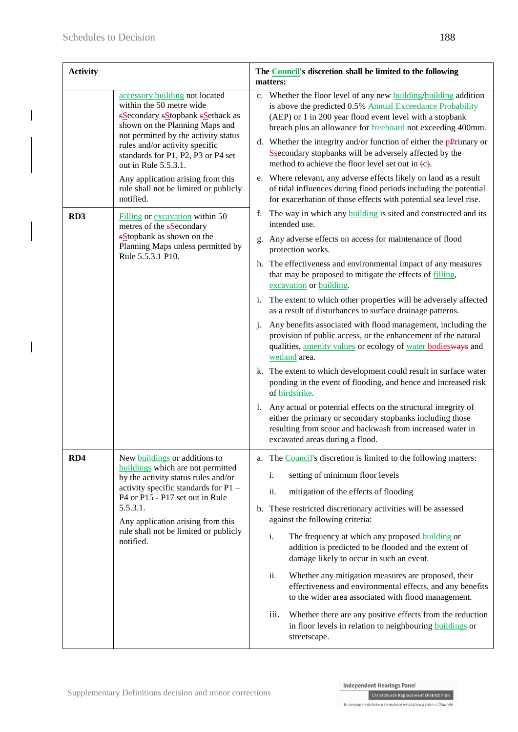| <b>Activity</b> |                                                                                                                                                                                                                                                                          | The <b>Council</b> 's discretion shall be limited to the following<br>matters:                                                                                                                                                                                                                                                                                                                                                                      |  |  |
|-----------------|--------------------------------------------------------------------------------------------------------------------------------------------------------------------------------------------------------------------------------------------------------------------------|-----------------------------------------------------------------------------------------------------------------------------------------------------------------------------------------------------------------------------------------------------------------------------------------------------------------------------------------------------------------------------------------------------------------------------------------------------|--|--|
|                 | accessory building not located<br>within the 50 metre wide<br>sSecondary sStopbank sSetback as<br>shown on the Planning Maps and<br>not permitted by the activity status<br>rules and/or activity specific<br>standards for P1, P2, P3 or P4 set<br>out in Rule 5.5.3.1. | c. Whether the floor level of any new building/building addition<br>is above the predicted 0.5% Annual Exceedance Probability<br>(AEP) or 1 in 200 year flood event level with a stopbank<br>breach plus an allowance for freeboard not exceeding 400mm.<br>d. Whether the integrity and/or function of either the $p$ Primary or<br>Ssecondary stopbanks will be adversely affected by the<br>method to achieve the floor level set out in $(c)$ . |  |  |
|                 | Any application arising from this<br>rule shall not be limited or publicly<br>notified.                                                                                                                                                                                  | e. Where relevant, any adverse effects likely on land as a result<br>of tidal influences during flood periods including the potential<br>for exacerbation of those effects with potential sea level rise.                                                                                                                                                                                                                                           |  |  |
| RD <sub>3</sub> | Filling or excavation within 50<br>metres of the s <b>S</b> econdary                                                                                                                                                                                                     | The way in which any <b>building</b> is sited and constructed and its<br>f.<br>intended use.                                                                                                                                                                                                                                                                                                                                                        |  |  |
|                 | sStopbank as shown on the<br>Planning Maps unless permitted by<br>Rule 5.5.3.1 P10.                                                                                                                                                                                      | Any adverse effects on access for maintenance of flood<br>g.<br>protection works.                                                                                                                                                                                                                                                                                                                                                                   |  |  |
|                 |                                                                                                                                                                                                                                                                          | h. The effectiveness and environmental impact of any measures<br>that may be proposed to mitigate the effects of filling,<br>excavation or building.                                                                                                                                                                                                                                                                                                |  |  |
|                 |                                                                                                                                                                                                                                                                          | The extent to which other properties will be adversely affected<br>i.<br>as a result of disturbances to surface drainage patterns.                                                                                                                                                                                                                                                                                                                  |  |  |
|                 |                                                                                                                                                                                                                                                                          | Any benefits associated with flood management, including the<br>j.<br>provision of public access, or the enhancement of the natural<br>qualities, amenity values or ecology of water bodiesways and<br>wetland area.                                                                                                                                                                                                                                |  |  |
|                 |                                                                                                                                                                                                                                                                          | k. The extent to which development could result in surface water<br>ponding in the event of flooding, and hence and increased risk<br>of birdstrike.                                                                                                                                                                                                                                                                                                |  |  |
|                 |                                                                                                                                                                                                                                                                          | Any actual or potential effects on the structural integrity of<br>1.<br>either the primary or secondary stopbanks including those<br>resulting from scour and backwash from increased water in<br>excavated areas during a flood.                                                                                                                                                                                                                   |  |  |
| RD4             | New buildings or additions to<br>buildings which are not permitted                                                                                                                                                                                                       | a. The Council's discretion is limited to the following matters:                                                                                                                                                                                                                                                                                                                                                                                    |  |  |
|                 | by the activity status rules and/or<br>activity specific standards for P1 -<br>P4 or P15 - P17 set out in Rule<br>5.5.3.1.<br>Any application arising from this<br>rule shall not be limited or publicly<br>notified.                                                    | setting of minimum floor levels<br>i.                                                                                                                                                                                                                                                                                                                                                                                                               |  |  |
|                 |                                                                                                                                                                                                                                                                          | mitigation of the effects of flooding<br>ii.                                                                                                                                                                                                                                                                                                                                                                                                        |  |  |
|                 |                                                                                                                                                                                                                                                                          | b. These restricted discretionary activities will be assessed<br>against the following criteria:                                                                                                                                                                                                                                                                                                                                                    |  |  |
|                 |                                                                                                                                                                                                                                                                          | i.<br>The frequency at which any proposed <b>building</b> or<br>addition is predicted to be flooded and the extent of<br>damage likely to occur in such an event.                                                                                                                                                                                                                                                                                   |  |  |
|                 |                                                                                                                                                                                                                                                                          | Whether any mitigation measures are proposed, their<br>ii.<br>effectiveness and environmental effects, and any benefits<br>to the wider area associated with flood management.                                                                                                                                                                                                                                                                      |  |  |
|                 |                                                                                                                                                                                                                                                                          | Whether there are any positive effects from the reduction<br>iii.<br>in floor levels in relation to neighbouring buildings or<br>streetscape.                                                                                                                                                                                                                                                                                                       |  |  |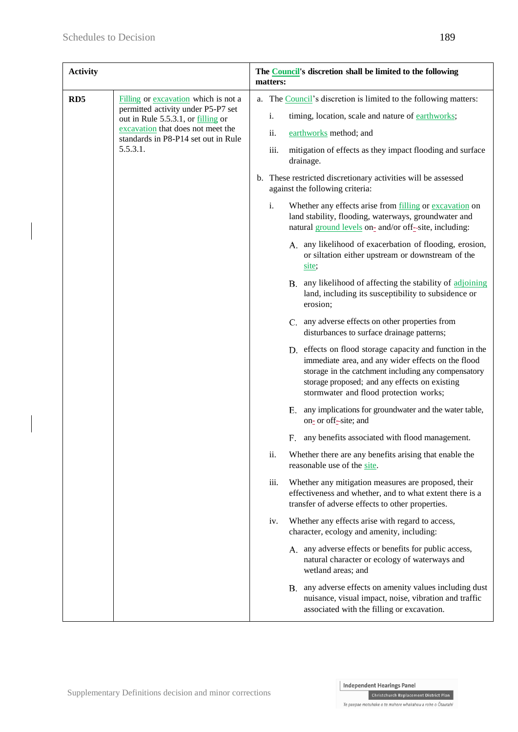| <b>Activity</b> |                                                                                                                                                                                                          | The <b>Council</b> 's discretion shall be limited to the following<br>matters: |                   |                                                                                                                                                                                                                                                                                            |
|-----------------|----------------------------------------------------------------------------------------------------------------------------------------------------------------------------------------------------------|--------------------------------------------------------------------------------|-------------------|--------------------------------------------------------------------------------------------------------------------------------------------------------------------------------------------------------------------------------------------------------------------------------------------|
| RD <sub>5</sub> | Filling or excavation which is not a<br>permitted activity under P5-P7 set<br>out in Rule 5.5.3.1, or filling or<br>excavation that does not meet the<br>standards in P8-P14 set out in Rule<br>5.5.3.1. |                                                                                | i.<br>ii.<br>iii. | a. The Council's discretion is limited to the following matters:<br>timing, location, scale and nature of earthworks;<br>earthworks method; and<br>mitigation of effects as they impact flooding and surface<br>drainage.<br>b. These restricted discretionary activities will be assessed |
|                 |                                                                                                                                                                                                          |                                                                                | i.                | against the following criteria:<br>Whether any effects arise from filling or excavation on<br>land stability, flooding, waterways, groundwater and<br>natural ground levels on- and/or off-site, including:                                                                                |
|                 |                                                                                                                                                                                                          |                                                                                |                   | A. any likelihood of exacerbation of flooding, erosion,<br>or siltation either upstream or downstream of the<br>site;                                                                                                                                                                      |
|                 |                                                                                                                                                                                                          |                                                                                |                   | B. any likelihood of affecting the stability of adjoining<br>land, including its susceptibility to subsidence or<br>erosion;                                                                                                                                                               |
|                 |                                                                                                                                                                                                          |                                                                                |                   | C. any adverse effects on other properties from<br>disturbances to surface drainage patterns;                                                                                                                                                                                              |
|                 |                                                                                                                                                                                                          |                                                                                |                   | D. effects on flood storage capacity and function in the<br>immediate area, and any wider effects on the flood<br>storage in the catchment including any compensatory<br>storage proposed; and any effects on existing<br>stormwater and flood protection works;                           |
|                 |                                                                                                                                                                                                          |                                                                                |                   | any implications for groundwater and the water table,<br>Е.<br>on- or off-site; and                                                                                                                                                                                                        |
|                 |                                                                                                                                                                                                          |                                                                                |                   | any benefits associated with flood management.<br>F.                                                                                                                                                                                                                                       |
|                 |                                                                                                                                                                                                          |                                                                                | ii.               | Whether there are any benefits arising that enable the<br>reasonable use of the site.                                                                                                                                                                                                      |
|                 |                                                                                                                                                                                                          |                                                                                | iii.              | Whether any mitigation measures are proposed, their<br>effectiveness and whether, and to what extent there is a<br>transfer of adverse effects to other properties.                                                                                                                        |
|                 |                                                                                                                                                                                                          |                                                                                | iv.               | Whether any effects arise with regard to access,<br>character, ecology and amenity, including:                                                                                                                                                                                             |
|                 |                                                                                                                                                                                                          |                                                                                |                   | A. any adverse effects or benefits for public access,<br>natural character or ecology of waterways and<br>wetland areas; and                                                                                                                                                               |
|                 |                                                                                                                                                                                                          |                                                                                |                   | B. any adverse effects on amenity values including dust<br>nuisance, visual impact, noise, vibration and traffic<br>associated with the filling or excavation.                                                                                                                             |

 $\label{thm:chh}$  Christchurch Replacement District Plan Te paepae motuhake o te mahere whakahou a rohe o Ōtautahi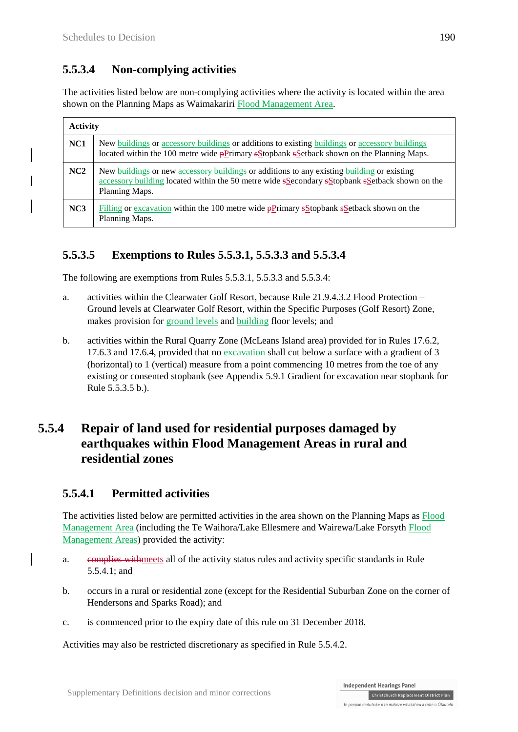## **5.5.3.4 Non-complying activities**

The activities listed below are non-complying activities where the activity is located within the area shown on the Planning Maps as Waimakariri Flood Management Area.

| <b>Activity</b> |                                                                                                                                                                                                                |
|-----------------|----------------------------------------------------------------------------------------------------------------------------------------------------------------------------------------------------------------|
| NC <sub>1</sub> | New buildings or accessory buildings or additions to existing buildings or accessory buildings<br>located within the 100 metre wide pPrimary sStopbank sSetback shown on the Planning Maps.                    |
| NC2             | New buildings or new accessory buildings or additions to any existing building or existing<br>accessory building located within the 50 metre wide sSecondary sStopbank sSetback shown on the<br>Planning Maps. |
| NC3             | Filling or excavation within the 100 metre wide $\frac{P}{P}$ mary sStopbank sSetback shown on the<br>Planning Maps.                                                                                           |

## **5.5.3.5 Exemptions to Rules 5.5.3.1, 5.5.3.3 and 5.5.3.4**

The following are exemptions from Rules 5.5.3.1, 5.5.3.3 and 5.5.3.4:

- a. activities within the Clearwater Golf Resort, because Rule 21.9.4.3.2 Flood Protection Ground levels at Clearwater Golf Resort, within the Specific Purposes (Golf Resort) Zone, makes provision for ground levels and building floor levels; and
- b. activities within the Rural Quarry Zone (McLeans Island area) provided for in Rules 17.6.2, 17.6.3 and 17.6.4, provided that no excavation shall cut below a surface with a gradient of 3 (horizontal) to 1 (vertical) measure from a point commencing 10 metres from the toe of any existing or consented stopbank (see Appendix 5.9.1 Gradient for excavation near stopbank for Rule 5.5.3.5 b.).

## **5.5.4 Repair of land used for residential purposes damaged by earthquakes within Flood Management Areas in rural and residential zones**

## **5.5.4.1 Permitted activities**

The activities listed below are permitted activities in the area shown on the Planning Maps as Flood Management Area (including the Te Waihora/Lake Ellesmere and Wairewa/Lake Forsyth Flood Management Areas) provided the activity:

- a. complies withmeets all of the activity status rules and activity specific standards in Rule 5.5.4.1; and
- b. occurs in a rural or residential zone (except for the Residential Suburban Zone on the corner of Hendersons and Sparks Road); and
- c. is commenced prior to the expiry date of this rule on 31 December 2018.

Activities may also be restricted discretionary as specified in Rule 5.5.4.2.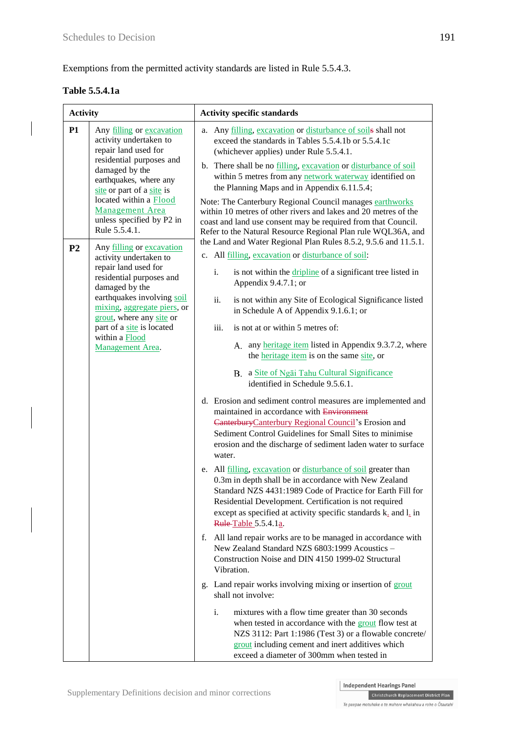Exemptions from the permitted activity standards are listed in Rule 5.5.4.3.

#### **Table 5.5.4.1a**

| <b>Activity</b>                                                        |                                                                                                                                                                                                                                                                                           | <b>Activity specific standards</b>                                                                                                                                                                                                                                                                                                                                                                                                                                                                                                                                                                             |  |  |
|------------------------------------------------------------------------|-------------------------------------------------------------------------------------------------------------------------------------------------------------------------------------------------------------------------------------------------------------------------------------------|----------------------------------------------------------------------------------------------------------------------------------------------------------------------------------------------------------------------------------------------------------------------------------------------------------------------------------------------------------------------------------------------------------------------------------------------------------------------------------------------------------------------------------------------------------------------------------------------------------------|--|--|
| <b>P1</b>                                                              | Any <u>filling</u> or excavation<br>activity undertaken to<br>repair land used for<br>residential purposes and<br>damaged by the<br>earthquakes, where any<br>site or part of a site is<br>located within a Flood<br><b>Management</b> Area<br>unless specified by P2 in<br>Rule 5.5.4.1. | Any filling, excavation or disturbance of soils shall not<br>a.<br>exceed the standards in Tables 5.5.4.1b or 5.5.4.1c<br>(whichever applies) under Rule 5.5.4.1.<br>b. There shall be no filling, excavation or disturbance of soil<br>within 5 metres from any network waterway identified on<br>the Planning Maps and in Appendix 6.11.5.4;<br>Note: The Canterbury Regional Council manages earthworks<br>within 10 metres of other rivers and lakes and 20 metres of the<br>coast and land use consent may be required from that Council.<br>Refer to the Natural Resource Regional Plan rule WQL36A, and |  |  |
| P <sub>2</sub>                                                         | Any filling or excavation                                                                                                                                                                                                                                                                 | the Land and Water Regional Plan Rules 8.5.2, 9.5.6 and 11.5.1.                                                                                                                                                                                                                                                                                                                                                                                                                                                                                                                                                |  |  |
|                                                                        | activity undertaken to<br>repair land used for<br>residential purposes and<br>damaged by the                                                                                                                                                                                              | c. All filling, excavation or disturbance of soil:<br>i.<br>is not within the <i>dripline</i> of a significant tree listed in<br>Appendix $9.4.7.1$ ; or                                                                                                                                                                                                                                                                                                                                                                                                                                                       |  |  |
|                                                                        | earthquakes involving soil<br>mixing, aggregate piers, or<br>grout, where any site or                                                                                                                                                                                                     | is not within any Site of Ecological Significance listed<br>ii.<br>in Schedule A of Appendix 9.1.6.1; or                                                                                                                                                                                                                                                                                                                                                                                                                                                                                                       |  |  |
| part of a site is located<br>within a <b>Flood</b><br>Management Area. | iii.<br>is not at or within 5 metres of:<br>A. any heritage item listed in Appendix 9.3.7.2, where<br>the heritage item is on the same site, or                                                                                                                                           |                                                                                                                                                                                                                                                                                                                                                                                                                                                                                                                                                                                                                |  |  |
|                                                                        |                                                                                                                                                                                                                                                                                           | B. a Site of Ngai Tahu Cultural Significance<br>identified in Schedule 9.5.6.1.                                                                                                                                                                                                                                                                                                                                                                                                                                                                                                                                |  |  |
|                                                                        |                                                                                                                                                                                                                                                                                           | d. Erosion and sediment control measures are implemented and<br>maintained in accordance with Environment<br>Canterbury Canterbury Regional Council's Erosion and<br>Sediment Control Guidelines for Small Sites to minimise<br>erosion and the discharge of sediment laden water to surface<br>water.                                                                                                                                                                                                                                                                                                         |  |  |
|                                                                        |                                                                                                                                                                                                                                                                                           | e. All filling, excavation or disturbance of soil greater than<br>0.3m in depth shall be in accordance with New Zealand<br>Standard NZS 4431:1989 Code of Practice for Earth Fill for<br>Residential Development. Certification is not required<br>except as specified at activity specific standards k <sub>2</sub> and l <sub>2</sub> in<br>Rule Table 5.5.4.1a.                                                                                                                                                                                                                                             |  |  |
|                                                                        |                                                                                                                                                                                                                                                                                           | f. All land repair works are to be managed in accordance with<br>New Zealand Standard NZS 6803:1999 Acoustics -<br>Construction Noise and DIN 4150 1999-02 Structural<br>Vibration.                                                                                                                                                                                                                                                                                                                                                                                                                            |  |  |
|                                                                        |                                                                                                                                                                                                                                                                                           | g. Land repair works involving mixing or insertion of grout<br>shall not involve:                                                                                                                                                                                                                                                                                                                                                                                                                                                                                                                              |  |  |
|                                                                        |                                                                                                                                                                                                                                                                                           | i.<br>mixtures with a flow time greater than 30 seconds<br>when tested in accordance with the grout flow test at<br>NZS 3112: Part 1:1986 (Test 3) or a flowable concrete/<br>grout including cement and inert additives which<br>exceed a diameter of 300mm when tested in                                                                                                                                                                                                                                                                                                                                    |  |  |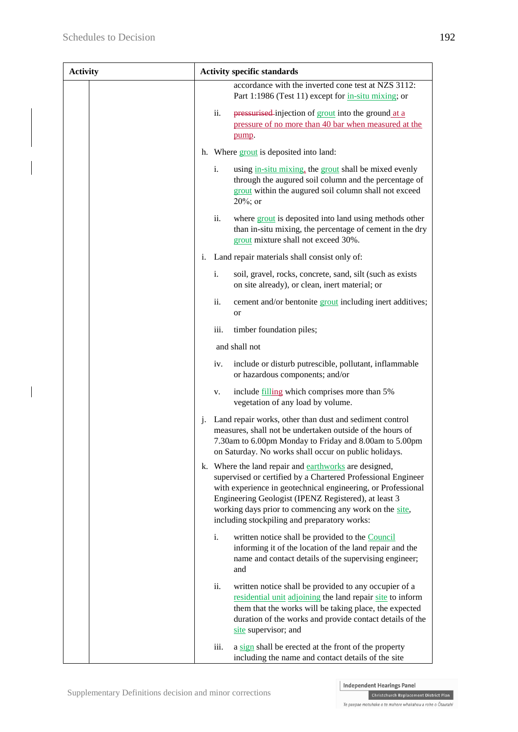| <b>Activity</b> | <b>Activity specific standards</b>                                                                                                                                                                                                                                                                                                                      |  |  |
|-----------------|---------------------------------------------------------------------------------------------------------------------------------------------------------------------------------------------------------------------------------------------------------------------------------------------------------------------------------------------------------|--|--|
|                 | accordance with the inverted cone test at NZS 3112:<br>Part 1:1986 (Test 11) except for in-situ mixing; or                                                                                                                                                                                                                                              |  |  |
|                 | ii.<br>pressurised-injection of grout into the ground at a<br>pressure of no more than 40 bar when measured at the<br>pump.                                                                                                                                                                                                                             |  |  |
|                 | h. Where grout is deposited into land:                                                                                                                                                                                                                                                                                                                  |  |  |
|                 | i.<br>using in-situ mixing, the grout shall be mixed evenly<br>through the augured soil column and the percentage of<br>grout within the augured soil column shall not exceed<br>$20\%$ ; or                                                                                                                                                            |  |  |
|                 | ii.<br>where grout is deposited into land using methods other<br>than in-situ mixing, the percentage of cement in the dry<br>grout mixture shall not exceed 30%.                                                                                                                                                                                        |  |  |
|                 | Land repair materials shall consist only of:<br>i.                                                                                                                                                                                                                                                                                                      |  |  |
|                 | i.<br>soil, gravel, rocks, concrete, sand, silt (such as exists<br>on site already), or clean, inert material; or                                                                                                                                                                                                                                       |  |  |
|                 | ii.<br>cement and/or bentonite grout including inert additives;<br>or                                                                                                                                                                                                                                                                                   |  |  |
|                 | iii.<br>timber foundation piles;                                                                                                                                                                                                                                                                                                                        |  |  |
|                 | and shall not                                                                                                                                                                                                                                                                                                                                           |  |  |
|                 | include or disturb putrescible, pollutant, inflammable<br>iv.<br>or hazardous components; and/or                                                                                                                                                                                                                                                        |  |  |
|                 | include filling which comprises more than 5%<br>v.<br>vegetation of any load by volume.                                                                                                                                                                                                                                                                 |  |  |
|                 | Land repair works, other than dust and sediment control<br>j.<br>measures, shall not be undertaken outside of the hours of<br>7.30am to 6.00pm Monday to Friday and 8.00am to 5.00pm<br>on Saturday. No works shall occur on public holidays.                                                                                                           |  |  |
|                 | k. Where the land repair and earthworks are designed,<br>supervised or certified by a Chartered Professional Engineer<br>with experience in geotechnical engineering, or Professional<br>Engineering Geologist (IPENZ Registered), at least 3<br>working days prior to commencing any work on the site,<br>including stockpiling and preparatory works: |  |  |
|                 | i.<br>written notice shall be provided to the Council<br>informing it of the location of the land repair and the<br>name and contact details of the supervising engineer;<br>and                                                                                                                                                                        |  |  |
|                 | ii.<br>written notice shall be provided to any occupier of a<br>residential unit adjoining the land repair site to inform<br>them that the works will be taking place, the expected<br>duration of the works and provide contact details of the<br>site supervisor; and                                                                                 |  |  |
|                 | iii.<br>a sign shall be erected at the front of the property<br>including the name and contact details of the site                                                                                                                                                                                                                                      |  |  |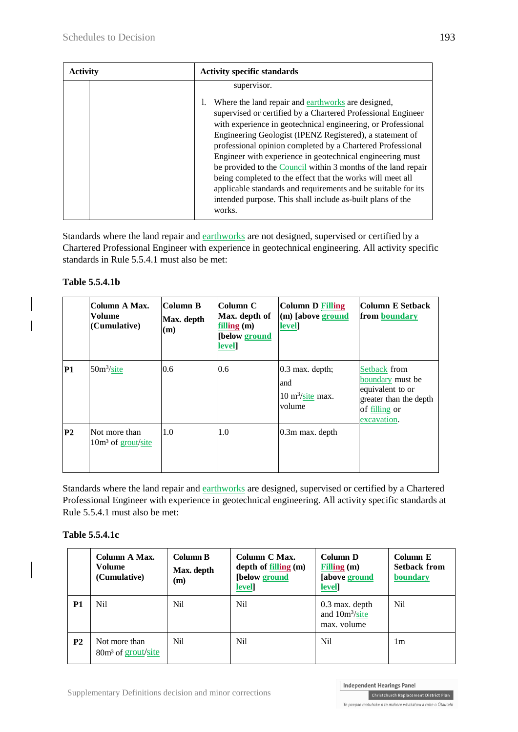| <b>Activity</b> | <b>Activity specific standards</b>                                                                                                                                                                                                                                                                                                                                                                                                                                                                                                                                                                                                                |  |
|-----------------|---------------------------------------------------------------------------------------------------------------------------------------------------------------------------------------------------------------------------------------------------------------------------------------------------------------------------------------------------------------------------------------------------------------------------------------------------------------------------------------------------------------------------------------------------------------------------------------------------------------------------------------------------|--|
|                 | supervisor.                                                                                                                                                                                                                                                                                                                                                                                                                                                                                                                                                                                                                                       |  |
|                 | Where the land repair and earthworks are designed,<br>supervised or certified by a Chartered Professional Engineer<br>with experience in geotechnical engineering, or Professional<br>Engineering Geologist (IPENZ Registered), a statement of<br>professional opinion completed by a Chartered Professional<br>Engineer with experience in geotechnical engineering must<br>be provided to the Council within 3 months of the land repair<br>being completed to the effect that the works will meet all<br>applicable standards and requirements and be suitable for its<br>intended purpose. This shall include as-built plans of the<br>works. |  |

Standards where the land repair and earthworks are not designed, supervised or certified by a Chartered Professional Engineer with experience in geotechnical engineering. All activity specific standards in Rule 5.5.4.1 must also be met:

#### **Table 5.5.4.1b**

|                | Column A Max.<br>Volume<br>(Cumulative) | Column B<br>Max. depth<br>(m) | Column C<br>Max. depth of<br>filling $(m)$<br>[below ground<br>level] | Column D Filling<br>(m) [above ground<br>level]                         | <b>Column E Setback</b><br>from boundary                                                                       |
|----------------|-----------------------------------------|-------------------------------|-----------------------------------------------------------------------|-------------------------------------------------------------------------|----------------------------------------------------------------------------------------------------------------|
| P1             | $50m^3\text{/site}$                     | 0.6                           | 0.6                                                                   | $0.3$ max. depth;<br>and<br>$10 \text{ m}^3/\text{site max.}$<br>volume | Setback from<br>boundary must be<br>equivalent to or<br>greater than the depth<br>of filling or<br>excavation. |
| P <sub>2</sub> | Not more than<br>$10m3$ of grout/site   | 1.0                           | 1.0                                                                   | $0.3m$ max. depth                                                       |                                                                                                                |

Standards where the land repair and earthworks are designed, supervised or certified by a Chartered Professional Engineer with experience in geotechnical engineering. All activity specific standards at Rule 5.5.4.1 must also be met:

#### **Table 5.5.4.1c**

|           | Column A Max.<br>Volume<br>(Cumulative)         | Column B<br>Max. depth<br>(m) | Column C Max.<br>depth of $filling(m)$<br>[below ground<br>level] | Column D<br>Filling $(m)$<br>[above ground<br>level]          | Column E<br><b>Setback from</b><br>boundary |
|-----------|-------------------------------------------------|-------------------------------|-------------------------------------------------------------------|---------------------------------------------------------------|---------------------------------------------|
| P1        | N <sub>i</sub> l                                | Nil.                          | Nil.                                                              | $0.3$ max. depth<br>and 10m <sup>3</sup> /site<br>max. volume | Nil.                                        |
| <b>P2</b> | Not more than<br>80m <sup>3</sup> of grout/site | Nil                           | N <sub>il</sub>                                                   | N <sub>i</sub> l                                              | 1m                                          |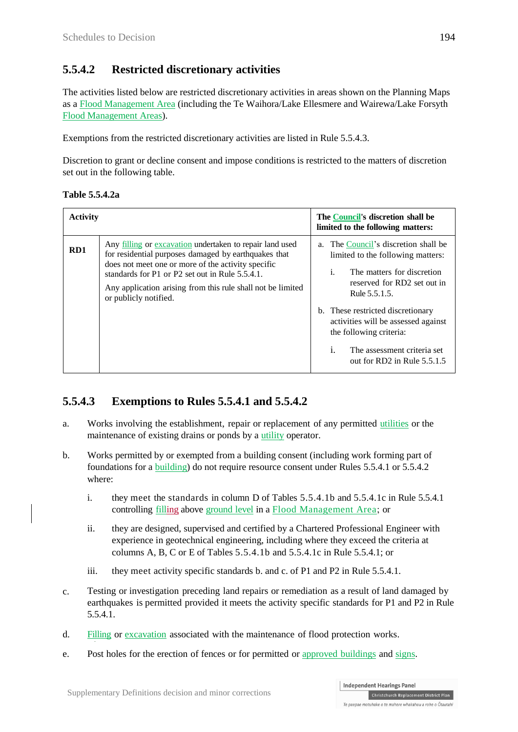## **5.5.4.2 Restricted discretionary activities**

The activities listed below are restricted discretionary activities in areas shown on the Planning Maps as a Flood Management Area (including the Te Waihora/Lake Ellesmere and Wairewa/Lake Forsyth Flood Management Areas).

Exemptions from the restricted discretionary activities are listed in Rule 5.5.4.3.

Discretion to grant or decline consent and impose conditions is restricted to the matters of discretion set out in the following table.

| Table 5.5.4.2a |
|----------------|
|                |

| <b>Activity</b> |                                                                                                                                                                                                                                                                                                                      | The Council's discretion shall be<br>limited to the following matters:                                                                                                                                                                                                                                                                                             |
|-----------------|----------------------------------------------------------------------------------------------------------------------------------------------------------------------------------------------------------------------------------------------------------------------------------------------------------------------|--------------------------------------------------------------------------------------------------------------------------------------------------------------------------------------------------------------------------------------------------------------------------------------------------------------------------------------------------------------------|
| RD1             | Any filling or excavation undertaken to repair land used<br>for residential purposes damaged by earthquakes that<br>does not meet one or more of the activity specific<br>standards for P1 or P2 set out in Rule $5.5.4.1$ .<br>Any application arising from this rule shall not be limited<br>or publicly notified. | a. The Council's discretion shall be<br>limited to the following matters:<br>$\mathbf{i}$ .<br>The matters for discretion<br>reserved for RD2 set out in<br>Rule 5.5.1.5.<br>b. These restricted discretionary<br>activities will be assessed against<br>the following criteria:<br>The assessment criteria set<br>$\mathbf{1}$ .<br>out for RD2 in Rule $5.5.1.5$ |

## **5.5.4.3 Exemptions to Rules 5.5.4.1 and 5.5.4.2**

- a. Works involving the establishment, repair or replacement of any permitted utilities or the maintenance of existing drains or ponds by a utility operator.
- b. Works permitted by or exempted from a building consent (including work forming part of foundations for a building) do not require resource consent under Rules [5.5.4.1 o](http://proposed.districtplanint.ccc.govt.nz/Common/Output/HTMLtoPDF.aspx?HID=25786)[r 5.5.4.2](http://proposed.districtplanint.ccc.govt.nz/Common/Output/HTMLtoPDF.aspx?HID=25787)  where:
	- i. they meet the standards in column D of Tables 5.5.4.1b and 5.5.4.1c in Rule [5.5.4.1](http://proposed.districtplanint.ccc.govt.nz/Common/Output/HTMLtoPDF.aspx?HID=25786) controlling filling above ground level in a Flood Management Area; or
	- ii. they are designed, supervised and certified by a Chartered Professional Engineer with experience in geotechnical engineering, including where they exceed the criteria at columns A, B, C or E of Tables 5.5.4.1b and 5.5.4.1c in Rule 5.5.4.1; or
	- iii. they meet activity specific standards b. and c. of P1 and P2 in Rule 5.5.4.1.
- c. Testing or investigation preceding land repairs or remediation as a result of land damaged by earthquakes is permitted provided it meets the activity specific standards for P1 and P2 in [Rule](http://proposed.districtplanint.ccc.govt.nz/Common/Output/HTMLtoPDF.aspx?HID=25786) [5.5.4.1.](http://proposed.districtplanint.ccc.govt.nz/Common/Output/HTMLtoPDF.aspx?HID=25786)
- d. Filling or excavation associated with the maintenance of flood protection works.
- e. Post holes for the erection of fences or for permitted or approved buildings and signs.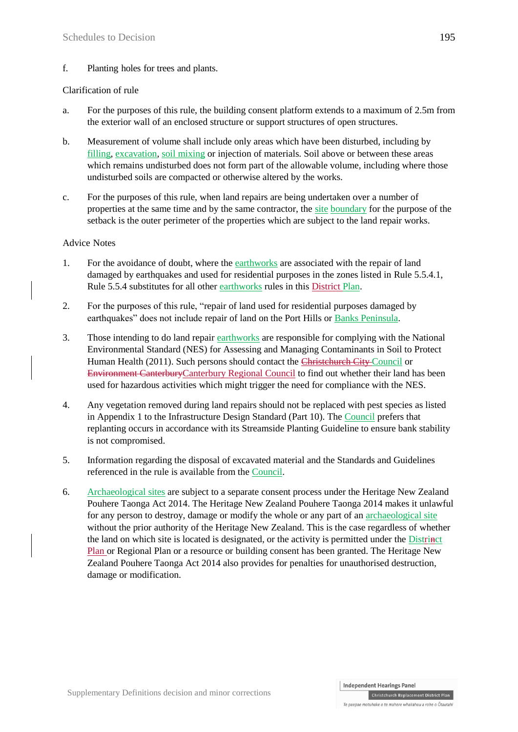f. Planting holes for trees and plants.

#### Clarification of rule

- a. For the purposes of this rule, the building consent platform extends to a maximum of 2.5m from the exterior wall of an enclosed structure or support structures of open structures.
- b. Measurement of volume shall include only areas which have been disturbed, including by filling, excavation, soil mixing or injection of materials. Soil above or between these areas which remains undisturbed does not form part of the allowable volume, including where those undisturbed soils are compacted or otherwise altered by the works.
- c. For the purposes of this rule, when land repairs are being undertaken over a number of properties at the same time and by the same contractor, the site boundary for the purpose of the setback is the outer perimeter of the properties which are subject to the land repair works.

#### Advice Notes

- 1. For the avoidance of doubt, where the earthworks are associated with the repair of land damaged by earthquakes and used for residential purposes in the zones listed in [Rule 5.5.4.1,](http://proposed.districtplanint.ccc.govt.nz/Common/Output/HTMLtoPDF.aspx?HID=25786) [Rule 5.5.4](http://proposed.districtplanint.ccc.govt.nz/Common/Output/HTMLtoPDF.aspx?HID=25751) substitutes for all other earthworks rules in this District Plan.
- 2. For the purposes of this rule, "repair of land used for residential purposes damaged by earthquakes" does not include repair of land on the Port Hills or Banks Peninsula.
- 3. Those intending to do land repair earthworks [are responsible for complying with the National](http://www.legislation.govt.nz/regulation/public/2011/0361/latest/DLM4052228.html?search=ts_regulation_contaminants_resel&p=1&sr=1)  [Environmental Standard \(NES\) for Assessing and Managing Contaminants in Soil to Protect](http://www.legislation.govt.nz/regulation/public/2011/0361/latest/DLM4052228.html?search=ts_regulation_contaminants_resel&p=1&sr=1)  Human Health (2011). Such persons should contact the Christenarie City Council or Environment CanterburyCanterbury Regional Council to find out whether their land has been used for hazardous activities which might trigger the need for compliance with the [NES.](http://www.legislation.govt.nz/regulation/public/2011/0361/latest/DLM4052228.html?search=ts_regulation_contaminants_resel&p=1&sr=1)
- 4. Any vegetation removed during land repairs should not be replaced with pest species as listed in Appendix 1 to the [Infrastructure Design Standard \(](http://www.ccc.govt.nz/business/constructiondevelopment/infrastructuredeSignstandard.aspx)Part 10). The Council prefers that replanting occurs in accordance with its Streamside Planting Guideline to ensure bank stability is not compromised.
- 5. Information regarding the disposal of excavated material and the Standards and Guidelines referenced in the rule is available from the Council.
- 6. Archaeological sites are subject to a separate consent process under the Heritage New Zealand Pouhere Taonga Act 2014. The Heritage New Zealand Pouhere Taonga 2014 makes it unlawful for any person to destroy, damage or modify the whole or any part of an archaeological site without the prior authority of the Heritage New Zealand. This is the case regardless of whether the land on which site is located is designated, or the activity is permitted under the Distrinct Plan or Regional Plan or a resource or building consent has been granted. The Heritage New Zealand Pouhere Taonga Act 2014 also provides for penalties for unauthorised destruction, damage or modification.

Christchurch Replacement District Plan Te naenae motuhake o te mahere whakahou a rohe o Ōtautahi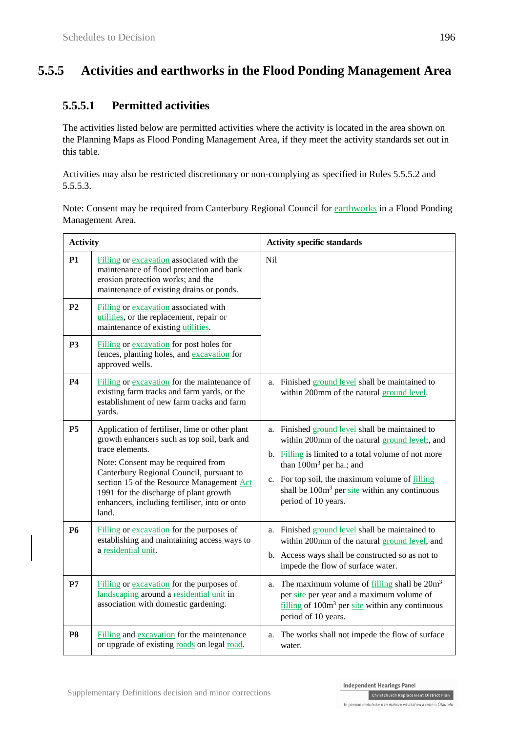## **5.5.5 Activities and earthworks in the Flood Ponding Management Area**

## **5.5.5.1 Permitted activities**

The activities listed below are permitted activities where the activity is located in the area shown on the Planning Maps as Flood Ponding Management Area, if they meet the activity standards set out in this table.

Activities may also be restricted discretionary or non-complying as specified in Rules 5.5.5.2 and 5.5.5.3.

Note: Consent may be required from Canterbury Regional Council for earthworks in a Flood Ponding Management Area.

| <b>Activity</b> |                                                                                                                                                                                                                                                                                                                                                     | <b>Activity specific standards</b>                                                                                                                                                                                                                                                                                 |  |
|-----------------|-----------------------------------------------------------------------------------------------------------------------------------------------------------------------------------------------------------------------------------------------------------------------------------------------------------------------------------------------------|--------------------------------------------------------------------------------------------------------------------------------------------------------------------------------------------------------------------------------------------------------------------------------------------------------------------|--|
| <b>P1</b>       | Filling or excavation associated with the<br>maintenance of flood protection and bank<br>erosion protection works; and the<br>maintenance of existing drains or ponds.                                                                                                                                                                              | Nil                                                                                                                                                                                                                                                                                                                |  |
| P <sub>2</sub>  | Filling or excavation associated with<br>utilities, or the replacement, repair or<br>maintenance of existing utilities.                                                                                                                                                                                                                             |                                                                                                                                                                                                                                                                                                                    |  |
| P <sub>3</sub>  | Filling or excavation for post holes for<br>fences, planting holes, and excavation for<br>approved wells.                                                                                                                                                                                                                                           |                                                                                                                                                                                                                                                                                                                    |  |
| <b>P4</b>       | Filling or excavation for the maintenance of<br>existing farm tracks and farm yards, or the<br>establishment of new farm tracks and farm<br>yards.                                                                                                                                                                                                  | a. Finished ground level shall be maintained to<br>within 200mm of the natural ground level.                                                                                                                                                                                                                       |  |
| <b>P5</b>       | Application of fertiliser, lime or other plant<br>growth enhancers such as top soil, bark and<br>trace elements.<br>Note: Consent may be required from<br>Canterbury Regional Council, pursuant to<br>section 15 of the Resource Management Act<br>1991 for the discharge of plant growth<br>enhancers, including fertiliser, into or onto<br>land. | a. Finished ground level shall be maintained to<br>within 200mm of the natural ground level;, and<br>b. Filling is limited to a total volume of not more<br>than $100m^3$ per ha.; and<br>c. For top soil, the maximum volume of filling<br>shall be $100m3$ per site within any continuous<br>period of 10 years. |  |
| <b>P6</b>       | Filling or excavation for the purposes of<br>establishing and maintaining access_ways to<br>a residential unit.                                                                                                                                                                                                                                     | a. Finished ground level shall be maintained to<br>within 200mm of the natural ground level, and<br>b. Access_ways shall be constructed so as not to<br>impede the flow of surface water.                                                                                                                          |  |
| P7              | Filling or excavation for the purposes of<br>landscaping around a residential unit in<br>association with domestic gardening.                                                                                                                                                                                                                       | a. The maximum volume of $\frac{filling}{falling}$ shall be $20m3$<br>per site per year and a maximum volume of<br>$\frac{\text{filling}}{\text{ifilling}}$ of 100 $\text{m}^3$ per site within any continuous<br>period of 10 years.                                                                              |  |
| P <sub>8</sub>  | Filling and excavation for the maintenance<br>or upgrade of existing roads on legal road.                                                                                                                                                                                                                                                           | The works shall not impede the flow of surface<br>a.<br>water.                                                                                                                                                                                                                                                     |  |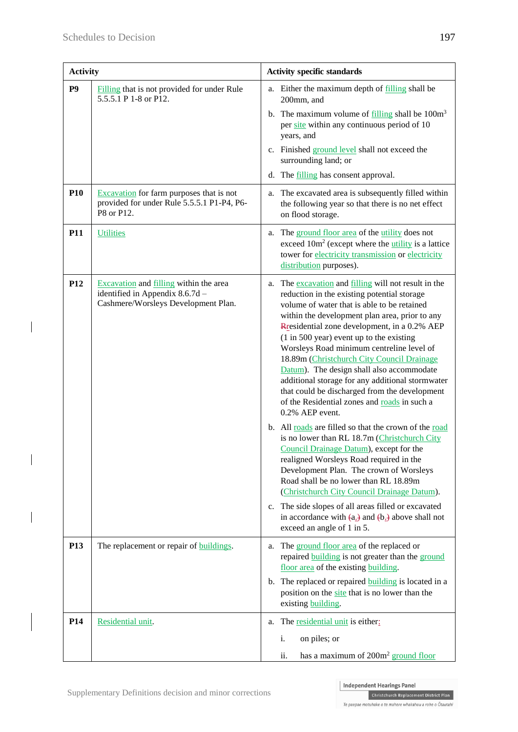$\overline{\phantom{a}}$ 

 $\overline{\mathbf{I}}$ 

 $\overline{\phantom{a}}$ 

| <b>Activity</b> |                                                                                                                                | <b>Activity specific standards</b>                                                                                                                                                                                                                                                                                                                                                                                                                                                                                                                                                                                                                                                                                                                                                                                                                                                                                                                                                                                                                                                                                      |  |
|-----------------|--------------------------------------------------------------------------------------------------------------------------------|-------------------------------------------------------------------------------------------------------------------------------------------------------------------------------------------------------------------------------------------------------------------------------------------------------------------------------------------------------------------------------------------------------------------------------------------------------------------------------------------------------------------------------------------------------------------------------------------------------------------------------------------------------------------------------------------------------------------------------------------------------------------------------------------------------------------------------------------------------------------------------------------------------------------------------------------------------------------------------------------------------------------------------------------------------------------------------------------------------------------------|--|
| P <sub>9</sub>  | Filling that is not provided for under Rule<br>5.5.5.1 P 1-8 or P12.                                                           | a. Either the maximum depth of filling shall be<br>200mm, and<br>b. The maximum volume of $\frac{filling}{quad}$ shall be $100m3$<br>per site within any continuous period of 10<br>years, and<br>c. Finished ground level shall not exceed the<br>surrounding land; or                                                                                                                                                                                                                                                                                                                                                                                                                                                                                                                                                                                                                                                                                                                                                                                                                                                 |  |
|                 |                                                                                                                                | d. The filling has consent approval.                                                                                                                                                                                                                                                                                                                                                                                                                                                                                                                                                                                                                                                                                                                                                                                                                                                                                                                                                                                                                                                                                    |  |
| <b>P10</b>      | <b>Excavation</b> for farm purposes that is not<br>provided for under Rule 5.5.5.1 P1-P4, P6-<br>P8 or P12.                    | The excavated area is subsequently filled within<br>a.<br>the following year so that there is no net effect<br>on flood storage.                                                                                                                                                                                                                                                                                                                                                                                                                                                                                                                                                                                                                                                                                                                                                                                                                                                                                                                                                                                        |  |
| <b>P11</b>      | <b>Utilities</b>                                                                                                               | The ground floor area of the utility does not<br>a.<br>exceed $10m^2$ (except where the <i>utility</i> is a lattice<br>tower for electricity transmission or electricity<br>distribution purposes).                                                                                                                                                                                                                                                                                                                                                                                                                                                                                                                                                                                                                                                                                                                                                                                                                                                                                                                     |  |
| P <sub>12</sub> | <b>Excavation</b> and <b>filling</b> within the area<br>identified in Appendix 8.6.7d -<br>Cashmere/Worsleys Development Plan. | The excavation and filling will not result in the<br>a.<br>reduction in the existing potential storage<br>volume of water that is able to be retained<br>within the development plan area, prior to any<br>Rresidential zone development, in a 0.2% AEP<br>$(1 \text{ in } 500 \text{ year})$ event up to the existing<br>Worsleys Road minimum centreline level of<br>18.89m (Christchurch City Council Drainage<br>Datum). The design shall also accommodate<br>additional storage for any additional stormwater<br>that could be discharged from the development<br>of the Residential zones and roads in such a<br>0.2% AEP event.<br>b. All roads are filled so that the crown of the road<br>is no lower than RL 18.7m (Christchurch City<br>Council Drainage Datum), except for the<br>realigned Worsleys Road required in the<br>Development Plan. The crown of Worsleys<br>Road shall be no lower than RL 18.89m<br>(Christchurch City Council Drainage Datum).<br>c. The side slopes of all areas filled or excavated<br>in accordance with $(a_2)$ and $(b_2)$ above shall not<br>exceed an angle of 1 in 5. |  |
| <b>P13</b>      | The replacement or repair of <b>buildings</b> .                                                                                | a. The ground floor area of the replaced or<br>repaired <b>building</b> is not greater than the ground<br>floor area of the existing building.<br>b. The replaced or repaired <b>building</b> is located in a<br>position on the site that is no lower than the<br>existing building.                                                                                                                                                                                                                                                                                                                                                                                                                                                                                                                                                                                                                                                                                                                                                                                                                                   |  |
| P <sub>14</sub> | Residential unit.                                                                                                              | a. The residential unit is either:<br>i.<br>on piles; or<br>has a maximum of 200m <sup>2</sup> ground floor<br>ii.                                                                                                                                                                                                                                                                                                                                                                                                                                                                                                                                                                                                                                                                                                                                                                                                                                                                                                                                                                                                      |  |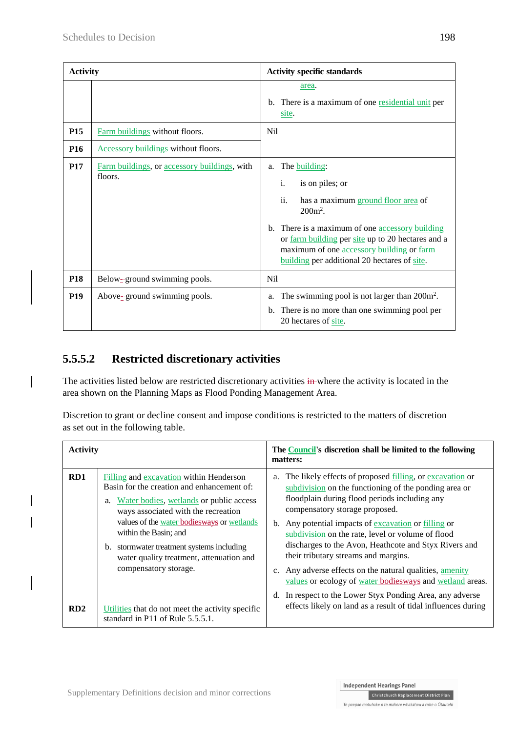| <b>Activity</b> |                                                         | <b>Activity specific standards</b>                                                                                                                                                                                                                                                                           |  |
|-----------------|---------------------------------------------------------|--------------------------------------------------------------------------------------------------------------------------------------------------------------------------------------------------------------------------------------------------------------------------------------------------------------|--|
|                 |                                                         | area.<br>b. There is a maximum of one residential unit per<br>site.                                                                                                                                                                                                                                          |  |
| <b>P15</b>      | Farm buildings without floors.                          | N <sub>i</sub>                                                                                                                                                                                                                                                                                               |  |
| P <sub>16</sub> | <b>Accessory buildings</b> without floors.              |                                                                                                                                                                                                                                                                                                              |  |
| <b>P17</b>      | Farm buildings, or accessory buildings, with<br>floors. | The building:<br>a.<br>i.<br>is on piles; or<br>ii.<br>has a maximum ground floor area of<br>$200m^2$ .<br>b. There is a maximum of one accessory building<br>or farm building per site up to 20 hectares and a<br>maximum of one accessory building or farm<br>building per additional 20 hectares of site. |  |
| <b>P18</b>      | Below-ground swimming pools.                            | N <sub>i</sub>                                                                                                                                                                                                                                                                                               |  |
| <b>P19</b>      | Above-ground swimming pools.                            | The swimming pool is not larger than $200m^2$ .<br>a.<br>b. There is no more than one swimming pool per<br>20 hectares of site.                                                                                                                                                                              |  |

## **5.5.5.2 Restricted discretionary activities**

The activities listed below are restricted discretionary activities in where the activity is located in the area shown on the Planning Maps as Flood Ponding Management Area.

Discretion to grant or decline consent and impose conditions is restricted to the matters of discretion as set out in the following table.

| <b>Activity</b> |                                                                                                                                                                                                                                                                                                                                                                           | The <b>Council</b> 's discretion shall be limited to the following<br>matters:                                                                                                                                                                                                                                                                                                                                                                                                                                                                                                                                         |  |
|-----------------|---------------------------------------------------------------------------------------------------------------------------------------------------------------------------------------------------------------------------------------------------------------------------------------------------------------------------------------------------------------------------|------------------------------------------------------------------------------------------------------------------------------------------------------------------------------------------------------------------------------------------------------------------------------------------------------------------------------------------------------------------------------------------------------------------------------------------------------------------------------------------------------------------------------------------------------------------------------------------------------------------------|--|
| RD1             | Filling and excavation within Henderson<br>Basin for the creation and enhancement of:<br>Water bodies, wetlands or public access<br>a.<br>ways associated with the recreation<br>values of the water bodiesways or wetlands<br>within the Basin; and<br>stormwater treatment systems including<br>b.<br>water quality treatment, attenuation and<br>compensatory storage. | The likely effects of proposed filling, or excavation or<br>a.<br>subdivision on the functioning of the ponding area or<br>floodplain during flood periods including any<br>compensatory storage proposed.<br>b. Any potential impacts of excavation or filling or<br>subdivision on the rate, level or volume of flood<br>discharges to the Avon, Heathcote and Styx Rivers and<br>their tributary streams and margins.<br>Any adverse effects on the natural qualities, amenity<br>$c_{\cdot}$<br>values or ecology of water bodiesways and wetland areas.<br>In respect to the Lower Styx Ponding Area, any adverse |  |
| RD2             | Utilities that do not meet the activity specific<br>standard in P11 of Rule 5.5.5.1.                                                                                                                                                                                                                                                                                      | effects likely on land as a result of tidal influences during                                                                                                                                                                                                                                                                                                                                                                                                                                                                                                                                                          |  |

Christchurch Replacement District Plan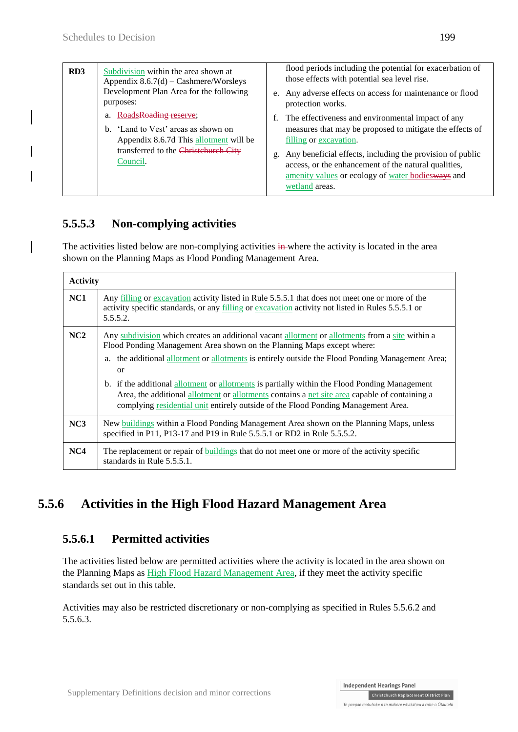| RD <sub>3</sub> | Subdivision within the area shown at<br>Appendix $8.6.7(d)$ – Cashmere/Worsleys<br>Development Plan Area for the following<br>purposes: | flood periods including the potential for exacerbation of<br>those effects with potential sea level rise.<br>e. Any adverse effects on access for maintenance or flood<br>protection works. |
|-----------------|-----------------------------------------------------------------------------------------------------------------------------------------|---------------------------------------------------------------------------------------------------------------------------------------------------------------------------------------------|
|                 | RoadsRoading reserve;<br>a.<br>b. 'Land to Vest' areas as shown on<br>Appendix 8.6.7d This allotment will be                            | f. The effectiveness and environmental impact of any<br>measures that may be proposed to mitigate the effects of<br>filling or excavation.                                                  |
|                 | transferred to the Christehurch City<br>Council.                                                                                        | g. Any beneficial effects, including the provision of public<br>access, or the enhancement of the natural qualities,<br>amenity values or ecology of water bodiesways and<br>wetland areas. |

## **5.5.5.3 Non-complying activities**

The activities listed below are non-complying activities in where the activity is located in the area shown on the Planning Maps as Flood Ponding Management Area.

| <b>Activity</b> |                                                                                                                                                                                                                                                                                     |
|-----------------|-------------------------------------------------------------------------------------------------------------------------------------------------------------------------------------------------------------------------------------------------------------------------------------|
| NC1             | Any filling or excavation activity listed in Rule 5.5.5.1 that does not meet one or more of the<br>activity specific standards, or any filling or excavation activity not listed in Rules 5.5.5.1 or<br>5.5.5.2.                                                                    |
| NC2             | Any subdivision which creates an additional vacant allotment or allotments from a site within a<br>Flood Ponding Management Area shown on the Planning Maps except where:                                                                                                           |
|                 | the additional allotment or allotments is entirely outside the Flood Ponding Management Area;<br>a.<br>$\alpha$                                                                                                                                                                     |
|                 | b. if the additional allotment or allotments is partially within the Flood Ponding Management<br>Area, the additional allotment or allotments contains a net site area capable of containing a<br>complying residential unit entirely outside of the Flood Ponding Management Area. |
| NC3             | New buildings within a Flood Ponding Management Area shown on the Planning Maps, unless<br>specified in P11, P13-17 and P19 in Rule 5.5.5.1 or RD2 in Rule 5.5.5.2.                                                                                                                 |
| NC4             | The replacement or repair of buildings that do not meet one or more of the activity specific<br>standards in Rule $5.5.5.1$ .                                                                                                                                                       |

# **5.5.6 Activities in the High Flood Hazard Management Area**

## **5.5.6.1 Permitted activities**

The activities listed below are permitted activities where the activity is located in the area shown on the Planning Maps as High Flood Hazard Management Area, if they meet the activity specific standards set out in this table.

Activities may also be restricted discretionary or non-complying as specified in Rules 5.5.6.2 and 5.5.6.3.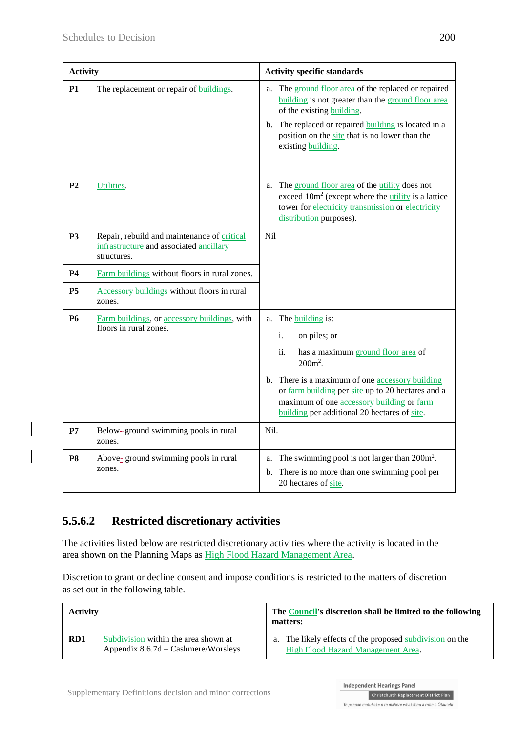| <b>Activity</b> |                                                                                                       | <b>Activity specific standards</b>                                                                                                                                                                                                                                                                                  |
|-----------------|-------------------------------------------------------------------------------------------------------|---------------------------------------------------------------------------------------------------------------------------------------------------------------------------------------------------------------------------------------------------------------------------------------------------------------------|
| <b>P1</b>       | The replacement or repair of <b>buildings</b> .                                                       | The ground floor area of the replaced or repaired<br>a.<br>building is not greater than the ground floor area<br>of the existing building.<br>b. The replaced or repaired <b>building</b> is located in a<br>position on the site that is no lower than the<br>existing building.                                   |
| P <sub>2</sub>  | Utilities.                                                                                            | The ground floor area of the utility does not<br>a.<br>exceed $10m^2$ (except where the utility is a lattice<br>tower for electricity transmission or electricity<br>distribution purposes).                                                                                                                        |
| P <sub>3</sub>  | Repair, rebuild and maintenance of critical<br>infrastructure and associated ancillary<br>structures. | Nil                                                                                                                                                                                                                                                                                                                 |
| <b>P4</b>       | Farm buildings without floors in rural zones.                                                         |                                                                                                                                                                                                                                                                                                                     |
| P <sub>5</sub>  | Accessory buildings without floors in rural<br>zones.                                                 |                                                                                                                                                                                                                                                                                                                     |
| <b>P6</b>       | Farm buildings, or accessory buildings, with<br>floors in rural zones.                                | The <b>building</b> is:<br>a.<br>i.<br>on piles; or<br>ii.<br>has a maximum ground floor area of<br>$200m^2$ .<br>b. There is a maximum of one accessory building<br>or farm building per site up to 20 hectares and a<br>maximum of one accessory building or farm<br>building per additional 20 hectares of site. |
| P7              | Below-ground swimming pools in rural<br>zones.                                                        | Nil.                                                                                                                                                                                                                                                                                                                |
| P <sub>8</sub>  | Above-ground swimming pools in rural<br>zones.                                                        | The swimming pool is not larger than $200m^2$ .<br>a.<br>b. There is no more than one swimming pool per<br>20 hectares of site.                                                                                                                                                                                     |

## **5.5.6.2 Restricted discretionary activities**

The activities listed below are restricted discretionary activities where the activity is located in the area shown on the Planning Maps as High Flood Hazard Management Area.

Discretion to grant or decline consent and impose conditions is restricted to the matters of discretion as set out in the following table.

| <b>Activity</b> |                                                                               | The Council's discretion shall be limited to the following<br>matters:                            |  |
|-----------------|-------------------------------------------------------------------------------|---------------------------------------------------------------------------------------------------|--|
| RD1             | Subdivision within the area shown at<br>Appendix $8.6.7d - Cashmere/Worsleys$ | The likely effects of the proposed subdivision on the<br>a.<br>High Flood Hazard Management Area. |  |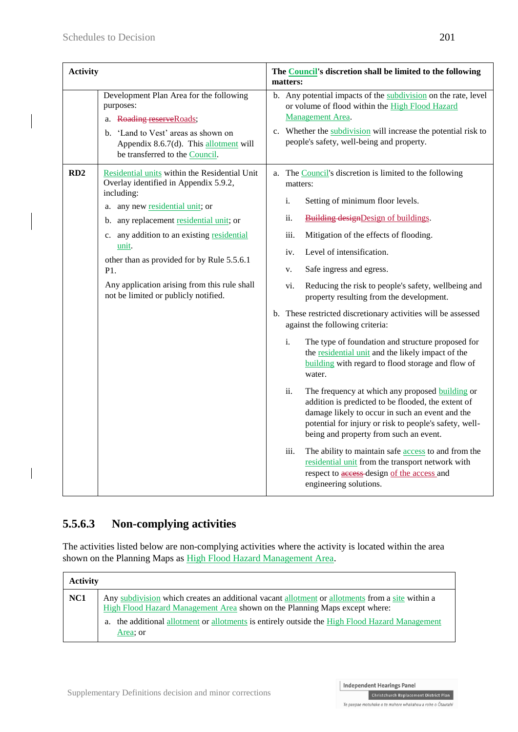| <b>Activity</b> |                                                                                                                                                                                                                                                                                                                                                                                           | The Council's discretion shall be limited to the following<br>matters: |                                                                                                                                                                                                                                                                                                                                                                                                                                                                                                                                                                                                                                                                                                                                                                                                                                                                                                                                                                                                                                                                                                                                                                                |  |
|-----------------|-------------------------------------------------------------------------------------------------------------------------------------------------------------------------------------------------------------------------------------------------------------------------------------------------------------------------------------------------------------------------------------------|------------------------------------------------------------------------|--------------------------------------------------------------------------------------------------------------------------------------------------------------------------------------------------------------------------------------------------------------------------------------------------------------------------------------------------------------------------------------------------------------------------------------------------------------------------------------------------------------------------------------------------------------------------------------------------------------------------------------------------------------------------------------------------------------------------------------------------------------------------------------------------------------------------------------------------------------------------------------------------------------------------------------------------------------------------------------------------------------------------------------------------------------------------------------------------------------------------------------------------------------------------------|--|
|                 | Development Plan Area for the following<br>purposes:<br>a. Roading reserveRoads;<br>b. 'Land to Vest' areas as shown on<br>Appendix 8.6.7(d). This allotment will<br>be transferred to the Council.                                                                                                                                                                                       |                                                                        | b. Any potential impacts of the subdivision on the rate, level<br>or volume of flood within the High Flood Hazard<br>Management Area.<br>c. Whether the subdivision will increase the potential risk to<br>people's safety, well-being and property.                                                                                                                                                                                                                                                                                                                                                                                                                                                                                                                                                                                                                                                                                                                                                                                                                                                                                                                           |  |
| RD2             | Residential units within the Residential Unit<br>Overlay identified in Appendix 5.9.2,<br>including:<br>a. any new residential unit; or<br>any replacement residential unit; or<br>b.<br>c. any addition to an existing residential<br>unit.<br>other than as provided for by Rule 5.5.6.1<br>P1.<br>Any application arising from this rule shall<br>not be limited or publicly notified. |                                                                        | a. The Council's discretion is limited to the following<br>matters:<br>i.<br>Setting of minimum floor levels.<br>ii.<br><b>Building designDesign of buildings.</b><br>iii.<br>Mitigation of the effects of flooding.<br>Level of intensification.<br>iv.<br>Safe ingress and egress.<br>V.<br>vi.<br>Reducing the risk to people's safety, wellbeing and<br>property resulting from the development.<br>b. These restricted discretionary activities will be assessed<br>against the following criteria:<br>i.<br>The type of foundation and structure proposed for<br>the residential unit and the likely impact of the<br><b>building</b> with regard to flood storage and flow of<br>water.<br>ii.<br>The frequency at which any proposed <b>building</b> or<br>addition is predicted to be flooded, the extent of<br>damage likely to occur in such an event and the<br>potential for injury or risk to people's safety, well-<br>being and property from such an event.<br>iii.<br>The ability to maintain safe <b>access</b> to and from the<br>residential unit from the transport network with<br>respect to access design of the access and<br>engineering solutions. |  |

## **5.5.6.3 Non-complying activities**

The activities listed below are non-complying activities where the activity is located within the area shown on the Planning Maps as High Flood Hazard Management Area.

| <b>Activity</b> |                                                                                                                                                                                                                                                                                             |
|-----------------|---------------------------------------------------------------------------------------------------------------------------------------------------------------------------------------------------------------------------------------------------------------------------------------------|
| NC1             | Any subdivision which creates an additional vacant allotment or allotments from a site within a<br>High Flood Hazard Management Area shown on the Planning Maps except where:<br>a. the additional allotment or allotments is entirely outside the High Flood Hazard Management<br>Area; or |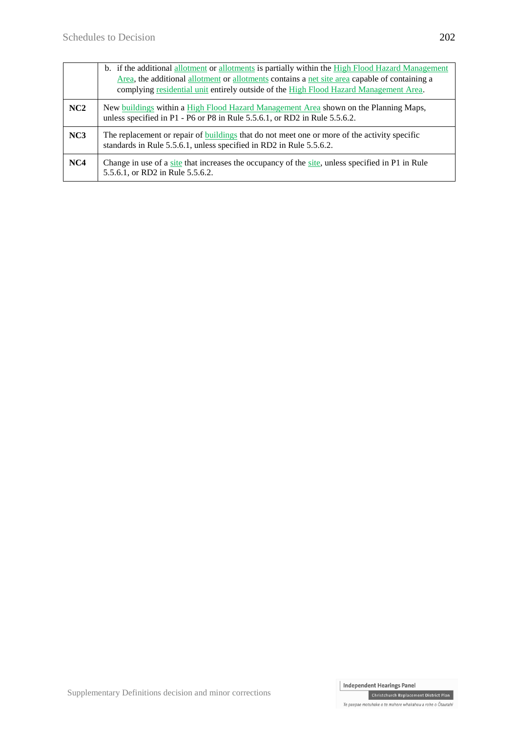|     | b. if the additional allotment or allotments is partially within the High Flood Hazard Management<br>Area, the additional allotment or allotments contains a net site area capable of containing a<br>complying residential unit entirely outside of the High Flood Hazard Management Area. |
|-----|---------------------------------------------------------------------------------------------------------------------------------------------------------------------------------------------------------------------------------------------------------------------------------------------|
| NC2 | New buildings within a High Flood Hazard Management Area shown on the Planning Maps,<br>unless specified in P1 - P6 or P8 in Rule 5.5.6.1, or RD2 in Rule 5.5.6.2.                                                                                                                          |
| NC3 | The replacement or repair of buildings that do not meet one or more of the activity specific<br>standards in Rule 5.5.6.1, unless specified in RD2 in Rule 5.5.6.2.                                                                                                                         |
| NC4 | Change in use of a site that increases the occupancy of the site, unless specified in P1 in Rule<br>5.5.6.1, or RD2 in Rule 5.5.6.2.                                                                                                                                                        |

Christchurch Replacement District Plan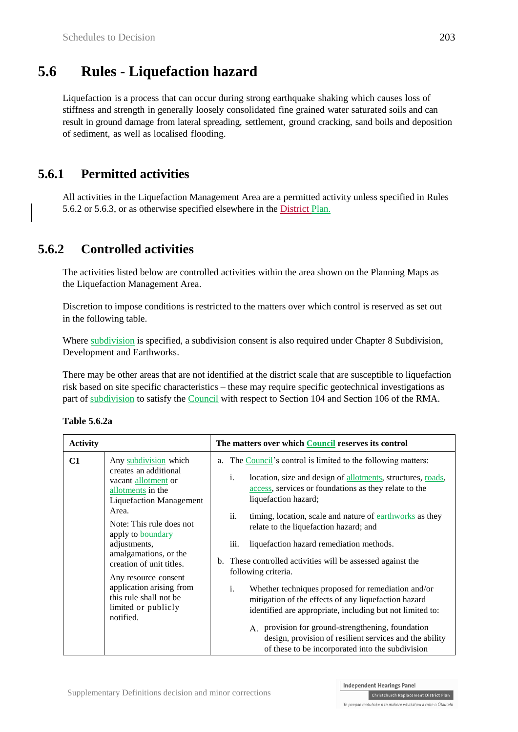## **5.6 Rules - Liquefaction hazard**

Liquefaction is a process that can occur during strong earthquake shaking which causes loss of stiffness and strength in generally loosely consolidated fine grained water saturated soils and can result in ground damage from lateral spreading, settlement, ground cracking, sand boils and deposition of sediment, as well as localised flooding.

## **5.6.1 Permitted activities**

All activities in the Liquefaction Management Area are a permitted activity unless specified in Rules 5.6.2 or 5.6.3, or as otherwise specified elsewhere in the District Plan.

## **5.6.2 Controlled activities**

The activities listed below are controlled activities within the area shown on the Planning Maps as the Liquefaction Management Area.

Discretion to impose conditions is restricted to the matters over which control is reserved as set out in the following table.

Where subdivision is specified, a subdivision consent is also required under Chapter 8 Subdivision, Development and Earthworks.

There may be other areas that are not identified at the district scale that are susceptible to liquefaction risk based on site specific characteristics – these may require specific geotechnical investigations as part of subdivision to satisfy the Council with respect to Section 104 and Section 106 of the RMA.

| <b>Activity</b> |                                                                                                                                                                                                                                                                                                                                                                                      | The matters over which Council reserves its control                                                                                                                                                                                                                                                                                                                                                                                                                                                                                                                                                                                                                                                                                                                                                                                |
|-----------------|--------------------------------------------------------------------------------------------------------------------------------------------------------------------------------------------------------------------------------------------------------------------------------------------------------------------------------------------------------------------------------------|------------------------------------------------------------------------------------------------------------------------------------------------------------------------------------------------------------------------------------------------------------------------------------------------------------------------------------------------------------------------------------------------------------------------------------------------------------------------------------------------------------------------------------------------------------------------------------------------------------------------------------------------------------------------------------------------------------------------------------------------------------------------------------------------------------------------------------|
| C1              | Any subdivision which<br>creates an additional<br>vacant allotment or<br>allotments in the<br><b>Liquefaction Management</b><br>Area.<br>Note: This rule does not<br>apply to <b>boundary</b><br>adjustments,<br>amalgamations, or the<br>creation of unit titles.<br>Any resource consent<br>application arising from<br>this rule shall not be<br>limited or publicly<br>notified. | The Council's control is limited to the following matters:<br>a.<br>location, size and design of allotments, structures, roads,<br>i.<br>access, services or foundations as they relate to the<br>liquefaction hazard;<br>ii.<br>timing, location, scale and nature of earthworks as they<br>relate to the liquefaction hazard; and<br>iii.<br>liquefaction hazard remediation methods.<br>b. These controlled activities will be assessed against the<br>following criteria.<br>i.<br>Whether techniques proposed for remediation and/or<br>mitigation of the effects of any liquefaction hazard<br>identified are appropriate, including but not limited to:<br>A. provision for ground-strengthening, foundation<br>design, provision of resilient services and the ability<br>of these to be incorporated into the subdivision |

#### **Table 5.6.2a**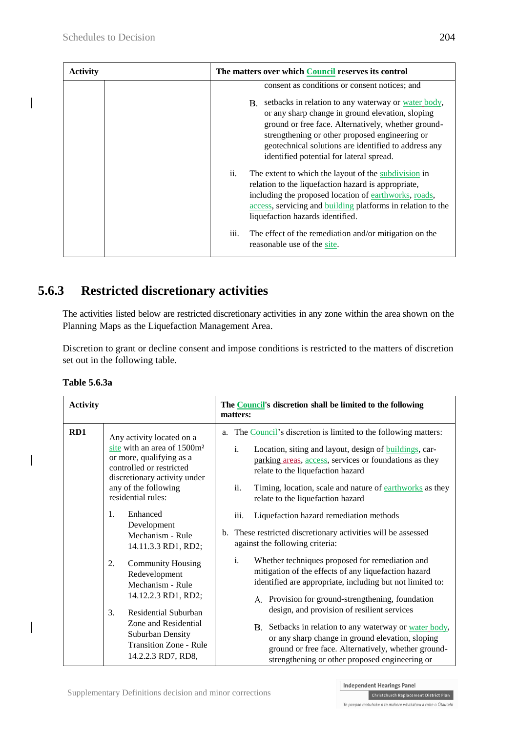| <b>Activity</b> | The matters over which Council reserves its control                                                                                                                                                                                                                                                                        |
|-----------------|----------------------------------------------------------------------------------------------------------------------------------------------------------------------------------------------------------------------------------------------------------------------------------------------------------------------------|
|                 | consent as conditions or consent notices; and                                                                                                                                                                                                                                                                              |
|                 | setbacks in relation to any waterway or water body,<br>B.<br>or any sharp change in ground elevation, sloping<br>ground or free face. Alternatively, whether ground-<br>strengthening or other proposed engineering or<br>geotechnical solutions are identified to address any<br>identified potential for lateral spread. |
|                 | ii.<br>The extent to which the layout of the subdivision in<br>relation to the liquefaction hazard is appropriate,<br>including the proposed location of earthworks, roads,<br>access, servicing and building platforms in relation to the<br>liquefaction hazards identified.                                             |
|                 | iii.<br>The effect of the remediation and/or mitigation on the<br>reasonable use of the site.                                                                                                                                                                                                                              |

## **5.6.3 Restricted discretionary activities**

The activities listed below are restricted discretionary activities in any zone within the area shown on the Planning Maps as the Liquefaction Management Area.

Discretion to grant or decline consent and impose conditions is restricted to the matters of discretion set out in the following table.

| <b>Activity</b> |                                                                                                                                                                                                            | The <b>Council's</b> discretion shall be limited to the following<br>matters:                                                                                                                                                                                                                                                                                  |
|-----------------|------------------------------------------------------------------------------------------------------------------------------------------------------------------------------------------------------------|----------------------------------------------------------------------------------------------------------------------------------------------------------------------------------------------------------------------------------------------------------------------------------------------------------------------------------------------------------------|
| RD1             | Any activity located on a<br>site with an area of 1500m <sup>2</sup><br>or more, qualifying as a<br>controlled or restricted<br>discretionary activity under<br>any of the following<br>residential rules: | The Council's discretion is limited to the following matters:<br>a.<br>$\mathbf{i}$ .<br>Location, siting and layout, design of <b>buildings</b> , car-<br>parking areas, access, services or foundations as they<br>relate to the liquefaction hazard<br>ii.<br>Timing, location, scale and nature of earthworks as they<br>relate to the liquefaction hazard |
|                 | $\mathbf{1}$ .<br>Enhanced<br>Development<br>Mechanism - Rule<br>14.11.3.3 RD1, RD2;                                                                                                                       | iii.<br>Liquefaction hazard remediation methods<br>b. These restricted discretionary activities will be assessed<br>against the following criteria:                                                                                                                                                                                                            |
|                 | 2.<br><b>Community Housing</b><br>Redevelopment<br>Mechanism - Rule<br>14.12.2.3 RD1, RD2;                                                                                                                 | $\mathbf{i}$ .<br>Whether techniques proposed for remediation and<br>mitigation of the effects of any liquefaction hazard<br>identified are appropriate, including but not limited to:<br>A. Provision for ground-strengthening, foundation                                                                                                                    |
|                 | 3.<br>Residential Suburban<br>Zone and Residential<br>Suburban Density<br><b>Transition Zone - Rule</b><br>14.2.2.3 RD7, RD8,                                                                              | design, and provision of resilient services<br>B. Setbacks in relation to any waterway or water body,<br>or any sharp change in ground elevation, sloping<br>ground or free face. Alternatively, whether ground-<br>strengthening or other proposed engineering or                                                                                             |

**Table 5.6.3a**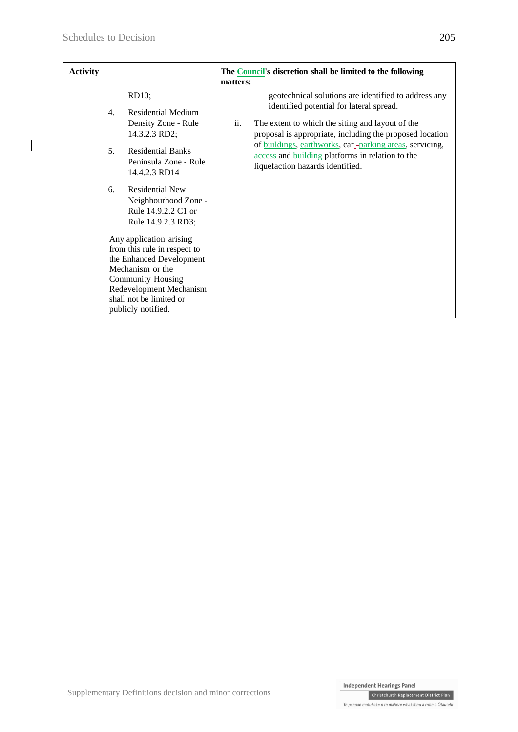$\overline{\phantom{a}}$ 

| <b>Activity</b> |                |                                                                                                                                                                                                                                                                                                                                                                                                                   | matters: | The <b>Council's</b> discretion shall be limited to the following                                                                                                                                                                                                                                                                                                   |
|-----------------|----------------|-------------------------------------------------------------------------------------------------------------------------------------------------------------------------------------------------------------------------------------------------------------------------------------------------------------------------------------------------------------------------------------------------------------------|----------|---------------------------------------------------------------------------------------------------------------------------------------------------------------------------------------------------------------------------------------------------------------------------------------------------------------------------------------------------------------------|
|                 | 4.<br>5.<br>6. | RD10;<br><b>Residential Medium</b><br>Density Zone - Rule<br>14.3.2.3 RD2;<br><b>Residential Banks</b><br>Peninsula Zone - Rule<br>14.4.2.3 RD14<br><b>Residential New</b><br>Neighbourhood Zone -<br>Rule 14.9.2.2 C1 or<br>Rule 14.9.2.3 RD3;<br>Any application arising<br>from this rule in respect to<br>the Enhanced Development<br>Mechanism or the<br><b>Community Housing</b><br>Redevelopment Mechanism | ii.      | geotechnical solutions are identified to address any<br>identified potential for lateral spread.<br>The extent to which the siting and layout of the<br>proposal is appropriate, including the proposed location<br>of buildings, earthworks, car-parking areas, servicing,<br>access and building platforms in relation to the<br>liquefaction hazards identified. |
|                 |                | shall not be limited or<br>publicly notified.                                                                                                                                                                                                                                                                                                                                                                     |          |                                                                                                                                                                                                                                                                                                                                                                     |

Christchurch Replacement District Plan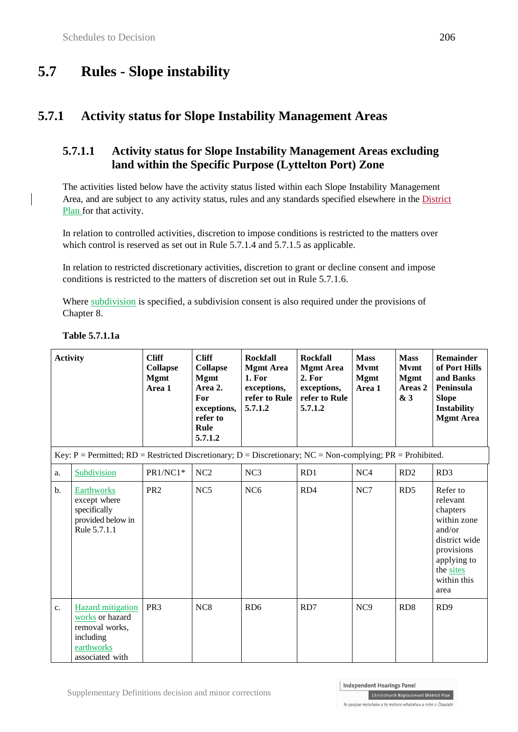# **5.7 Rules - Slope instability**

## **5.7.1 Activity status for Slope Instability Management Areas**

### **5.7.1.1 Activity status for Slope Instability Management Areas excluding land within the Specific Purpose (Lyttelton Port) Zone**

The activities listed below have the activity status listed within each Slope Instability Management Area, and are subject to any activity status, rules and any standards specified elsewhere in the District Plan for that activity.

In relation to controlled activities, discretion to impose conditions is restricted to the matters over which control is reserved as set out in Rule 5.7.1.4 and 5.7.1.5 as applicable.

In relation to restricted discretionary activities, discretion to grant or decline consent and impose conditions is restricted to the matters of discretion set out in Rule 5.7.1.6.

Where subdivision is specified, a subdivision consent is also required under the provisions of Chapter 8.

| <b>Activity</b> |                                                                                                                          | <b>Cliff</b><br><b>Collapse</b><br><b>Mgmt</b><br>Area 1 | <b>Cliff</b><br><b>Collapse</b><br><b>Mgmt</b><br>Area 2.<br>For<br>exceptions,<br>refer to<br>Rule<br>5.7.1.2 | <b>Rockfall</b><br><b>Mgmt Area</b><br>1. For<br>exceptions,<br>refer to Rule<br>5.7.1.2 | <b>Rockfall</b><br><b>Mgmt Area</b><br>2. For<br>exceptions,<br>refer to Rule<br>5.7.1.2 | <b>Mass</b><br><b>Mvmt</b><br><b>Mgmt</b><br>Area 1 | <b>Mass</b><br><b>Mvmt</b><br><b>Mgmt</b><br>Areas <sub>2</sub><br>& 3 | Remainder<br>of Port Hills<br>and Banks<br>Peninsula<br><b>Slope</b><br><b>Instability</b><br><b>Mgmt Area</b>                              |
|-----------------|--------------------------------------------------------------------------------------------------------------------------|----------------------------------------------------------|----------------------------------------------------------------------------------------------------------------|------------------------------------------------------------------------------------------|------------------------------------------------------------------------------------------|-----------------------------------------------------|------------------------------------------------------------------------|---------------------------------------------------------------------------------------------------------------------------------------------|
|                 | Key: $P = Permitted$ ; $RD = Restricted$ Discretionary; $D = Discretionary$ ; $NC = Non-complying$ ; $PR = Prohibited$ . |                                                          |                                                                                                                |                                                                                          |                                                                                          |                                                     |                                                                        |                                                                                                                                             |
| a.              | Subdivision                                                                                                              | PR1/NC1*                                                 | NC2                                                                                                            | NC <sub>3</sub>                                                                          | RD1                                                                                      | NC <sub>4</sub>                                     | RD2                                                                    | RD <sub>3</sub>                                                                                                                             |
| b.              | Earthworks<br>except where<br>specifically<br>provided below in<br>Rule 5.7.1.1                                          | PR <sub>2</sub>                                          | NC5                                                                                                            | NC <sub>6</sub>                                                                          | RD4                                                                                      | NC7                                                 | RD <sub>5</sub>                                                        | Refer to<br>relevant<br>chapters<br>within zone<br>and/or<br>district wide<br>provisions<br>applying to<br>the sites<br>within this<br>area |
| c.              | <b>Hazard</b> mitigation<br>works or hazard<br>removal works,<br>including<br>earthworks<br>associated with              | PR <sub>3</sub>                                          | NC <sub>8</sub>                                                                                                | RD <sub>6</sub>                                                                          | RD7                                                                                      | NC <sub>9</sub>                                     | RD <sub>8</sub>                                                        | RD <sub>9</sub>                                                                                                                             |

#### **Table 5.7.1.1a**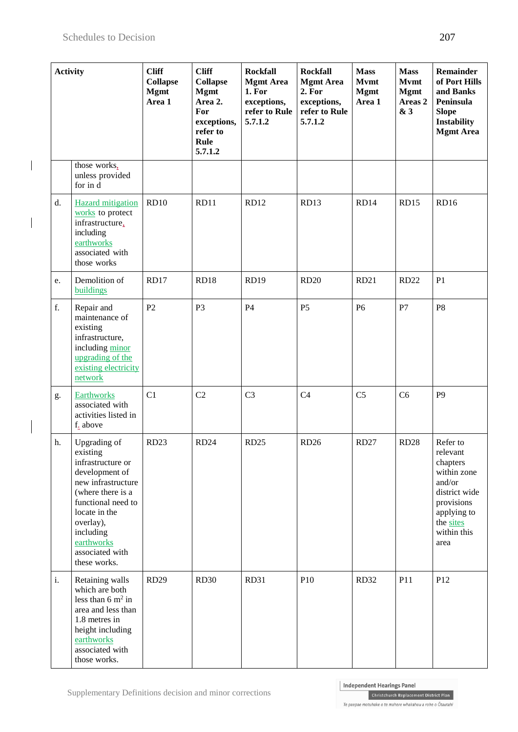$\overline{\phantom{a}}$ 

 $\overline{\phantom{a}}$ 

| <b>Activity</b> |                                                                                                                                                                                                                              | <b>Cliff</b><br><b>Collapse</b><br><b>Mgmt</b><br>Area 1 | <b>Cliff</b><br><b>Collapse</b><br><b>Mgmt</b><br>Area 2.<br>For<br>exceptions,<br>refer to<br>Rule<br>5.7.1.2 | <b>Rockfall</b><br><b>Mgmt Area</b><br>1. For<br>exceptions,<br>refer to Rule<br>5.7.1.2 | <b>Rockfall</b><br><b>Mgmt Area</b><br>2. For<br>exceptions,<br>refer to Rule<br>5.7.1.2 | <b>Mass</b><br><b>Mvmt</b><br><b>Mgmt</b><br>Area 1 | <b>Mass</b><br><b>Mvmt</b><br><b>Mgmt</b><br>Areas <sub>2</sub><br>& 3 | <b>Remainder</b><br>of Port Hills<br>and Banks<br>Peninsula<br><b>Slope</b><br><b>Instability</b><br><b>Mgmt Area</b>                       |
|-----------------|------------------------------------------------------------------------------------------------------------------------------------------------------------------------------------------------------------------------------|----------------------------------------------------------|----------------------------------------------------------------------------------------------------------------|------------------------------------------------------------------------------------------|------------------------------------------------------------------------------------------|-----------------------------------------------------|------------------------------------------------------------------------|---------------------------------------------------------------------------------------------------------------------------------------------|
|                 | those works,<br>unless provided<br>for in d                                                                                                                                                                                  |                                                          |                                                                                                                |                                                                                          |                                                                                          |                                                     |                                                                        |                                                                                                                                             |
| d.              | <b>Hazard</b> mitigation<br>works to protect<br>infrastructure,<br>including<br>earthworks<br>associated with<br>those works                                                                                                 | <b>RD10</b>                                              | RD11                                                                                                           | RD12                                                                                     | RD13                                                                                     | RD14                                                | <b>RD15</b>                                                            | <b>RD16</b>                                                                                                                                 |
| e.              | Demolition of<br>buildings                                                                                                                                                                                                   | <b>RD17</b>                                              | RD18                                                                                                           | <b>RD19</b>                                                                              | <b>RD20</b>                                                                              | <b>RD21</b>                                         | <b>RD22</b>                                                            | P <sub>1</sub>                                                                                                                              |
| f.              | Repair and<br>maintenance of<br>existing<br>infrastructure,<br>including minor<br>upgrading of the<br>existing electricity<br>network                                                                                        | P2                                                       | P <sub>3</sub>                                                                                                 | P4                                                                                       | P <sub>5</sub>                                                                           | P <sub>6</sub>                                      | P7                                                                     | P <sub>8</sub>                                                                                                                              |
| g.              | <b>Earthworks</b><br>associated with<br>activities listed in<br>f. above                                                                                                                                                     | C1                                                       | C2                                                                                                             | C <sub>3</sub>                                                                           | C <sub>4</sub>                                                                           | C <sub>5</sub>                                      | C <sub>6</sub>                                                         | P <sub>9</sub>                                                                                                                              |
| h.              | Upgrading of<br>existing<br>infrastructure or<br>development of<br>new infrastructure<br>(where there is a<br>functional need to<br>locate in the<br>overlay),<br>including<br>earthworks<br>associated with<br>these works. | <b>RD23</b>                                              | RD <sub>24</sub>                                                                                               | <b>RD25</b>                                                                              | <b>RD26</b>                                                                              | <b>RD27</b>                                         | <b>RD28</b>                                                            | Refer to<br>relevant<br>chapters<br>within zone<br>and/or<br>district wide<br>provisions<br>applying to<br>the sites<br>within this<br>area |
| $\mathbf{i}$ .  | Retaining walls<br>which are both<br>less than $6 \text{ m}^2$ in<br>area and less than<br>1.8 metres in<br>height including<br>earthworks<br>associated with<br>those works.                                                | <b>RD29</b>                                              | <b>RD30</b>                                                                                                    | <b>RD31</b>                                                                              | P10                                                                                      | <b>RD32</b>                                         | P11                                                                    | P12                                                                                                                                         |

Christchurch Replacement District Plan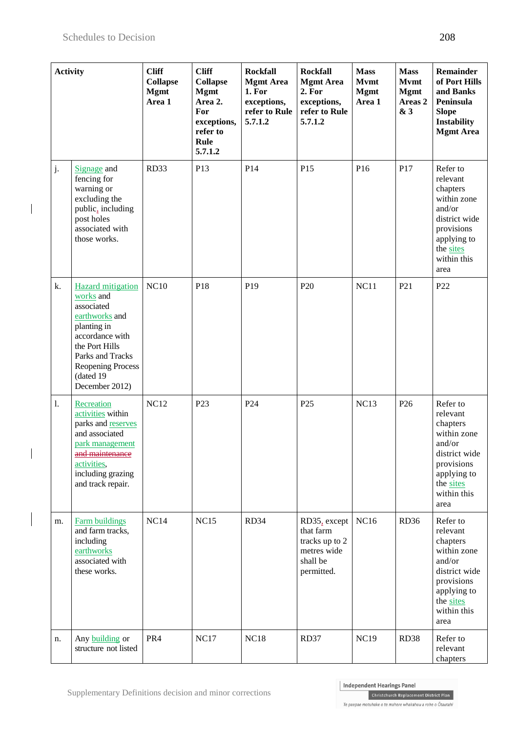$\overline{\phantom{a}}$ 

 $\overline{\phantom{a}}$ 

| <b>Activity</b> |                                                                                                                                                                                                   | <b>Cliff</b><br><b>Collapse</b><br><b>Mgmt</b><br>Area 1 | <b>Cliff</b><br><b>Collapse</b><br><b>Mgmt</b><br>Area 2.<br>For<br>exceptions,<br>refer to<br>Rule<br>5.7.1.2 | <b>Rockfall</b><br><b>Mgmt Area</b><br>1. For<br>exceptions,<br>refer to Rule<br>5.7.1.2 | <b>Rockfall</b><br><b>Mgmt Area</b><br>2. For<br>exceptions,<br>refer to Rule<br>5.7.1.2 | <b>Mass</b><br><b>Mvmt</b><br><b>Mgmt</b><br>Area 1 | <b>Mass</b><br><b>Mvmt</b><br><b>Mgmt</b><br>Areas <sub>2</sub><br>& 3 | <b>Remainder</b><br>of Port Hills<br>and Banks<br>Peninsula<br><b>Slope</b><br>Instability<br><b>Mgmt Area</b>                              |
|-----------------|---------------------------------------------------------------------------------------------------------------------------------------------------------------------------------------------------|----------------------------------------------------------|----------------------------------------------------------------------------------------------------------------|------------------------------------------------------------------------------------------|------------------------------------------------------------------------------------------|-----------------------------------------------------|------------------------------------------------------------------------|---------------------------------------------------------------------------------------------------------------------------------------------|
| j.              | Signage and<br>fencing for<br>warning or<br>excluding the<br>public, including<br>post holes<br>associated with<br>those works.                                                                   | RD33                                                     | P13                                                                                                            | P14                                                                                      | P15                                                                                      | P <sub>16</sub>                                     | P17                                                                    | Refer to<br>relevant<br>chapters<br>within zone<br>and/or<br>district wide<br>provisions<br>applying to<br>the sites<br>within this<br>area |
| k.              | <b>Hazard</b> mitigation<br>works and<br>associated<br>earthworks and<br>planting in<br>accordance with<br>the Port Hills<br>Parks and Tracks<br>Reopening Process<br>(dated 19<br>December 2012) | NC10                                                     | P18                                                                                                            | P <sub>19</sub>                                                                          | P <sub>20</sub>                                                                          | NC11                                                | P <sub>21</sub>                                                        | P <sub>22</sub>                                                                                                                             |
| 1.              | Recreation<br>activities within<br>parks and reserves<br>and associated<br>park management<br>and maintenance<br>activities,<br>including grazing<br>and track repair.                            | <b>NC12</b>                                              | P <sub>23</sub>                                                                                                | P <sub>24</sub>                                                                          | P <sub>25</sub>                                                                          | <b>NC13</b>                                         | P <sub>26</sub>                                                        | Refer to<br>relevant<br>chapters<br>within zone<br>and/or<br>district wide<br>provisions<br>applying to<br>the sites<br>within this<br>area |
| m.              | <b>Farm buildings</b><br>and farm tracks,<br>including<br>earthworks<br>associated with<br>these works.                                                                                           | NC14                                                     | NC15                                                                                                           | RD34                                                                                     | RD35, except<br>that farm<br>tracks up to 2<br>metres wide<br>shall be<br>permitted.     | <b>NC16</b>                                         | RD36                                                                   | Refer to<br>relevant<br>chapters<br>within zone<br>and/or<br>district wide<br>provisions<br>applying to<br>the sites<br>within this<br>area |
| n.              | Any building or<br>structure not listed                                                                                                                                                           | PR4                                                      | <b>NC17</b>                                                                                                    | <b>NC18</b>                                                                              | RD37                                                                                     | <b>NC19</b>                                         | <b>RD38</b>                                                            | Refer to<br>relevant<br>chapters                                                                                                            |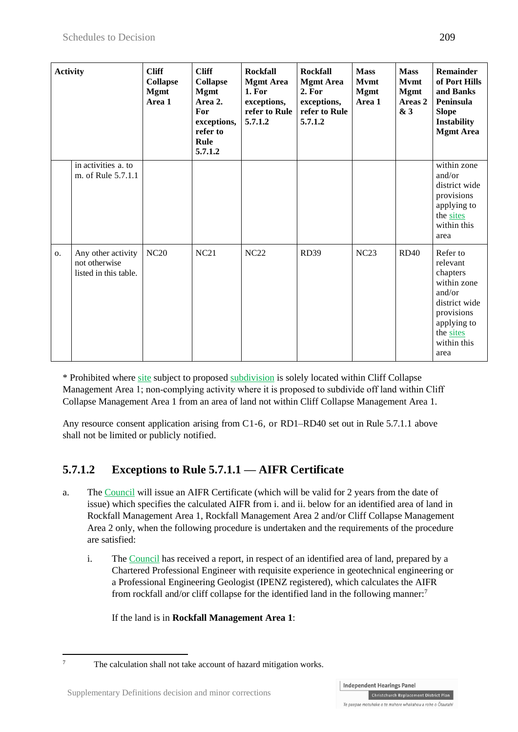| <b>Activity</b> |                                                              | <b>Cliff</b><br><b>Collapse</b><br><b>Mgmt</b><br>Area 1 | <b>Cliff</b><br><b>Collapse</b><br><b>Mgmt</b><br>Area 2.<br>For<br>exceptions,<br>refer to<br>Rule<br>5.7.1.2 | <b>Rockfall</b><br><b>Mgmt Area</b><br>1. For<br>exceptions,<br>refer to Rule<br>5.7.1.2 | <b>Rockfall</b><br><b>Mgmt Area</b><br>2. For<br>exceptions,<br>refer to Rule<br>5.7.1.2 | <b>Mass</b><br><b>Mvmt</b><br><b>Mgmt</b><br>Area 1 | <b>Mass</b><br><b>Mvmt</b><br><b>Mgmt</b><br>Areas 2<br>& 3 | Remainder<br>of Port Hills<br>and Banks<br>Peninsula<br><b>Slope</b><br><b>Instability</b><br><b>Mgmt Area</b>                              |
|-----------------|--------------------------------------------------------------|----------------------------------------------------------|----------------------------------------------------------------------------------------------------------------|------------------------------------------------------------------------------------------|------------------------------------------------------------------------------------------|-----------------------------------------------------|-------------------------------------------------------------|---------------------------------------------------------------------------------------------------------------------------------------------|
|                 | in activities a. to<br>m. of Rule 5.7.1.1                    |                                                          |                                                                                                                |                                                                                          |                                                                                          |                                                     |                                                             | within zone<br>and/or<br>district wide<br>provisions<br>applying to<br>the sites<br>within this<br>area                                     |
| 0.              | Any other activity<br>not otherwise<br>listed in this table. | <b>NC20</b>                                              | <b>NC21</b>                                                                                                    | <b>NC22</b>                                                                              | <b>RD39</b>                                                                              | NC23                                                | <b>RD40</b>                                                 | Refer to<br>relevant<br>chapters<br>within zone<br>and/or<br>district wide<br>provisions<br>applying to<br>the sites<br>within this<br>area |

\* Prohibited where site subject to proposed subdivision is solely located within Cliff Collapse Management Area 1; non-complying activity where it is proposed to subdivide off land within Cliff Collapse Management Area 1 from an area of land not within Cliff Collapse Management Area 1.

Any resource consent application arising from C1-6, or RD1–RD40 set out in Rule 5.7.1.1 above shall not be limited or publicly notified.

## **5.7.1.2 Exceptions to Rule 5.7.1.1 — AIFR Certificate**

- a. The Council will issue an AIFR Certificate (which will be valid for 2 years from the date of issue) which specifies the calculated AIFR from i. and ii. below for an identified area of land in Rockfall Management Area 1, Rockfall Management Area 2 and/or Cliff Collapse Management Area 2 only, when the following procedure is undertaken and the requirements of the procedure are satisfied:
	- i. The Council has received a report, in respect of an identified area of land, prepared by a Chartered Professional Engineer with requisite experience in geotechnical engineering or a Professional Engineering Geologist (IPENZ registered), which calculates the AIFR from rockfall and/or cliff collapse for the identified land in the following manner:<sup>7</sup>

If the land is in **Rockfall Management Area 1**:

 $\overline{7}$ 

The calculation shall not take account of hazard mitigation works.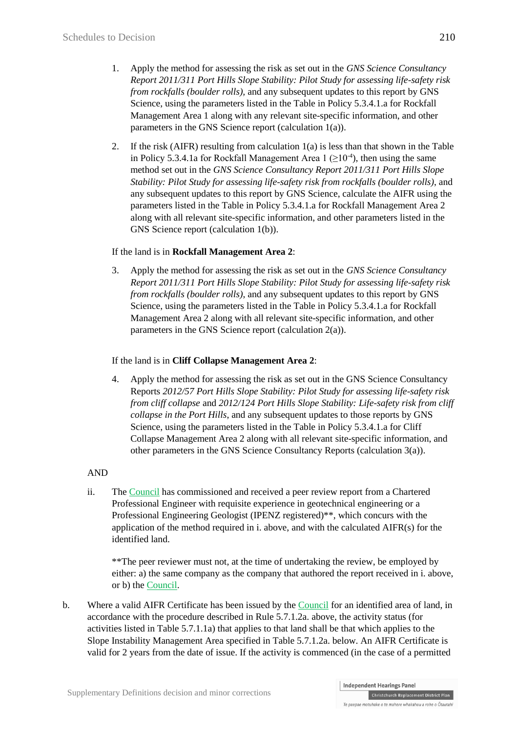- 1. Apply the method for assessing the risk as set out in the *GNS Science Consultancy Report 2011/311 Port Hills Slope Stability: Pilot Study for assessing life-safety risk from rockfalls (boulder rolls),* and any subsequent updates to this report by GNS Science, using the parameters listed in the Table in Policy 5.3.4.1.a for Rockfall Management Area 1 along with any relevant site-specific information, and other parameters in the GNS Science report (calculation 1(a)).
- 2. If the risk (AIFR) resulting from calculation 1(a) is less than that shown in the Table in Policy 5.3.4.1a for Rockfall Management Area  $1 \left( \geq 10^{-4} \right)$ , then using the same method set out in the *GNS Science Consultancy Report 2011/311 Port Hills Slope Stability: Pilot Study for assessing life-safety risk from rockfalls (boulder rolls)*, and any subsequent updates to this report by GNS Science, calculate the AIFR using the parameters listed in the Table in Policy 5.3.4.1.a for Rockfall Management Area 2 along with all relevant site-specific information, and other parameters listed in the GNS Science report (calculation 1(b)).

#### If the land is in **Rockfall Management Area 2**:

3. Apply the method for assessing the risk as set out in the *GNS Science Consultancy Report 2011/311 Port Hills Slope Stability: Pilot Study for assessing life-safety risk from rockfalls (boulder rolls)*, and any subsequent updates to this report by GNS Science, using the parameters listed in the Table in Policy 5.3.4.1.a for Rockfall Management Area 2 along with all relevant site-specific information, and other parameters in the GNS Science report (calculation 2(a)).

#### If the land is in **Cliff Collapse Management Area 2**:

4. Apply the method for assessing the risk as set out in the GNS Science Consultancy Reports *2012/57 Port Hills Slope Stability: Pilot Study for assessing life-safety risk from cliff collapse* and *2012/124 Port Hills Slope Stability: Life-safety risk from cliff collapse in the Port Hills*, and any subsequent updates to those reports by GNS Science, using the parameters listed in the Table in Policy 5.3.4.1.a for Cliff Collapse Management Area 2 along with all relevant site-specific information, and other parameters in the GNS Science Consultancy Reports (calculation 3(a)).

#### AND

ii. The Council has commissioned and received a peer review report from a Chartered Professional Engineer with requisite experience in geotechnical engineering or a Professional Engineering Geologist (IPENZ registered)\*\*, which concurs with the application of the method required in i. above, and with the calculated AIFR(s) for the identified land.

\*\*The peer reviewer must not, at the time of undertaking the review, be employed by either: a) the same company as the company that authored the report received in i. above, or b) the Council.

b. Where a valid AIFR Certificate has been issued by the Council for an identified area of land, in accordance with the procedure described in Rule 5.7.1.2a. above, the activity status (for activities listed in Table 5.7.1.1a) that applies to that land shall be that which applies to the Slope Instability Management Area specified in Table 5.7.1.2a. below. An AIFR Certificate is valid for 2 years from the date of issue. If the activity is commenced (in the case of a permitted

Christchurch Replacement District Plan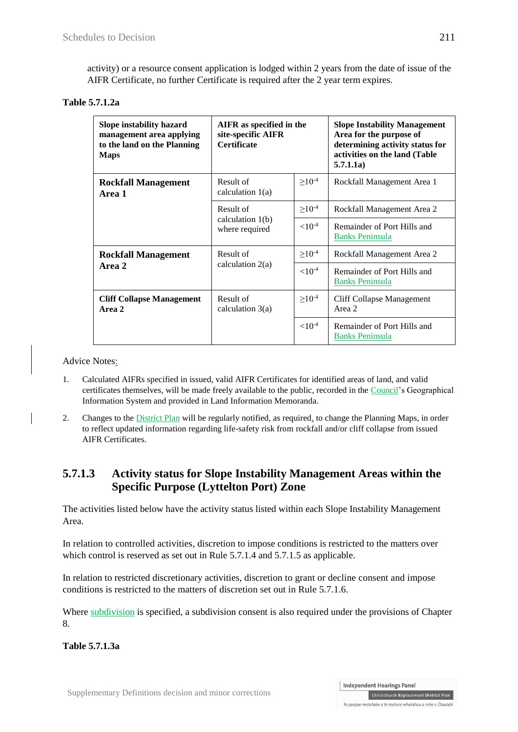activity) or a resource consent application is lodged within 2 years from the date of issue of the AIFR Certificate, no further Certificate is required after the 2 year term expires.

**Table 5.7.1.2a**

| Slope instability hazard<br>management area applying<br>to the land on the Planning<br><b>Maps</b> | AIFR as specified in the<br>site-specific AIFR<br><b>Certificate</b> |                | <b>Slope Instability Management</b><br>Area for the purpose of<br>determining activity status for<br>activities on the land (Table<br>5.7.1.1a) |
|----------------------------------------------------------------------------------------------------|----------------------------------------------------------------------|----------------|-------------------------------------------------------------------------------------------------------------------------------------------------|
| <b>Rockfall Management</b><br>Area 1                                                               | Result of<br>calculation $1(a)$                                      | $\geq 10^{-4}$ | Rockfall Management Area 1                                                                                                                      |
|                                                                                                    | Result of                                                            | $>10^{-4}$     | Rockfall Management Area 2                                                                                                                      |
|                                                                                                    | calculation $1(b)$<br>where required                                 | ${<}10^{-4}$   | Remainder of Port Hills and<br><b>Banks Peninsula</b>                                                                                           |
| <b>Rockfall Management</b>                                                                         | Result of                                                            | $\geq 10^{-4}$ | Rockfall Management Area 2                                                                                                                      |
| Area 2                                                                                             | calculation $2(a)$                                                   | ${<}10^{-4}$   | Remainder of Port Hills and<br><b>Banks Peninsula</b>                                                                                           |
| <b>Cliff Collapse Management</b><br>Area 2                                                         | Result of<br>calculation $3(a)$                                      | $\geq 10^{-4}$ | <b>Cliff Collapse Management</b><br>Area 2                                                                                                      |
|                                                                                                    |                                                                      | ${<}10^{-4}$   | Remainder of Port Hills and<br><b>Banks Peninsula</b>                                                                                           |

Advice Notes:

- 1. Calculated AIFRs specified in issued, valid AIFR Certificates for identified areas of land, and valid certificates themselves, will be made freely available to the public, recorded in the Council's Geographical Information System and provided in Land Information Memoranda.
- 2. Changes to the District Plan will be regularly notified, as required, to change the Planning Maps, in order to reflect updated information regarding life-safety risk from rockfall and/or cliff collapse from issued AIFR Certificates.

### **5.7.1.3 Activity status for Slope Instability Management Areas within the Specific Purpose (Lyttelton Port) Zone**

The activities listed below have the activity status listed within each Slope Instability Management Area.

In relation to controlled activities, discretion to impose conditions is restricted to the matters over which control is reserved as set out in Rule 5.7.1.4 and 5.7.1.5 as applicable.

In relation to restricted discretionary activities, discretion to grant or decline consent and impose conditions is restricted to the matters of discretion set out in Rule 5.7.1.6.

Where subdivision is specified, a subdivision consent is also required under the provisions of Chapter 8.

**Table 5.7.1.3a**

Christchurch Replacement District Plan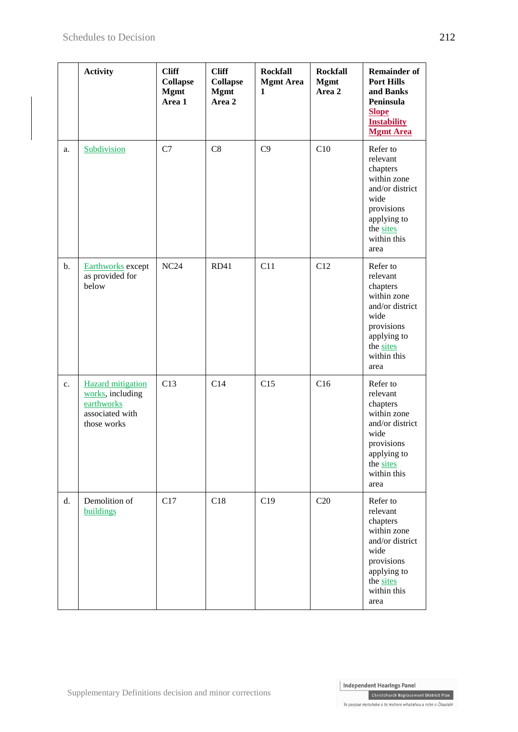|                | <b>Activity</b>                                                                              | <b>Cliff</b><br><b>Collapse</b><br><b>Mgmt</b><br>Area 1 | <b>Cliff</b><br><b>Collapse</b><br><b>Mgmt</b><br>Area 2 | <b>Rockfall</b><br><b>Mgmt Area</b><br>$\mathbf{1}$ | <b>Rockfall</b><br><b>Mgmt</b><br>Area 2 | <b>Remainder of</b><br><b>Port Hills</b><br>and Banks<br>Peninsula<br><b>Slope</b><br><b>Instability</b><br><b>Mgmt Area</b>                |
|----------------|----------------------------------------------------------------------------------------------|----------------------------------------------------------|----------------------------------------------------------|-----------------------------------------------------|------------------------------------------|---------------------------------------------------------------------------------------------------------------------------------------------|
| a.             | Subdivision                                                                                  | C7                                                       | C8                                                       | C9                                                  | C10                                      | Refer to<br>relevant<br>chapters<br>within zone<br>and/or district<br>wide<br>provisions<br>applying to<br>the sites<br>within this<br>area |
| b.             | Earthworks except<br>as provided for<br>below                                                | <b>NC24</b>                                              | RD41                                                     | C11                                                 | C12                                      | Refer to<br>relevant<br>chapters<br>within zone<br>and/or district<br>wide<br>provisions<br>applying to<br>the sites<br>within this<br>area |
| c.             | <b>Hazard</b> mitigation<br>works, including<br>earthworks<br>associated with<br>those works | C13                                                      | C14                                                      | C15                                                 | C16                                      | Refer to<br>relevant<br>chapters<br>within zone<br>and/or district<br>wide<br>provisions<br>applying to<br>the sites<br>within this<br>area |
| $\mathbf{d}$ . | Demolition of<br>buildings                                                                   | C17                                                      | C18                                                      | C19                                                 | C20                                      | Refer to<br>relevant<br>chapters<br>within zone<br>and/or district<br>wide<br>provisions<br>applying to<br>the sites<br>within this<br>area |

Christchurch Replacement District Plan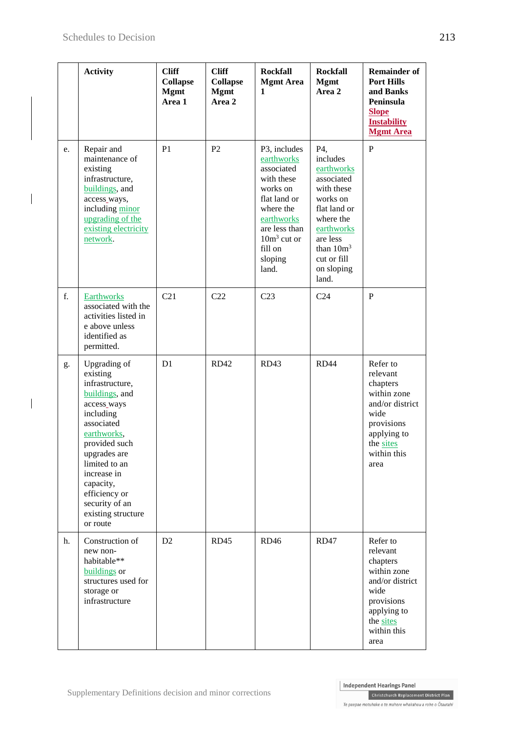$\overline{\mathbf{a}}$ 

 $\overline{\phantom{a}}$ 

|    | <b>Activity</b>                                                                                                                                                                                                                                                           | <b>Cliff</b><br><b>Collapse</b><br><b>Mgmt</b><br>Area 1 | <b>Cliff</b><br><b>Collapse</b><br><b>Mgmt</b><br>Area 2 | <b>Rockfall</b><br><b>Mgmt Area</b><br>1                                                                                                                                       | <b>Rockfall</b><br><b>Mgmt</b><br>Area 2                                                                                                                                           | <b>Remainder of</b><br><b>Port Hills</b><br>and Banks<br>Peninsula<br><b>Slope</b><br><b>Instability</b><br><b>Mgmt Area</b>                |
|----|---------------------------------------------------------------------------------------------------------------------------------------------------------------------------------------------------------------------------------------------------------------------------|----------------------------------------------------------|----------------------------------------------------------|--------------------------------------------------------------------------------------------------------------------------------------------------------------------------------|------------------------------------------------------------------------------------------------------------------------------------------------------------------------------------|---------------------------------------------------------------------------------------------------------------------------------------------|
| e. | Repair and<br>maintenance of<br>existing<br>infrastructure,<br>buildings, and<br>access_ways,<br>including minor<br>upgrading of the<br>existing electricity<br>network.                                                                                                  | P <sub>1</sub>                                           | P <sub>2</sub>                                           | P3, includes<br>earthworks<br>associated<br>with these<br>works on<br>flat land or<br>where the<br>earthworks<br>are less than<br>$10m3$ cut or<br>fill on<br>sloping<br>land. | P4,<br>includes<br>earthworks<br>associated<br>with these<br>works on<br>flat land or<br>where the<br>earthworks<br>are less<br>than $10m^3$<br>cut or fill<br>on sloping<br>land. | $\mathbf{P}$                                                                                                                                |
| f. | <b>Earthworks</b><br>associated with the<br>activities listed in<br>e above unless<br>identified as<br>permitted.                                                                                                                                                         | C21                                                      | C22                                                      | C <sub>23</sub>                                                                                                                                                                | C <sub>24</sub>                                                                                                                                                                    | P                                                                                                                                           |
| g. | Upgrading of<br>existing<br>infrastructure,<br>buildings, and<br>access_ways<br>including<br>associated<br>earthworks,<br>provided such<br>upgrades are<br>limited to an<br>increase in<br>capacity,<br>efficiency or<br>security of an<br>existing structure<br>or route | D <sub>1</sub>                                           | RD42                                                     | <b>RD43</b>                                                                                                                                                                    | RD44                                                                                                                                                                               | Refer to<br>relevant<br>chapters<br>within zone<br>and/or district<br>wide<br>provisions<br>applying to<br>the sites<br>within this<br>area |
| h. | Construction of<br>new non-<br>habitable**<br>buildings or<br>structures used for<br>storage or<br>infrastructure                                                                                                                                                         | D2                                                       | RD45                                                     | <b>RD46</b>                                                                                                                                                                    | RD47                                                                                                                                                                               | Refer to<br>relevant<br>chapters<br>within zone<br>and/or district<br>wide<br>provisions<br>applying to<br>the sites<br>within this<br>area |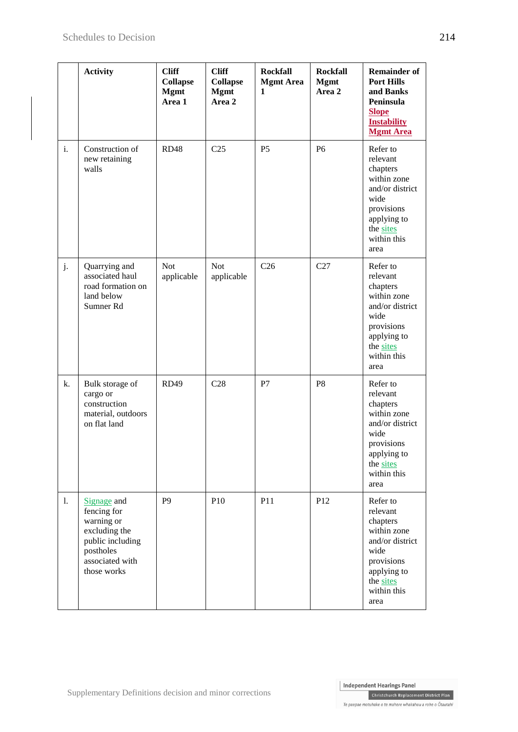|    | <b>Activity</b>                                                                                                              | <b>Cliff</b><br><b>Collapse</b><br><b>Mgmt</b><br>Area 1 | <b>Cliff</b><br><b>Collapse</b><br><b>Mgmt</b><br>Area 2 | <b>Rockfall</b><br><b>Mgmt Area</b><br>1 | <b>Rockfall</b><br><b>Mgmt</b><br>Area 2 | <b>Remainder of</b><br><b>Port Hills</b><br>and Banks<br>Peninsula<br><b>Slope</b><br><b>Instability</b><br><b>Mgmt Area</b>                |
|----|------------------------------------------------------------------------------------------------------------------------------|----------------------------------------------------------|----------------------------------------------------------|------------------------------------------|------------------------------------------|---------------------------------------------------------------------------------------------------------------------------------------------|
| i. | Construction of<br>new retaining<br>walls                                                                                    | <b>RD48</b>                                              | C <sub>25</sub>                                          | P <sub>5</sub>                           | P <sub>6</sub>                           | Refer to<br>relevant<br>chapters<br>within zone<br>and/or district<br>wide<br>provisions<br>applying to<br>the sites<br>within this<br>area |
| j. | Quarrying and<br>associated haul<br>road formation on<br>land below<br>Sumner Rd                                             | <b>Not</b><br>applicable                                 | <b>Not</b><br>applicable                                 | C <sub>26</sub>                          | C27                                      | Refer to<br>relevant<br>chapters<br>within zone<br>and/or district<br>wide<br>provisions<br>applying to<br>the sites<br>within this<br>area |
| k. | Bulk storage of<br>cargo or<br>construction<br>material, outdoors<br>on flat land                                            | <b>RD49</b>                                              | C28                                                      | P7                                       | P <sub>8</sub>                           | Refer to<br>relevant<br>chapters<br>within zone<br>and/or district<br>wide<br>provisions<br>applying to<br>the sites<br>within this<br>area |
| 1. | Signage and<br>fencing for<br>warning or<br>excluding the<br>public including<br>postholes<br>associated with<br>those works | P <sub>9</sub>                                           | P10                                                      | P11                                      | P12                                      | Refer to<br>relevant<br>chapters<br>within zone<br>and/or district<br>wide<br>provisions<br>applying to<br>the sites<br>within this<br>area |

Christchurch Replacement District Plan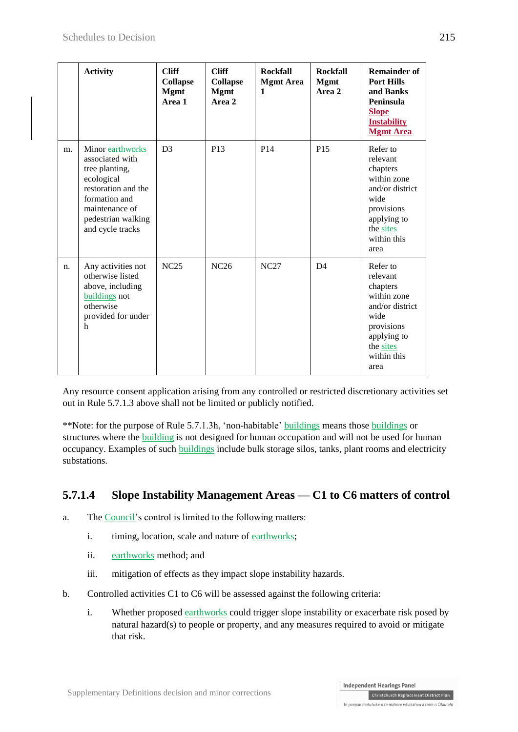|    | <b>Activity</b>                                                                                                                                                         | <b>Cliff</b><br><b>Collapse</b><br><b>Mgmt</b><br>Area 1 | <b>Cliff</b><br><b>Collapse</b><br><b>Mgmt</b><br>Area 2 | <b>Rockfall</b><br><b>Mgmt</b> Area<br>1 | <b>Rockfall</b><br><b>Mgmt</b><br>Area 2 | <b>Remainder of</b><br><b>Port Hills</b><br>and Banks<br>Peninsula<br><b>Slope</b><br><b>Instability</b><br><b>Mgmt Area</b>                |
|----|-------------------------------------------------------------------------------------------------------------------------------------------------------------------------|----------------------------------------------------------|----------------------------------------------------------|------------------------------------------|------------------------------------------|---------------------------------------------------------------------------------------------------------------------------------------------|
| m. | Minor earthworks<br>associated with<br>tree planting,<br>ecological<br>restoration and the<br>formation and<br>maintenance of<br>pedestrian walking<br>and cycle tracks | D <sub>3</sub>                                           | P13                                                      | P <sub>14</sub>                          | P <sub>15</sub>                          | Refer to<br>relevant<br>chapters<br>within zone<br>and/or district<br>wide<br>provisions<br>applying to<br>the sites<br>within this<br>area |
| n. | Any activities not<br>otherwise listed<br>above, including<br>buildings not<br>otherwise<br>provided for under<br>h                                                     | <b>NC25</b>                                              | NC26                                                     | <b>NC27</b>                              | D <sub>4</sub>                           | Refer to<br>relevant<br>chapters<br>within zone<br>and/or district<br>wide<br>provisions<br>applying to<br>the sites<br>within this<br>area |

Any resource consent application arising from any controlled or restricted discretionary activities set out in Rule 5.7.1.3 above shall not be limited or publicly notified.

\*\*Note: for the purpose of Rule 5.7.1.3h, 'non-habitable' buildings means those buildings or structures where the building is not designed for human occupation and will not be used for human occupancy. Examples of such buildings include bulk storage silos, tanks, plant rooms and electricity substations.

### **5.7.1.4 Slope Instability Management Areas — C1 to C6 matters of control**

- a. The Council's control is limited to the following matters:
	- i. timing, location, scale and nature of earthworks;
	- ii. earthworks method; and
	- iii. mitigation of effects as they impact slope instability hazards.
- b. Controlled activities C1 to C6 will be assessed against the following criteria:
	- i. Whether proposed earthworks could trigger slope instability or exacerbate risk posed by natural hazard(s) to people or property, and any measures required to avoid or mitigate that risk.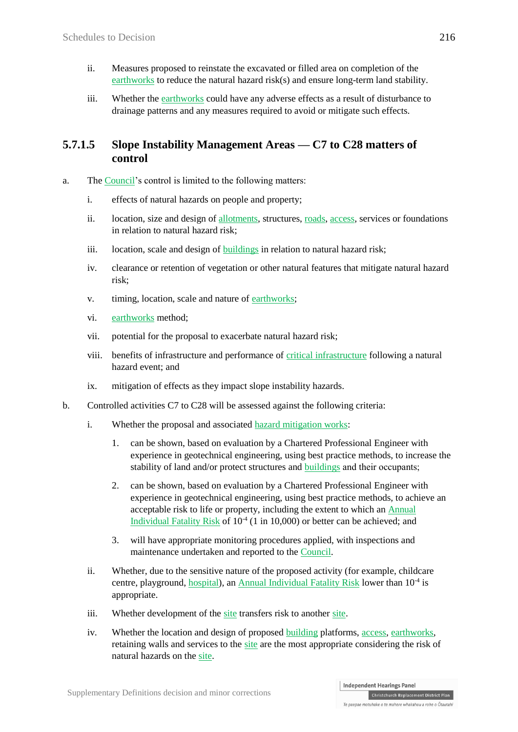- ii. Measures proposed to reinstate the excavated or filled area on completion of the earthworks to reduce the natural hazard risk(s) and ensure long-term land stability.
- iii. Whether the earthworks could have any adverse effects as a result of disturbance to drainage patterns and any measures required to avoid or mitigate such effects.

#### **5.7.1.5 Slope Instability Management Areas — C7 to C28 matters of control**

- a. The Council's control is limited to the following matters:
	- i. effects of natural hazards on people and property;
	- ii. location, size and design of allotments, structures, roads, access, services or foundations in relation to natural hazard risk;
	- iii. location, scale and design of buildings in relation to natural hazard risk;
	- iv. clearance or retention of vegetation or other natural features that mitigate natural hazard risk;
	- v. timing, location, scale and nature of earthworks;
	- vi. earthworks method;
	- vii. potential for the proposal to exacerbate natural hazard risk;
	- viii. benefits of infrastructure and performance of critical infrastructure following a natural hazard event; and
	- ix. mitigation of effects as they impact slope instability hazards.
- b. Controlled activities C7 to C28 will be assessed against the following criteria:
	- i. Whether the proposal and associated hazard mitigation works:
		- 1. can be shown, based on evaluation by a Chartered Professional Engineer with experience in geotechnical engineering, using best practice methods, to increase the stability of land and/or protect structures and buildings and their occupants;
		- 2. can be shown, based on evaluation by a Chartered Professional Engineer with experience in geotechnical engineering, using best practice methods, to achieve an acceptable risk to life or property, including the extent to which an Annual Individual Fatality Risk of  $10<sup>4</sup>$  (1 in 10,000) or better can be achieved; and
		- 3. will have appropriate monitoring procedures applied, with inspections and maintenance undertaken and reported to the Council.
	- ii. Whether, due to the sensitive nature of the proposed activity (for example, childcare centre, playground, hospital), an Annual Individual Fatality Risk lower than 10<sup>-4</sup> is appropriate.
	- iii. Whether development of the site transfers risk to another site.
	- iv. Whether the location and design of proposed building platforms, access, earthworks, retaining walls and services to the site are the most appropriate considering the risk of natural hazards on the site.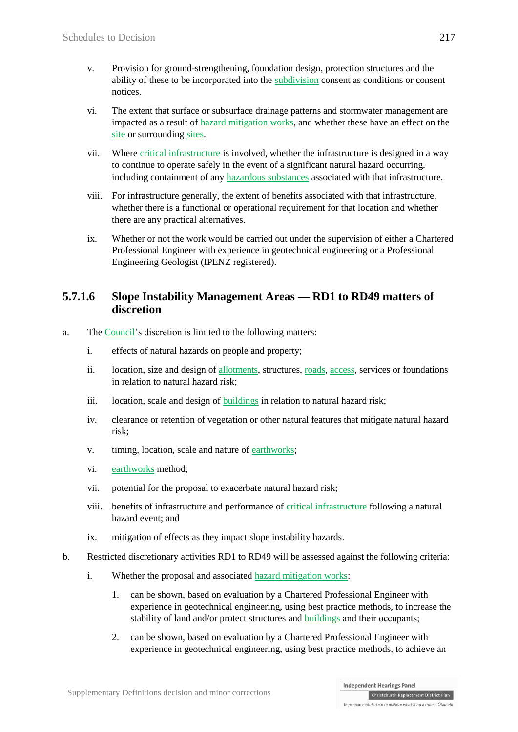- v. Provision for ground-strengthening, foundation design, protection structures and the ability of these to be incorporated into the subdivision consent as conditions or consent notices.
- vi. The extent that surface or subsurface drainage patterns and stormwater management are impacted as a result of hazard mitigation works, and whether these have an effect on the site or surrounding sites.
- vii. Where critical infrastructure is involved, whether the infrastructure is designed in a way to continue to operate safely in the event of a significant natural hazard occurring, including containment of any hazardous substances associated with that infrastructure.
- viii. For infrastructure generally, the extent of benefits associated with that infrastructure, whether there is a functional or operational requirement for that location and whether there are any practical alternatives.
- ix. Whether or not the work would be carried out under the supervision of either a Chartered Professional Engineer with experience in geotechnical engineering or a Professional Engineering Geologist (IPENZ registered).

#### **5.7.1.6 Slope Instability Management Areas — RD1 to RD49 matters of discretion**

- a. The Council's discretion is limited to the following matters:
	- i. effects of natural hazards on people and property;
	- ii. location, size and design of allotments, structures, roads, access, services or foundations in relation to natural hazard risk;
	- iii. location, scale and design of **buildings** in relation to natural hazard risk;
	- iv. clearance or retention of vegetation or other natural features that mitigate natural hazard risk;
	- v. timing, location, scale and nature of earthworks;
	- vi. earthworks method:
	- vii. potential for the proposal to exacerbate natural hazard risk;
	- viii. benefits of infrastructure and performance of critical infrastructure following a natural hazard event; and
	- ix. mitigation of effects as they impact slope instability hazards.
- b. Restricted discretionary activities RD1 to RD49 will be assessed against the following criteria:
	- i. Whether the proposal and associated hazard mitigation works:
		- 1. can be shown, based on evaluation by a Chartered Professional Engineer with experience in geotechnical engineering, using best practice methods, to increase the stability of land and/or protect structures and buildings and their occupants;
		- 2. can be shown, based on evaluation by a Chartered Professional Engineer with experience in geotechnical engineering, using best practice methods, to achieve an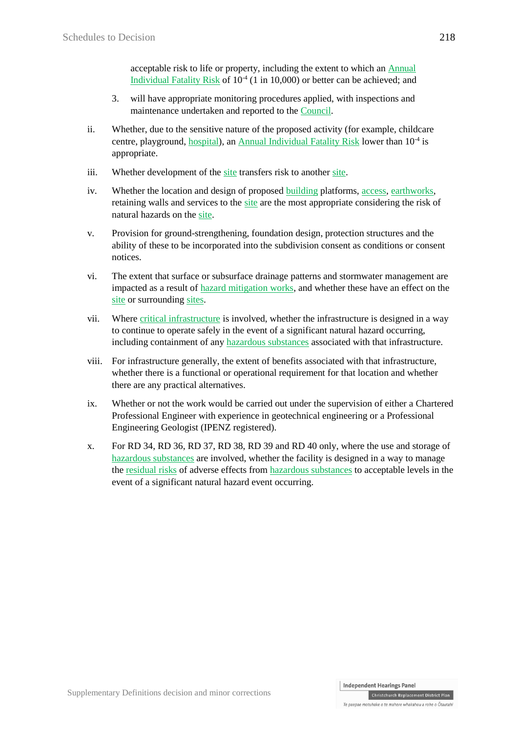acceptable risk to life or property, including the extent to which an Annual Individual Fatality Risk of  $10^{-4}$  (1 in 10,000) or better can be achieved; and

- 3. will have appropriate monitoring procedures applied, with inspections and maintenance undertaken and reported to the Council.
- ii. Whether, due to the sensitive nature of the proposed activity (for example, childcare centre, playground, hospital), an Annual Individual Fatality Risk lower than 10<sup>-4</sup> is appropriate.
- iii. Whether development of the site transfers risk to another site.
- iv. Whether the location and design of proposed building platforms, access, earthworks, retaining walls and services to the site are the most appropriate considering the risk of natural hazards on the site.
- v. Provision for ground-strengthening, foundation design, protection structures and the ability of these to be incorporated into the subdivision consent as conditions or consent notices.
- vi. The extent that surface or subsurface drainage patterns and stormwater management are impacted as a result of hazard mitigation works, and whether these have an effect on the site or surrounding sites.
- vii. Where critical infrastructure is involved, whether the infrastructure is designed in a way to continue to operate safely in the event of a significant natural hazard occurring, including containment of any hazardous substances associated with that infrastructure.
- viii. For infrastructure generally, the extent of benefits associated with that infrastructure, whether there is a functional or operational requirement for that location and whether there are any practical alternatives.
- ix. Whether or not the work would be carried out under the supervision of either a Chartered Professional Engineer with experience in geotechnical engineering or a Professional Engineering Geologist (IPENZ registered).
- x. For RD 34, RD 36, RD 37, RD 38, RD 39 and RD 40 only, where the use and storage of hazardous substances are involved, whether the facility is designed in a way to manage the residual risks of adverse effects from hazardous substances to acceptable levels in the event of a significant natural hazard event occurring.

Christchurch Replacement District Plan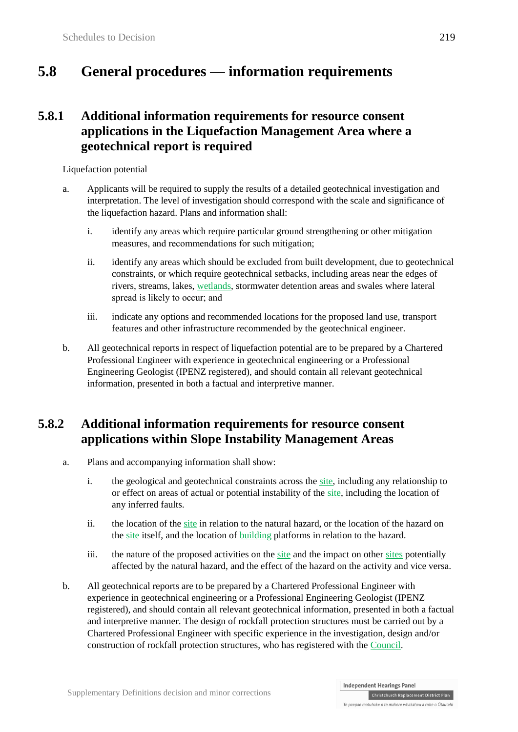# **5.8 General procedures — information requirements**

## **5.8.1 Additional information requirements for resource consent applications in the Liquefaction Management Area where a geotechnical report is required**

Liquefaction potential

- a. Applicants will be required to supply the results of a detailed geotechnical investigation and interpretation. The level of investigation should correspond with the scale and significance of the liquefaction hazard. Plans and information shall:
	- i. identify any areas which require particular ground strengthening or other mitigation measures, and recommendations for such mitigation;
	- ii. identify any areas which should be excluded from built development, due to geotechnical constraints, or which require geotechnical setbacks, including areas near the edges of rivers, streams, lakes, wetlands, stormwater detention areas and swales where lateral spread is likely to occur; and
	- iii. indicate any options and recommended locations for the proposed land use, transport features and other infrastructure recommended by the geotechnical engineer.
- b. All geotechnical reports in respect of liquefaction potential are to be prepared by a Chartered Professional Engineer with experience in geotechnical engineering or a Professional Engineering Geologist (IPENZ registered), and should contain all relevant geotechnical information, presented in both a factual and interpretive manner.

## **5.8.2 Additional information requirements for resource consent applications within Slope Instability Management Areas**

- a. Plans and accompanying information shall show:
	- i. the geological and geotechnical constraints across the site, including any relationship to or effect on areas of actual or potential instability of the site, including the location of any inferred faults.
	- ii. the location of the site in relation to the natural hazard, or the location of the hazard on the site itself, and the location of building platforms in relation to the hazard.
	- iii. the nature of the proposed activities on the site and the impact on other sites potentially affected by the natural hazard, and the effect of the hazard on the activity and vice versa.
- b. All geotechnical reports are to be prepared by a Chartered Professional Engineer with experience in geotechnical engineering or a Professional Engineering Geologist (IPENZ registered), and should contain all relevant geotechnical information, presented in both a factual and interpretive manner. The design of rockfall protection structures must be carried out by a Chartered Professional Engineer with specific experience in the investigation, design and/or construction of rockfall protection structures, who has registered with the Council.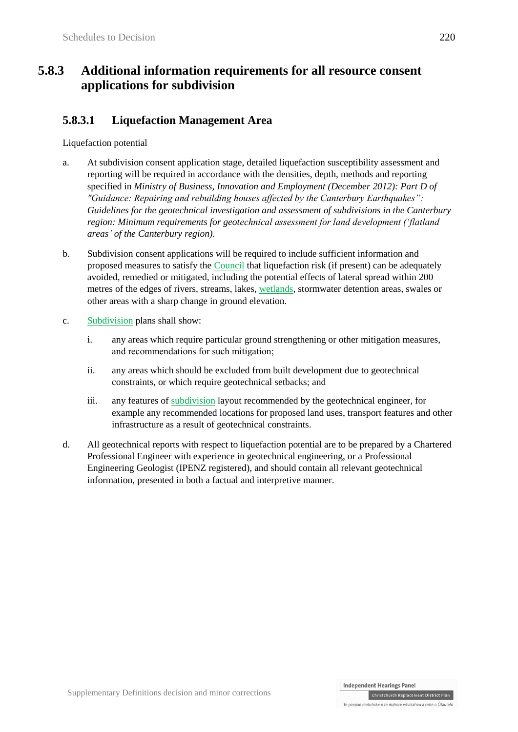## **5.8.3 Additional information requirements for all resource consent applications for subdivision**

## **5.8.3.1 Liquefaction Management Area**

#### Liquefaction potential

- a. At subdivision consent application stage, detailed liquefaction susceptibility assessment and reporting will be required in accordance with the densities, depth, methods and reporting specified in *Ministry of Business, Innovation and Employment (December 2012): Part D of "Guidance: Repairing and rebuilding houses affected by the Canterbury Earthquakes": Guidelines for the geotechnical investigation and assessment of subdivisions in the Canterbury region: Minimum requirements for geotechnical assessment for land development ('flatland areas' of the Canterbury region).*
- b. Subdivision consent applications will be required to include sufficient information and proposed measures to satisfy the Council that liquefaction risk (if present) can be adequately avoided, remedied or mitigated, including the potential effects of lateral spread within 200 metres of the edges of rivers, streams, lakes, wetlands, stormwater detention areas, swales or other areas with a sharp change in ground elevation.
- c. Subdivision plans shall show:
	- i. any areas which require particular ground strengthening or other mitigation measures, and recommendations for such mitigation;
	- ii. any areas which should be excluded from built development due to geotechnical constraints, or which require geotechnical setbacks; and
	- iii. any features of subdivision layout recommended by the geotechnical engineer, for example any recommended locations for proposed land uses, transport features and other infrastructure as a result of geotechnical constraints.
- d. All geotechnical reports with respect to liquefaction potential are to be prepared by a Chartered Professional Engineer with experience in geotechnical engineering, or a Professional Engineering Geologist (IPENZ registered), and should contain all relevant geotechnical information, presented in both a factual and interpretive manner.

Christchurch Replacement District Plan